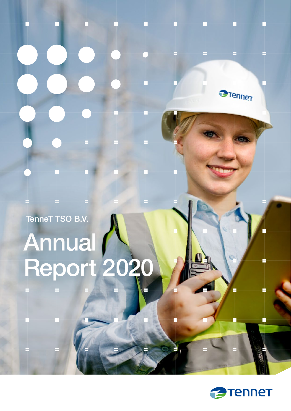TenneT TSO B.V.

# Annual (N)



**Brenner**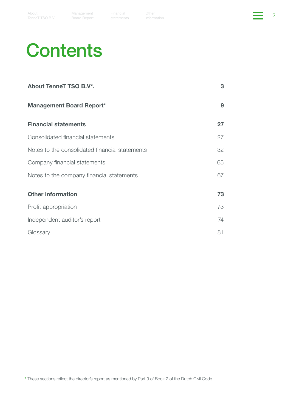Other **2** Other **2** 

# **Contents**

| About TenneT TSO B.V*.                         | 3  |
|------------------------------------------------|----|
| <b>Management Board Report*</b>                | 9  |
| <b>Financial statements</b>                    | 27 |
| Consolidated financial statements              | 27 |
| Notes to the consolidated financial statements | 32 |
| Company financial statements                   | 65 |
| Notes to the company financial statements      | 67 |
| <b>Other information</b>                       | 73 |
| Profit appropriation                           | 73 |
| Independent auditor's report                   | 74 |
| Glossary                                       | 81 |

\* These sections reflect the director's report as mentioned by Part 9 of Book 2 of the Dutch Civil Code.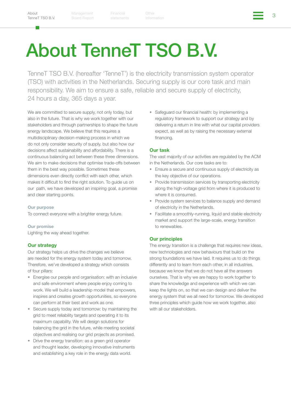3 Financial

# <span id="page-2-1"></span><span id="page-2-0"></span>About TenneT TSO B.V.

TenneT TSO B.V. (hereafter 'TenneT') is the electricity transmission system operator (TSO) with activities in the Netherlands. Securing supply is our core task and main responsibility. We aim to ensure a safe, reliable and secure supply of electricity, 24 hours a day, 365 days a year.

We are committed to secure supply, not only today, but also in the future. That is why we work together with our stakeholders and through partnerships to shape the future energy landscape. We believe that this requires a multidisciplinary decision-making process in which we do not only consider security of supply, but also how our decisions affect sustainability and affordability. There is a continuous balancing act between these three dimensions. We aim to make decisions that optimise trade-offs between them in the best way possible. Sometimes these dimensions even directly conflict with each other, which makes it difficult to find the right solution. To guide us on our path, we have developed an inspiring goal, a promise and clear starting points.

#### Our purpose

To connect everyone with a brighter energy future.

#### Our promise

Lighting the way ahead together.

#### Our strategy

Our strategy helps us drive the changes we believe are needed for the energy system today and tomorrow. Therefore, we've developed a strategy which consists of four pillars:

- Energise our people and organisation: with an inclusive and safe environment where people enjoy coming to work. We will build a leadership model that empowers, inspires and creates growth opportunities, so everyone can perform at their best and work as one.
- Secure supply today and tomorrow: by maintaining the grid to meet reliability targets and operating it to its maximum capability. We will design solutions for balancing the grid in the future, while meeting societal objectives and realising our grid projects as promised.
- Drive the energy transition: as a green grid operator and thought leader, developing innovative instruments and establishing a key role in the energy data world.

• Safeguard our financial health: by implementing a regulatory framework to support our strategy and by delivering a return in line with what our capital providers expect, as well as by raising the necessary external financing.

#### Our task

The vast majority of our activities are regulated by the ACM in the Netherlands. Our core tasks are to:

- Ensure a secure and continuous supply of electricity as the key objective of our operations.
- Provide transmission services by transporting electricity along the high-voltage grid from where it is produced to where it is consumed.
- Provide system services to balance supply and demand of electricity in the Netherlands.
- Facilitate a smoothly-running, liquid and stable electricity market and support the large-scale, energy transition to renewables.

#### Our principles

The energy transition is a challenge that requires new ideas, new technologies and new behaviours that build on the strong foundations we have laid. It requires us to do things differently and to learn from each other, in all industries, because we know that we do not have all the answers ourselves. That is why we are happy to work together to share the knowledge and experience with which we can keep the lights on, so that we can design and deliver the energy system that we all need for tomorrow. We developed three principles which guide how we work together, also with all our stakeholders.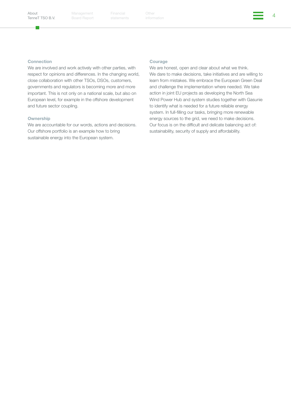г.

Management Board Report

Financial Other (a) Other (a) and the contract of the contract of the contract of the contract of the contract of the contract of the contract of the contract of the contract of the contract of the contract of the contract

#### Connection

We are involved and work actively with other parties, with respect for opinions and differences. In the changing world, close collaboration with other TSOs, DSOs, customers, governments and regulators is becoming more and more important. This is not only on a national scale, but also on European level, for example in the offshore development and future sector coupling.

#### **Ownership**

We are accountable for our words, actions and decisions. Our offshore portfolio is an example how to bring sustainable energy into the European system.

#### **Courage**

We are honest, open and clear about what we think. We dare to make decisions, take initiatives and are willing to learn from mistakes. We embrace the European Green Deal and challenge the implementation where needed. We take action in joint EU projects as developing the North Sea Wind Power Hub and system studies together with Gasunie to identify what is needed for a future reliable energy system. In full-filling our tasks, bringing more renewable energy sources to the grid, we need to make decisions. Our focus is on the difficult and delicate balancing act of: sustainability, security of supply and affordability.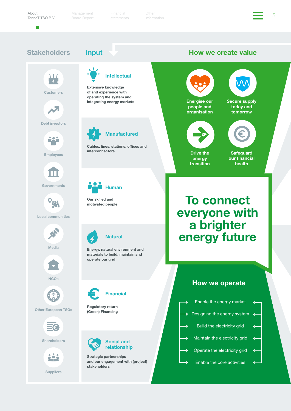5 Financial

### Stakeholders Input How we create value



Customers



Debt investors



Employees



**Governments** 



#### Local communities



Media



NGOs



#### Other European TSOs



**Shareholders** 



**Suppliers** 

# Intellectual

Extensive knowledge of and experience with operating the system and integrating energy markets



Cables, lines, stations, offices and interconnectors

Human

Our skilled and motivated people



Energy, natural environment and materials to build, maintain and operate our grid



Regulatory return (Green) Financing



Strategic partnerships and our engagement with (project) stakeholders





Drive the energy transition

**Safeguard** our financial health

# To connect everyone with a brighter energy future

### How we operate

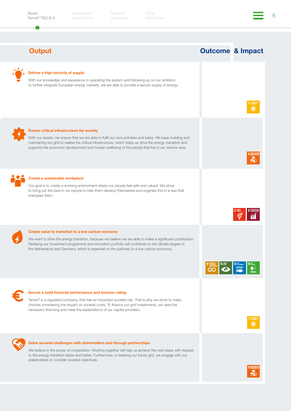About [TenneT TSO B.V.](#page-2-1)

m,

Management Board Report

6 Financial

Outcome & Impact

් ල

**12 Seconds 13 State 14 Winners 15 Stress** 

### **Output**



#### Deliver a high security of supply

With our knowledge and experience in operating the system and following up on our ambition to further integrate European energy markets, we are able to provide a secure supply of energy.



#### Ensure critical infrastructure for society

With our assets, we ensure that we are able to fulfil our core activities and tasks. We keep building and maintaining our grid to realise the critical infrastructure, which helps us drive the energy transition and supports the economic development and human wellbeing of the people that live in our service area.



#### Create a sustainable workplace

Our goal is to create a working environment where our people feel safe and valued. We strive to bring out the best in our people to help them develop themselves and organise this in a way that energises them.



#### Create value to transition to a low carbon economy

We want to drive the energy transition, because we believe we are able to make a significant contribution. Realising our investment programme and innovation portfolio will contribute to the climate targets in the Netherlands and Germany, which is essential on the pathway to a low carbon economy.



#### Secure a solid financial performance and investor rating

TenneT is a regulated company, that has an important societal role. That is why we strive to make choices considering the impact on societal costs. To finance our grid investments, we raise the necessary financing and meet the expectations of our capital providers.



#### Solve societal challenges with stakeholders and through partnerships

We believe in the power of cooperation. Working together will help us achieve the next steps with respect to the energy transition faster and better. Furthermore, in realising our future grid, we engage with our stakeholders to consider societal objectives.

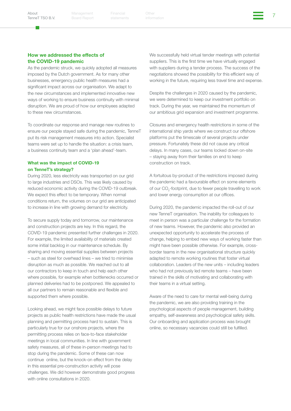Financial Other (1999) (1999) (1999) (1999) (1999) (1999) (1999) (1999) (1999) (1999) (1999) (1999) (1999) (19<br>Additionals (1999) (1999) (1999) (1999) (1999) (1999) (1999) (1999) (1999) (1999) (1999) (1999) (1999) (1999)

#### How we addressed the effects of the COVID-19 pandemic

As the pandemic struck, we quickly adopted all measures imposed by the Dutch government. As for many other businesses, emergency public health measures had a significant impact across our organisation. We adapt to the new circumstances and implemented innovative new ways of working to ensure business continuity with minimal disruption. We are proud of how our employees adapted to these new circumstances.

To coordinate our response and manage new routines to ensure our people stayed safe during the pandemic, TenneT put its risk management measures into action. Specialist teams were set up to handle the situation: a crisis team, a business continuity team and a 'plan ahead'-team.

#### What was the impact of COVID-19 on TenneT's strategy?

During 2020, less electricity was transported on our grid to large industries and DSOs. This was likely caused by reduced economic activity during the COVID-19 outbreak. We expect this effect to be temporary. When normal conditions return, the volumes on our grid are anticipated to increase in line with growing demand for electricity.

To secure supply today and tomorrow, our maintenance and construction projects are key. In this regard, the COVID-19 pandemic presented further challenges in 2020. For example, the limited availability of materials created some initial backlog in our maintenance schedule. By sharing and moving essential supplies between projects – such as steel for overhead lines – we tried to minimise disruption as much as possible. We reached out to all our contractors to keep in touch and help each other where possible, for example when bottlenecks occurred or planned deliveries had to be postponed. We appealed to all our partners to remain reasonable and flexible and supported them where possible.

Looking ahead, we might face possible delays to future projects as public health restrictions have made the usual planning and permitting process hard to sustain. This is particularly true for our onshore projects, where the permitting process relies on face-to-face stakeholder meetings in local communities. In line with government safety measures, all of these in-person meetings had to stop during the pandemic. Some of these can now continue online, but the knock-on effect from the delay in this essential pre-construction activity will pose challenges. We did however demonstrate good progress with online consultations in 2020.

We successfully held virtual tender meetings with potential suppliers. This is the first time we have virtually engaged with suppliers during a tender process. The success of the negotiations showed the possibility for this efficient way of working in the future, requiring less travel time and expense.

Despite the challenges in 2020 caused by the pandemic, we were determined to keep our investment portfolio on track. During the year, we maintained the momentum of our ambitious grid expansion and investment programme.

Closures and emergency health restrictions in some of the international ship yards where we construct our offshore platforms put the timescale of several projects under pressure. Fortunately these did not cause any critical delays. In many cases, our teams locked down on-site – staying away from their families on end to keep construction on track.

A fortuitous by-product of the restrictions imposed during the pandemic had a favourable effect on some elements of our  $\mathrm{CO}_2$ -footprint, due to fewer people travelling to work and lower energy consumption at our offices.

During 2020, the pandemic impacted the roll-out of our new TenneT organisation. The inability for colleagues to meet in person was a particular challenge for the formation of new teams. However, the pandemic also provided an unexpected opportunity to accelerate the process of change, helping to embed new ways of working faster than might have been possible otherwise. For example, crossborder teams in the new organisational structure quickly adapted to remote working routines that foster virtual collaboration. Leaders of the new units – including leaders who had not previously led remote teams – have been trained in the skills of motivating and collaborating with their teams in a virtual setting.

Aware of the need to care for mental well-being during the pandemic, we are also providing training in the psychological aspects of people management, building empathy, self-awareness and psychological safety skills. Our onboarding and application process was brought online, so necessary vacancies could still be fulfilled.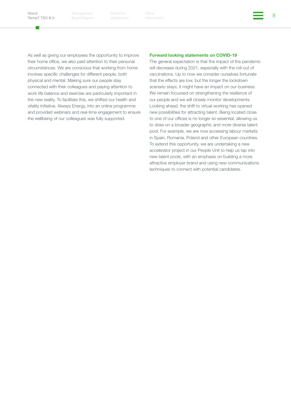г.

Management Board Report

8 Financial

As well as giving our employees the opportunity to improve their home office, we also paid attention to their personal circumstances. We are conscious that working from home involves specific challenges for different people, both physical and mental. Making sure our people stay connected with their colleagues and paying attention to work life balance and exercise are particularly important in the new reality. To facilitate this, we shifted our health and vitality initiative, Always Energy, into an online programme and provided webinars and real-time engagement to ensure the wellbeing of our colleagues was fully supported.

#### Forward looking statements on COVID-19

The general expectation is that the impact of the pandemic will decrease during 2021, especially with the roll-out of vaccinations. Up to now we consider ourselves fortunate that the effects are low, but the longer the lockdown scenario stays, it might have an impact on our business. We remain focussed on strengthening the resilience of our people and we will closely monitor developments. Looking ahead, the shift to virtual working has opened new possibilities for attracting talent. Being located close to one of our offices is no longer so essential, allowing us to draw on a broader geographic and more diverse talent pool. For example, we are now accessing labour markets in Spain, Romania, Poland and other European countries. To extend this opportunity, we are undertaking a new accelerator project in our People Unit to help us tap into new talent pools, with an emphasis on building a more attractive employer brand and using new communications techniques to connect with potential candidates.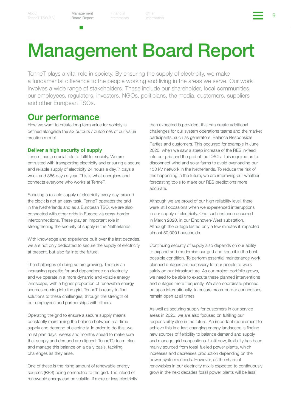9 Financial

# <span id="page-8-1"></span><span id="page-8-0"></span>Management Board Report

TenneT plays a vital role in society. By ensuring the supply of electricity, we make a fundamental difference to the people working and living in the areas we serve. Our work involves a wide range of stakeholders. These include our shareholder, local communities, our employees, regulators, investors, NGOs, politicians, the media, customers, suppliers and other European TSOs.

### Our performance

How we want to create long term value for society is defined alongside the six outputs / outcomes of our value creation model.

#### Deliver a high security of supply

TenneT has a crucial role to fulfil for society. We are entrusted with transporting electricity and ensuring a secure and reliable supply of electricity 24 hours a day, 7 days a week and 365 days a year. This is what energises and connects everyone who works at TenneT.

Securing a reliable supply of electricity every day, around the clock is not an easy task. TenneT operates the grid in the Netherlands and as a European TSO, we are also connected with other grids in Europe via cross-border interconnections. These play an important role in strengthening the security of supply in the Netherlands.

With knowledge and experience built over the last decades, we are not only dedicated to secure the supply of electricity at present, but also far into the future.

The challenges of doing so are growing. There is an increasing appetite for and dependence on electricity and we operate in a more dynamic and volatile energy landscape, with a higher proportion of renewable energy sources coming into the grid. TenneT is ready to find solutions to these challenges, through the strength of our employees and partnerships with others.

Operating the grid to ensure a secure supply means constantly maintaining the balance between real-time supply and demand of electricity. In order to do this, we must plan days, weeks and months ahead to make sure that supply and demand are aligned. TenneT's team plan and manage this balance on a daily basis, tackling challenges as they arise.

One of these is the rising amount of renewable energy sources (RES) being connected to the grid. The infeed of renewable energy can be volatile. If more or less electricity than expected is provided, this can create additional challenges for our system operations teams and the market participants, such as generators, Balance Responsible Parties and customers. This occurred for example in June 2020, when we saw a steep increase of the RES in-feed into our grid and the grid of the DSOs. This required us to disconnect wind and solar farms to avoid overloading our 150 kV network in the Netherlands. To reduce the risk of this happening in the future, we are improving our weather forecasting tools to make our RES predictions more accurate.

Although we are proud of our high reliability level, there were still occasions when we experienced interruptions in our supply of electricity. One such instance occurred in March 2020, in our Eindhoven-West substation. Although the outage lasted only a few minutes it impacted almost 50,000 households.

Continuing security of supply also depends on our ability to expand and modernise our grid and keep it in the best possible condition. To perform essential maintenance work, planned outages are necessary for our people to work safely on our infrastructure. As our project portfolio grows, we need to be able to execute these planned interventions and outages more frequently. We also coordinate planned outages internationally, to ensure cross-border connections remain open at all times.

As well as securing supply for customers in our service areas in 2020, we are also focused on fulfilling our responsibility also in the future. An important requirement to achieve this in a fast-changing energy landscape is finding new sources of flexibility to balance demand and supply and manage grid congestions. Until now, flexibility has been mainly sourced from fossil fuelled power plants, which increases and decreases production depending on the power system's needs. However, as the share of renewables in our electricity mix is expected to continuously grow in the next decades fossil power plants will be less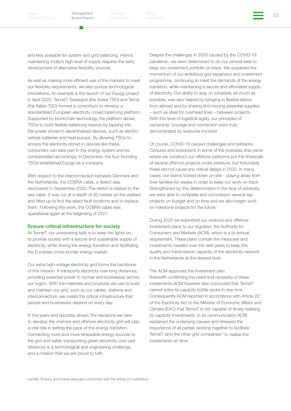Financial Other the Other (10)<br>atatamente information

and less available for system and grid balancing. Hence, maintaining today's high level of supply requires the early development of alternative flexibility sources.

As well as making more efficient use of the markets to meet our flexibility requirements, we also pursue technological innovations. An example is the launch of our Equigy project in April 2020. TenneT, Swissgrid (the Swiss TSO) and Terna (the Italian TSO) formed a consortium to develop a standardised European electricity crowd balancing platform. Supported by blockchain technology, the platform allows TSOs to build flexible balancing reserve by tapping into the power stored in decentralised devices, such as electric vehicle batteries and heat pumps. By allowing TSOs to access the electricity stored in devices like these, consumers can take part in the energy system and be compensated accordingly. In December, the four founding TSOs established Equigy as a company.

With respect to the interconnection between Denmark and the Netherlands, the COBRA cable, a defect was discovered in September 2020. The defect is related to the sea cable. It was cut at a depth of 40 metres on the seabed and lifted up to find the exact fault locations and to replace them. Following this work, the COBRA cable was operational again at the beginning of 2021.

#### Ensure critical infrastructure for society

At TenneT, our unwavering task is to keep the lights on, to provide society with a secure and sustainable supply of electricity, while driving the energy transition and facilitating the European cross-border energy market.

Our extra high-voltage electricity grid forms the backbone of this mission. It transports electricity over long distances, providing essential power to homes and businesses across our region. With the materials and products we use to build and maintain our grid, such as our cables, stations and interconnectors, we create the critical infrastructure that people and businesses depend on every day.

In the years and decades ahead, the decisions we take to develop the onshore and offshore electricity grid will play a vital role in setting the pace of the energy transition. Connecting more and more renewable energy sources to the grid and safely transporting green electricity over vast distances is a technological and engineering challenge, and a mission that we are proud to fulfil.

Despite the challenges in 2020 caused by the COVID-19 pandemic, we were determined to do our utmost best to keep our investment portfolio on track. We sustained the momentum of our ambitious grid expansion and investment programme, continuing to meet the demands of the energy transition, while maintaining a secure and affordable supply of electricity. Our ability to stay on schedule, as much as possible, was also helped by bringing in flexible labour from abroad and by sharing and moving essential supplies – such as steel for overhead lines – between projects. With this level of logistical agility, our principles of ownership, courage and connection were truly demonstrated by everyone involved.

Of course, COVID-19 caused challenges and setbacks. Closures and lockdowns in some of the overseas ship yards where we construct our offshore platforms put the timescale of several offshore projects under pressure, but fortunately these did not cause any critical delays in 2020. In many cases, our teams locked down on-site - staying away from their families for weeks in order to keep our work on track. Strengthened by this determination in the face of adversity, we were able to complete and commission several key projects on budget and on time and we also began work on milestone projects for the future.

During 2020 we submitted our onshore and offshore investment plans to our regulator, the Authority for Consumers and Markets (ACM), which is a bi-annual requirement. These plans contain the measures and investments needed over the next years to keep the quality and transmission capacity of the electricity network in the Netherlands at the desired level.

The ACM approved the investment plan therewith confirming the need and necessity of these investments.ACM however also concluded that TenneT cannot solve its capacity bottle necks in due time. Consequently ACM reported in accordance with Article 22 of the Electricity Act to the Minister of Economic Affairs and Climate (EAC) that TenneT is not capable of timely realising its capacity investments. In its communication ACM explained the underlying causes and stressed the importance of all parties working together to facilitate TenneT (and the other grid companies<sup>1)</sup> to realise the investments on time.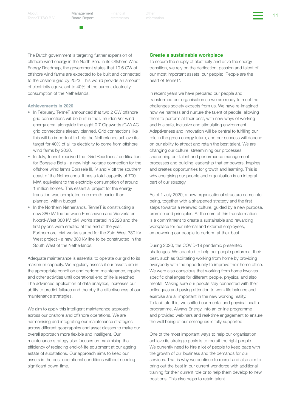[TenneT TSO B.V.](#page-2-1)

Management Board Report

Financial Other the Other (11 April 11 April 11 April 11 April 11 April 11 April 11 April 11 April 11 April 11<br>Additional April 11 April 11 April 12 April 12 April 11 April 12 April 12 April 12 April 12 April 12 April 12

The Dutch government is targeting further expansion of offshore wind energy in the North Sea. In its Offshore Wind Energy Roadmap, the government states that 10.6 GW of offshore wind farms are expected to be built and connected to the onshore grid by 2023. This would provide an amount of electricity equivalent to 40% of the current electricity consumption of the Netherlands.

Achievements in 2020

- In February, TenneT announced that two 2 GW offshore grid connections will be built in the IJmuiden Ver wind energy area, alongside the eight 0.7 Gigawatts (GW) AC grid connections already planned. Grid connections like this will be important to help the Netherlands achieve its target for 40% of all its electricity to come from offshore wind farms by 2030.
- In July, TenneT received the 'Grid Readiness' certification for Borssele Beta - a new high-voltage connection for the offshore wind farms Borssele III, IV and V off the southern coast of the Netherlands. It has a total capacity of 700 MW, equivalent to the electricity consumption of around 1 million homes. This essential project for the energy transition was completed one month earlier than planned, within budget.
- In the Northern Netherlands, TenneT is constructing a new 380 kV line between Eemshaven and Vierverlaten - Noord-West 380 kV. civil works started in 2020 and the first pylons were erected at the end of the year. Furthermore, civil works started for the Zuid-West 380 kV West project - a new 380 kV line to be constructed in the South West of the Netherlands.

Adequate maintenance is essential to operate our grid to its maximum capacity. We regularly assess if our assets are in the appropriate condition and perform maintenance, repairs and other activities until operational end of life is reached. The advanced application of data analytics, increases our ability to predict failures and thereby the effectiveness of our maintenance strategies.

We aim to apply this intelligent maintenance approach across our onshore and offshore operations. We are harmonising and integrating our maintenance strategies across different geographies and asset classes to make our overall approach more flexible and intelligent. Our maintenance strategy also focuses on maximising the efficiency of replacing end-of-life equipment at our ageing estate of substations. Our approach aims to keep our assets in the best operational conditions without needing significant down-time.

#### Create a sustainable workplace

To secure the supply of electricity and drive the energy transition, we rely on the dedication, passion and talent of our most important assets, our people: 'People are the heart of TenneT'.

In recent years we have prepared our people and transformed our organisation so we are ready to meet the challenges society expects from us. We have re-imagined how we harness and nurture the talent of people, allowing them to perform at their best, with new ways of working and in a safe, inclusive and stimulating environment. Adaptiveness and innovation will be central to fulfilling our role in the green energy future, and our success will depend on our ability to attract and retain the best talent. We are changing our culture, streamlining our processes, sharpening our talent and performance management processes and building leadership that empowers, inspires and creates opportunities for growth and learning. This is why energising our people and organisation is an integral part of our strategy.

As of 1 July 2020, a new organisational structure came into being, together with a sharpened strategy and the first steps towards a renewed culture, guided by a new purpose, promise and principles. At the core of this transformation is a commitment to create a sustainable and rewarding workplace for our internal and external employees, empowering our people to perform at their best.

During 2020, the COVID-19 pandemic presented challenges. We adapted to help our people perform at their best, such as facilitating working from home by providing everybody with the opportunity to improve their home office. We were also conscious that working from home involves specific challenges for different people, physical and also mental. Making sure our people stay connected with their colleagues and paying attention to work life balance and exercise are all important in the new working reality. To facilitate this, we shifted our mental and physical health programme, Always Energy, into an online programme and provided webinars and real-time engagement to ensure the well being of our colleagues is fully supported.

One of the most important ways to help our organisation achieve its strategic goals is to recruit the right people. We currently need to hire a lot of people to keep pace with the growth of our business and the demands for our services. That is why we continue to recruit and also aim to bring out the best in our current workforce with additional training for their current role or to help them develop to new positions. This also helps to retain talent.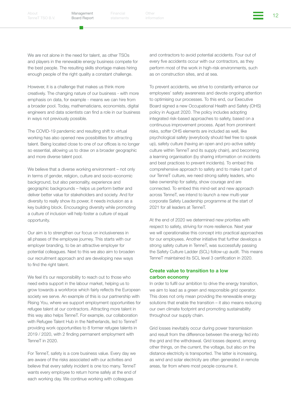Financial Other the Other (12 April 12 April 12 April 12 April 12 April 12 April 12 April 12 April 12 April 12

We are not alone in the need for talent, as other TSOs and players in the renewable energy business compete for the best people. The resulting skills shortage makes hiring enough people of the right quality a constant challenge.

However, it is a challenge that makes us think more creatively. The changing nature of our business - with more emphasis on data, for example - means we can hire from a broader pool. Today, mathematicians, economists, digital engineers and data scientists can find a role in our business in ways not previously possible.

The COVID-19 pandemic and resulting shift to virtual working has also opened new possibilities for attracting talent. Being located close to one of our offices is no longer so essential, allowing us to draw on a broader geographic and more diverse talent pool.

We believe that a diverse working environment – not only in terms of gender, religion, culture and socio-economic background, but also personality, experience and geographic backgrounds – helps us perform better and deliver better value for stakeholders and society. And for diversity to really show its power, it needs inclusion as a key building block. Encouraging diversity while promoting a culture of inclusion will help foster a culture of equal opportunity.

Our aim is to strengthen our focus on inclusiveness in all phases of the employee journey. This starts with our employer branding, to be an attractive employer for potential colleagues. Next to this we also aim to broaden our recruitment approach and are developing new ways to find the right talent.

We feel it's our responsibility to reach out to those who need extra support in the labour market, helping us to grow towards a workforce which fairly reflects the European society we serve. An example of this is our partnership with Rising You, where we support employment opportunities for refugee talent at our contractors. Attracting more talent in this way also helps TenneT. For example, our collaboration with Refugee Talent Hub in the Netherlands, led to TenneT providing work opportunities to 8 former refugee talents in 2019 / 2020, with 2 finding permanent employment with TenneT in 2020.

For TenneT, safety is a core business value. Every day we are aware of the risks associated with our activities and believe that every safety incident is one too many. TenneT wants every employee to return home safely at the end of each working day. We continue working with colleagues

and contractors to avoid potential accidents. Four out of every five accidents occur with our contractors, as they perform most of the work in high-risk environments, such as on construction sites, and at sea.

To prevent accidents, we strive to constantly enhance our employees' safety awareness and devote ongoing attention to optimising our processes. To this end, our Executive Board signed a new Occupational Health and Safety (OHS) policy in August 2020. The policy includes adopting integrated risk-based approaches to safety, based on a continuous improvement process. Apart from prominent risks, softer OHS elements are included as well, like psychological safety (everybody should feel free to speak up), safety culture (having an open and pro-active safety culture within TenneT and its supply chain), and becoming a learning organisation (by sharing information on incidents and best practices to prevent incidents). To embed this comprehensive approach to safety and to make it part of our TenneT culture, we need strong safety leaders, who take ownership for safety, show courage and are connected. To embed this mind-set and new approach across TenneT, we intend to launch a new multi-year corporate Safety Leadership programme at the start of 2021 for all leaders at TenneT.

At the end of 2020 we determined new priorities with respect to safety, striving for more resilience. Next year we will operationalise this concept into practical approaches for our employees. Another initiative that further develops a strong safety culture in TenneT, was successfully passing the Safety Culture Ladder (SCL) follow-up audit. This means TenneT maintained its SCL level 3 certification in 2020.

#### Create value to transition to a low carbon economy

In order to fulfil our ambition to drive the energy transition, we aim to lead as a green and responsible grid operator. This does not only mean providing the renewable energy solutions that enable the transition – it also means reducing our own climate footprint and promoting sustainability throughout our supply chain.

Grid losses inevitably occur during power transmission and result from the difference between the energy fed into the grid and the withdrawal. Grid losses depend, among other things, on the current, the voltage, but also on the distance electricity is transported. The latter is increasing, as wind and solar electricity are often generated in remote areas, far from where most people consume it.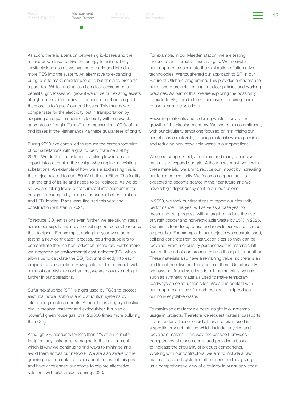Financial Other the Other (13 April 13 April 13 April 13 April 13 April 13 April 13 April 13 April 13 April 13 April 13 April 13 April 13 April 13 April 13 April 13 April 13 April 13 April 13 April 13 April 14 April 14 Apr

As such, there is a tension between grid-losses and the measures we take to drive the energy transition. They inevitably increase as we expand our grid and introduce more RES into the system. An alternative to expanding our grid is to make smarter use of it, but this also presents a paradox. While building less has clear environmental benefits, grid losses will grow if we utilise our existing assets at higher levels. Our policy to reduce our carbon footprint, therefore, is to 'green' our grid losses. This means we compensate for the electricity lost in transportation by acquiring an equal amount of electricity with renewable guarantees of origin. TenneT is compensating 100 % of the grid losses in the Netherlands via these guarantees of origin.

During 2020, we continued to reduce the carbon footprint of our substations with a goal to be climate neutral by 2025 . We do this for instance by taking lower climate impact into account in the design when replacing existing substations. An example of how we are addressing this is the project related to our 150 kV station in Etten. The facility is at the end of its life and needs to be replaced. As we do so, we are taking lower climate impact into account in the design, for example by using solar panels, better isolation and LED lighting. Plans were finalised this year and construction will start in 2021.

To reduce CO $_{_2}$  emissions even further, we are taking steps across our supply chain by motivating contractors to reduce their footprint. For example, during the year we started testing a new certification process, requiring suppliers to demonstrate their carbon reduction measures. Furthermore, we integrated an environmental cost indicator (ECI) which allows us to calculate the CO<sub>2</sub> footprint directly into each project's cost evaluation. Having piloted this approach with some of our offshore contractors, we are now extending it further in our operations,

Sulfur hexafluoride (SF<sub>6</sub>) is a gas used by TSOs to protect electrical power stations and distribution systems by interrupting electric currents. Although it is a highly effective circuit-breaker, insulator and extinguisher, it is also a powerful greenhouse gas, over 23,000 times more polluting than  $CO_{2}$ .

Although  $\text{SF}_6$  accounts for less than 1% of our climate footprint, any leakage is damaging to the environment, which is why we continue to find ways to minimise and avoid them across our network. We are also aware of the growing environmental concern about the use of this gas and have accelerated our efforts to explore alternative solutions with pilot projects during 2020.

For example, in our Meeden station, we are testing the use of an alternative insulator gas. We motivate our suppliers to accelerate the exploration of alternative technologies. We toughened our approach to  $SF_{6}$  in our Future of Offshore programme. This provides a roadmap for our offshore projects, setting out clear policies and working practices. As part of this, we are exploring the possibility to exclude  $SF_{6}$  from bidders' proposals, requiring them to use alternative solutions.

Recycling materials and reducing waste is key to the growth of the circular economy. We share this commitment, with our circularity ambitions focused on minimising our use of scarce materials, re-using materials where possible, and reducing non-recyclable waste in our operations.

We need copper, steel, aluminium and many other raw materials to expand our grid. Although we must work with these materials, we aim to reduce our impact by increasing our focus on circularity. We focus on copper, as it is expected to become scarce in the near future and we have a high dependency on it in our operations.

In 2020, we took our first steps to report our circularity performance. This year will serve as a base year for measuring our progress, with a target to reduce the use of virgin copper and non-recyclable waste by 25% in 2025. Our aim is to reduce, re-use and recycle our waste as much as possible. For example, in our projects we separate sand, soil and concrete from construction sites so they can be recycled. From a circularity perspective, the materials left over at the end of one process can be the input for another. These materials also have a remaining value, so there is an additional incentive not to dispose of them. Unfortunately, we have not found solutions for all the materials we use, such as synthetic materials used to make temporary roadways on construction sites. We are in contact with our suppliers and look for partnerships to help reduce our non-recyclable waste.

To maximise circularity we need insight in our material usage in projects. Therefore we request material passports in our tenders. These record all raw materials used in a specific product, stating which include recycled and recyclable material. This way, the passport provides transparency of resource mix, and provides a basis to increase the circularity of product components. Working with our contractors, we aim to include a raw material passport system in all our new tenders, giving us a comprehensive view of circularity in our supply chain.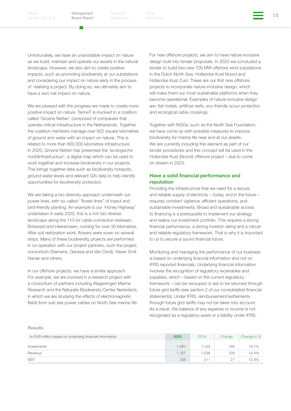Financial Other the Other that is a structure of the contract of the term of the contract of the contract of the contract of the contract of the contract of the contract of the contract of the contract of the contract of t

Unfortunately, we have an unavoidable impact on nature as we build, maintain and operate our assets in the natural landscape. However, we also aim to create positive impacts, such as promoting biodiversity at our substations and considering our impact on nature early in the process of realising a project. By doing so, we ultimately aim to have a zero net impact on nature.

We are pleased with the progress we made to create more positive impact on nature. TenneT is involved in a coalition called 'Groene Netten' comprised of companies that operate critical infrastructure in the Netherlands. Together, the coalition members manage over 922 square kilometres of ground and water with an impact on nature. This is related to more than 800.000 kilometres infrastructure. In 2020, Groene Netten has presented the 'ecologische hoofdinfrastructuur', a digital map which can be used to work together and increase biodiversity in our projects. This brings together data such as biodiversity hotspots, ground water levels and relevant GIS data to help identify opportunities for biodiversity protection.

We are taking a bio-diversity approach underneath our power lines, with so-called ''flower lines'' of insect and bird-friendly planting. An example is our 'Honey Highway' undertaken in early 2020, this is a rich bio-diverse landscape along the 110 kV cable connection between Bolsward and Heerenveen, running for over 30 kilometres. After soil restoration work, flowers were sown on several strips. Many of these biodiversity projects are performed in co-operation with our project partners, such the project consortium (Siemens, Ganesa and Van Oord), Visser Smit Hanab and others.

In our offshore projects, we have a similar approach. For example, we are involved in a research project with a consortium of partners including Wageningen Marine Research and the Naturalis Biodiversity Center Nederland, in which we are studying the effects of electromagnetic fields from sub sea power cables on North Sea marine life. For new offshore projects, we aim to have nature-inclusive design built into tender proposals. In 2020 we concluded a tender to build two new 700 MW offshore wind substations in the Dutch North Sea, Hollandse Kust Noord and Hollandse Kust Zuid. These are our first new offshore projects to incorporate nature-inclusive design, which will make them our most sustainable platforms when they become operational. Examples of nature-inclusive design are: fish hotels, artificial reefs, eco-friendly scour protection and ecological cable crossings.

Together with NGOs, such as the North Sea Foundation, we have come up with possible measures to improve biodiversity for marine life near and at our assets. We are currently including this element as part of our tender procedures and this concept will be used in the Hollandse Kust (Noord) offshore project – due to come on stream in 2023.

#### Have a solid financial performance and reputation

Providing the infrastructure that we need for a secure and reliable supply of electricity – today, and in the future – requires constant vigilance, efficient operations, and sustainable investments. Broad and sustainable access to financing is a prerequisite to implement our strategy and realize our investment portfolio. This requires a strong financial performance, a strong investor rating and a robust and reliable regulatory framework. That is why it is important to us to secure a sound financial future.

Monitoring and managing the performance of our business is based on underlying financial information and not on IFRS-reported financials. Underlying financial information involves the recognition of regulatory receivables and payables, which – based on the current regulatory framework – can be recouped or are to be returned through future grid tariffs (see section 2 of our consolidated financial statements). Under IFRS, reimbursement/settlements through future grid tariffs may not be taken into account. As a result, the balance of any expense or income is not recognised as a regulatory asset or a liability under IFRS.

#### Results

| In EUR million based on underlying financial information | 2020  | 2019 | Change | Change in % |
|----------------------------------------------------------|-------|------|--------|-------------|
| Investments                                              | 1.281 | .133 | 148    | 13.1%       |
| Revenue                                                  | 1.167 | .038 | 129    | 12.4%       |
| <b>EBIT</b>                                              | 238   | 211  | 27     | 12.8%       |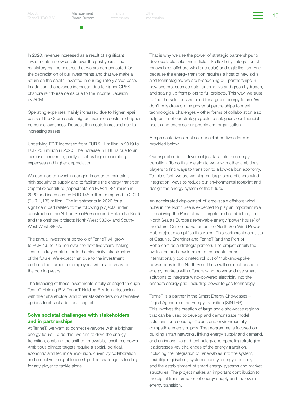[TenneT TSO B.V.](#page-2-1)

Management Board Report

Financial Other the Other Services of the Services of the Services of the Services of the Services of the Services of the Services of the Services of the Services of the Services of the Services of the Services of the Serv

In 2020, revenue increased as a result of significant investments in new assets over the past years. The regulatory regime ensures that we are compensated for the depreciation of our investments and that we make a return on the capital invested in our regulatory asset base. In addition, the revenue increased due to higher OPEX offshore reimbursements due to the Income Decision by ACM.

Operating expenses mainly increased due to higher repair costs of the Cobra cable, higher insurance costs and higher personnel expenses. Depreciation costs increased due to increasing assets.

Underlying EBIT increased from EUR 211 million in 2019 to EUR 238 million in 2020. The increase in EBIT is due to an increase in revenue, partly offset by higher operating expenses and higher depreciation.

We continue to invest in our grid in order to maintain a high security of supply and to facilitate the energy transition. Capital expenditure (capex) totalled EUR 1,281 million in 2020 and increased by EUR 148 million compared to 2019 (EUR 1,133 million). The investments in 2020 for a significant part related to the following projects under construction: the Net on Sea (Borssele and Hollandse Kust) and the onshore projects North-West 380kV and South-West West 380kV.

The annual investment portfolio of TenneT will grow to EUR 1.5 to 2 billion over the next five years making TenneT a key contributor to the electricity infrastructure of the future. We expect that due to the investment portfolio the number of employees will also increase in the coming years.

The financing of those investments is fully arranged through TenneT Holding B.V. TenneT Holding B.V. is in discussion with their shareholder and other stakeholders on alternative options to attract additional capital.

#### Solve societal challenges with stakeholders and in partnerships

At TenneT, we want to connect everyone with a brighter energy future. To do this, we aim to drive the energy transition, enabling the shift to renewable, fossil-free power. Ambitious climate targets require a social, political, economic and technical evolution, driven by collaboration and collective thought leadership. The challenge is too big for any player to tackle alone.

That is why we use the power of strategic partnerships to drive scalable solutions in fields like flexibility, integration of renewables (offshore wind and solar) and digitalisation. And because the energy transition requires a host of new skills and technologies, we are broadening our partnerships in new sectors, such as data, automotive and green hydrogen, and scaling up from pilots to full projects. This way, we trust to find the solutions we need for a green energy future. We don't only draw on the power of partnerships to meet technological challenges – other forms of collaboration also help us meet our strategic goals to safeguard our financial health and energise our people and organisation.

#### A representative sample of our collaborative efforts is provided below.

Our aspiration is to drive, not just facilitate the energy transition. To do this, we aim to work with other ambitious players to find ways to transition to a low-carbon economy. To this effect, we are working on large-scale offshore wind integration, ways to reduce our environmental footprint and design the energy system of the future.

An accelerated deployment of large-scale offshore wind hubs in the North Sea is expected to play an important role in achieving the Paris climate targets and establishing the North Sea as Europe's renewable energy 'power house' of the future. Our collaboration on the North Sea Wind Power Hub project exemplifies this vision. This partnership consists of Gasunie, Energinet and TenneT (and the Port of Rotterdam as a strategic partner). The project entails the evaluation and development of concepts for an internationally coordinated roll out of 'hub-and-spoke' power hubs in the North Sea. These will connect onshore energy markets with offshore wind power and use smart solutions to integrate wind-powered electricity into the onshore energy grid, including power to gas technology.

TenneT is a partner in the Smart Energy Showcases – Digital Agenda for the Energy Transition (SINTEG). This involves the creation of large-scale showcase regions that can be used to develop and demonstrate model solutions for a secure, efficient, and environmentally compatible energy supply. The programme is focused on building smart networks, linking energy supply and demand, and on innovative grid technology and operating strategies. It addresses key challenges of the energy transition, including the integration of renewables into the system, flexibility, digitisation, system security, energy efficiency and the establishment of smart energy systems and market structures. The project makes an important contribution to the digital transformation of energy supply and the overall energy transition.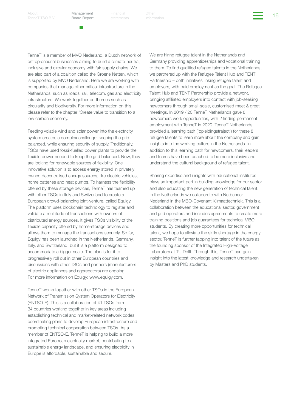Financial Other the Other Services of the Contract of the Contract of the Contract of the Contract of the Contra<br>Address information

TenneT is a member of MVO Nederland, a Dutch network of entrepreneurial businesses aiming to build a climate-neutral, inclusive and circular economy with fair supply chains. We are also part of a coalition called the Groene Netten, which is supported by MVO Nederland. Here we are working with companies that manage other critical infrastructure in the Netherlands, such as roads, rail, telecom, gas and electricity infrastructure. We work together on themes such as circularity and biodiversity. For more information on this, please refer to the chapter 'Create value to transition to a low carbon economy.

Feeding volatile wind and solar power into the electricity system creates a complex challenge: keeping the grid balanced, while ensuring security of supply. Traditionally, TSOs have used fossil-fuelled power plants to provide the flexible power needed to keep the grid balanced. Now, they are looking for renewable sources of flexibility. One innovative solution is to access energy stored in privately owned decentralised energy sources, like electric vehicles, home batteries and heat pumps. To harness the flexibility offered by these storage devices, TenneT has teamed up with other TSOs in Italy and Switzerland to create a European crowd-balancing joint-venture, called Equigy. The platform uses blockchain technology to register and validate a multitude of transactions with owners of distributed energy sources. It gives TSOs visibility of the flexible capacity offered by home-storage devices and allows them to manage the transactions securely. So far, Equigy has been launched in the Netherlands, Germany, Italy, and Switzerland, but it is a platform designed to accommodate a bigger scale. The plan is for it to progressively roll out in other European countries and discussions with other TSOs and partners (manufacturers of electric appliances and aggregators) are ongoing. For more information on Equigy: www.equigy.com.

TenneT works together with other TSOs in the European Network of Transmission System Operators for Electricity (ENTSO-E). This is a collaboration of 41 TSOs from 34 countries working together in key areas including establishing technical and market-related network codes, coordinating plans to develop European infrastructure and promoting technical cooperation between TSOs. As a member of ENTSO-E, TenneT is helping to build a more integrated European electricity market, contributing to a sustainable energy landscape, and ensuring electricity in Europe is affordable, sustainable and secure.

We are hiring refugee talent in the Netherlands and Germany providing apprenticeships and vocational training to them. To find qualified refugee talents in the Netherlands, we partnered up with the Refugee Talent Hub and TENT Partnership – both initiatives linking refugee talent and employers, with paid employment as the goal. The Refugee Talent Hub and TENT Partnership provide a network, bringing affiliated employers into contact with job-seeking newcomers through small-scale, customised meet & greet meetings. In 2019 / 20 TenneT Netherlands gave 8 newcomers work opportunities, with 2 finding permanent employment with TenneT in 2020. TenneT Netherlands provided a learning path ('opleidingstraject') for these 8 refugee talents to learn more about the company and gain insights into the working culture in the Netherlands. In addition to this learning path for newcomers, their leaders and teams have been coached to be more inclusive and understand the cultural background of refugee talent.

Sharing expertise and insights with educational institutes plays an important part in building knowledge for our sector and also educating the new generation of technical talent. In the Netherlands we collaborate with Netbeheer Nederland in the MBO-Covenant Klimaattechniek. This is a collaboration between the educational sector, government and grid operators and includes agreements to create more training positions and job guarantees for technical MBO students. By creating more opportunities for technical talent, we hope to alleviate the skills shortage in the energy sector. TenneT is further tapping into talent of the future as the founding sponsor of the Integrated High-Voltage Laboratory at TU Delft. Through this, TenneT can gain insight into the latest knowledge and research undertaken by Masters and PhD students.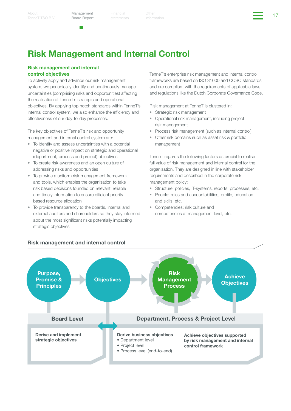[TenneT TSO B.V.](#page-2-1)

Management Board Report

Financial Other the Other (17 April 17 April 17 April 17 April 17 April 17 April 17 April 17 April 17 April 17

# Risk Management and Internal Control

#### Risk management and internal control objectives

To actively apply and advance our risk management system, we periodically identify and continuously manage uncertainties (comprising risks and opportunities) affecting the realisation of TenneT's strategic and operational objectives. By applying top notch standards within TenneT's internal control system, we also enhance the efficiency and effectiveness of our day-to-day processes.

The key objectives of TenneT's risk and opportunity management and internal control system are:

- To identify and assess uncertainties with a potential negative or positive impact on strategic and operational (department, process and project) objectives
- To create risk awareness and an open culture of addressing risks and opportunities
- To provide a uniform risk management framework and tools, which enables the organisation to take risk based decisions founded on relevant, reliable and timely information to ensure efficient priority based resource allocation
- To provide transparency to the boards, internal and external auditors and shareholders so they stay informed about the most significant risks potentially impacting strategic objectives

TenneT's enterprise risk management and internal control frameworks are based on ISO 31000 and COSO standards and are compliant with the requirements of applicable laws and regulations like the Dutch Corporate Governance Code.

Risk management at TenneT is clustered in:

- Strategic risk management
- Operational risk management, including project risk management
- Process risk management (such as internal control)
- Other risk domains such as asset risk & portfolio management

TenneT regards the following factors as crucial to realise full value of risk management and internal control for the organisation. They are designed in line with stakeholder requirements and described in the corporate risk management policy:

- Structure: policies, IT-systems, reports, processes, etc.
- People: roles and accountabilities, profile, education and skills, etc.
- Competencies: risk culture and competencies at management level, etc.



#### Risk management and internal control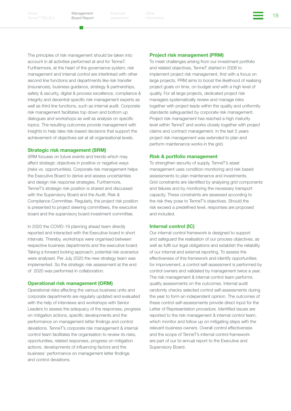Financial Other the Other Services of the Contract of the Contract of the Contract of the Contract of the Contra<br>Address the information

The principles of risk management should be taken into account in all activities performed at and for TenneT. Furthermore, at the heart of the governance system, risk management and internal control are interlinked with other second line functions and departments like risk transfer (insurances), business guidance, strategy & partnerships, safety & security, digital & process excellence, compliance & integrity and decentral specific risk management experts as well as third line functions, such as internal audit. Corporate risk management facilitates top down and bottom up dialogues and workshops as well as analysis on specific topics. The resulting outcomes provide management with insights to help take risk-based decisions that support the achievement of objectives set at all organisational levels.

#### Strategic risk management (SRM)

SRM focuses on future events and trends which may affect strategic objectives in positive or negative ways (risks vs. opportunities). Corporate risk management helps the Executive Board to derive and assess uncertainties and design risk response strategies. Furthermore, TenneT's strategic risk position is shared and discussed with the Supervisory Board and the Audit, Risk & Compliance Committee. Regularly, the project risk position is presented to project steering committees, the executive board and the supervisory board investment committee.

In 2020 the COVID-19 planning ahead team directly reported and interacted with the Executive board in short intervals. Thereby, workshops were organised between respective business departments and the executive board. Taking a forward looking approach, potential risk scenarios were analysed. Per July 2020 the new strategy team was implemented. So the strategic risk assessment at the end of 2020 was performed in collaboration.

#### Operational risk management (ORM)

Operational risks affecting the various business units and corporate departments are regularly updated and evaluated with the help of interviews and workshops with Senior Leaders to assess the adequacy of the responses, progress on mitigation actions, specific developments and the performance on management letter findings and control deviations. TenneT's corporate risk management & internal control team facilitates the organisation to review its risks, opportunities, related responses, progress on mitigation actions, developments of influencing factors and the business' performance on management letter findings and control deviations.

#### Project risk management (PRM)

To meet challenges arising from our investment portfolio and related objectives, TenneT started in 2008 to implement project risk management, first with a focus on large projects. PRM aims to boost the likelihood of realising project goals on time, on budget and with a high level of quality. For all large projects, dedicated project risk managers systematically review and manage risks together with project leads within the quality and uniformity standards safeguarded by corporate risk management. Project risk management has reached a high maturity level within TenneT and works closely together with project claims and contract management. In the last 5 years project risk management was extended to plan and perform maintenance works in the grid.

#### Risk & portfolio management

To strengthen security of supply, TenneT's asset management uses condition monitoring and risk based assessments to plan maintenance and investments. Grid constraints are identified by analysing grid components and failures and by monitoring the necessary transport capacity. These constraints are assessed according to the risk they pose to TenneT's objectives. Should the risk exceed a predefined level, responses are proposed and included.

#### Internal control (IC)

Our internal control framework is designed to support and safeguard the realisation of our process objectives, as well as fulfil our legal obligations and establish the reliability of our internal and external reporting. To assess the effectiveness of this framework and identify opportunities for improvement, a control self-assessment is performed by control owners and validated by management twice a year. The risk management & internal control team performs quality assessments on the outcomes. Internal audit randomly checks selected control self-assessments during the year to form an independent opinion. The outcomes of these control self-assessments provide direct input for the Letter of Representation procedure. Identified issues are reported to the risk management & internal control team, which monitor and follow up on mitigating steps with the relevant business owners. Overall control effectiveness and the scope of TenneT's internal control framework are part of our bi-annual report to the Executive and Supervisory Board.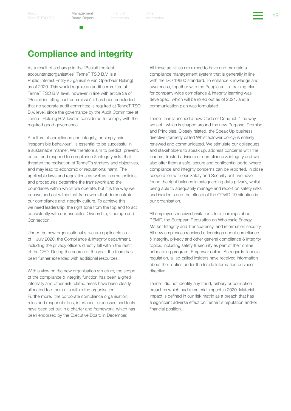## Compliance and integrity

As a result of a change in the "Besluit toezicht accountantsorganisaties" TenneT TSO B.V. is a Public Interest Entity (Organisatie van Openbaar Belang) as of 2020. This would require an audit committee at TenneT TSO B.V. level, however in line with article 3a of "Besluit instelling auditcommissie" it has been concluded that no separate audit committee is required at TenneT TSO B.V. level, since the governance by the Audit Committee at TenneT Holding B.V. level is considered to comply with the required good governance.

A culture of compliance and integrity, or simply said "responsible behaviour", is essential to be successful in a sustainable manner. We therefore aim to predict, prevent, detect and respond to compliance & integrity risks that threaten the realisation of TenneT's strategy and objectives, and may lead to economic or reputational harm. The applicable laws and regulations as well as internal policies and procedures determine the framework and the boundaries within which we operate, but it is the way we behave and act within that framework that demonstrate our compliance and integrity culture. To achieve this, we need leadership, the right tone from the top and to act consistently with our principles Ownership, Courage and Connection.

Under the new organisational structure applicable as of 1 July 2020, the Compliance & Integrity department, including the privacy officers directly fall within the remit of the CEO. During the course of the year, the team has been further extended with additional resources.

With a view on the new organisation structure, the scope of the compliance & integrity function has been aligned internally and other risk related areas have been clearly allocated to other units within the organisation. Furthermore, the corporate compliance organisation, roles and responsibilities, interfaces, processes and tools have been set out in a charter and framework, which has been endorsed by the Executive Board in December.

All these activities are aimed to have and maintain a compliance management system that is generally in line with the ISO 19600 standard. To enhance knowledge and awareness, together with the People unit, a training plan for company-wide compliance & integrity learning was developed, which will be rolled out as of 2021, and a communication plan was formulated.

TenneT has launched a new Code of Conduct; 'The way we act', which is shaped around the new Purpose, Promise and Principles. Closely related, the Speak Up business directive (formerly called Whistleblower policy) is entirely renewed and communicated. We stimulate our colleagues and stakeholders to speak up, address concerns with the leaders, trusted advisors or compliance & integrity and we also offer them a safe, secure and confidential portal where compliance and integrity concerns can be reported. In close cooperation with our Safety and Security unit, we have found the right balance in safeguarding data privacy, whilst being able to adequately manage and report on safety risks and incidents and the effects of the COVID-19 situation in our organisation.

All employees received invitations to e-learnings about REMIT, the European Regulation on Wholesale Energy Market Integrity and Transparency, and information security. All new employees received e-learnings about compliance & integrity, privacy and other general compliance & integrity topics, including safety & security as part of their online onboarding program, Empower online. As regards financial regulation, all so-called insiders have received information about their duties under the Inside Information business directive.

TenneT did not identify any fraud, bribery or corruption breaches which had a material impact in 2020. Material impact is defined in our risk matrix as a breach that has a significant adverse effect on TenneT's reputation and/or financial position.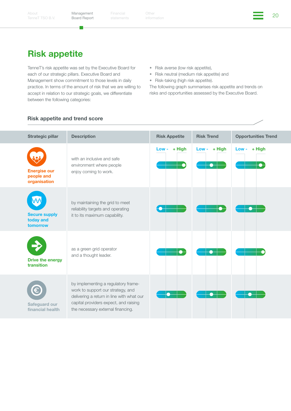Financial Other China of the China of the China of the China of the China of the China of the China of the China<br>Additional China of the China of the China of the China of the China of the China of the China of the China o Other

### Risk appetite

TenneT's risk appetite was set by the Executive Board for each of our strategic pillars. Executive Board and Management show commitment to those levels in daily practice. In terms of the amount of risk that we are willing to accept in relation to our strategic goals, we differentiate between the following categories:

- Risk averse (low risk appetite),
- Risk neutral (medium risk appetite) and
- Risk-taking (high risk appetite).

The following graph summarises risk appetite and trends on risks and opportunities assessed by the Executive Board.

#### Risk appetite and trend score

| <b>Strategic pillar</b>                           | <b>Description</b>                                                                                                                                                                                  | <b>Risk Appetite</b> | <b>Risk Trend</b> | <b>Opportunities Trend</b> |
|---------------------------------------------------|-----------------------------------------------------------------------------------------------------------------------------------------------------------------------------------------------------|----------------------|-------------------|----------------------------|
| <b>Energise our</b><br>people and<br>organisation | with an inclusive and safe<br>environment where people<br>enjoy coming to work.                                                                                                                     | $+$ High<br>Low -    | + High<br>Low -   | + High<br>Low -            |
| <b>Secure supply</b><br>today and<br>tomorrow     | by maintaining the grid to meet<br>reliability targets and operating<br>it to its maximum capability.                                                                                               |                      |                   |                            |
| <b>Drive the energy</b><br>transition             | as a green grid operator<br>and a thought leader.                                                                                                                                                   |                      |                   |                            |
| Safeguard our<br>financial health                 | by implementing a regulatory frame-<br>work to support our strategy, and<br>delivering a return in line with what our<br>capital providers expect, and raising<br>the necessary external financing. |                      |                   |                            |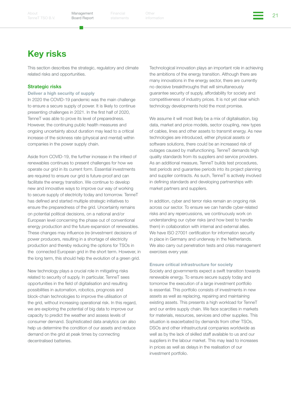Financial Other the Other Changes of the Changes of the Changes of the Changes of the Changes of the Changes of the Changes of the Changes of the Changes of the Changes of the Changes of the Changes of the Changes of the C

## Key risks

This section describes the strategic, regulatory and climate related risks and opportunities.

#### Strategic risks

#### Deliver a high security of supply

In 2020 the COVID-19 pandemic was the main challenge to ensure a secure supply of power. It is likely to continue presenting challenges in 2021. In the first half of 2020, TenneT was able to prove its level of preparedness. However, the continuing public health measures and ongoing uncertainty about duration may lead to a critical increase of the sickness rate (physical and mental) within companies in the power supply chain.

Aside from COVID-19, the further increase in the infeed of renewables continues to present challenges for how we operate our grid in its current form. Essential investments are required to ensure our grid is future-proof and can facilitate the energy transition. We continue to develop new and innovative ways to improve our way of working to secure supply of electricity today and tomorrow. TenneT has defined and started multiple strategic initiatives to ensure the preparedness of the grid. Uncertainty remains on potential political decisions, on a national and/or European level concerning the phase out of conventional energy production and the future expansion of renewables. These changes may influence (re-)investment decisions of power producers, resulting in a shortage of electricity production and thereby reducing the options for TSOs in the connected European grid in the short term. However, in the long term, this should help the evolution of a green grid.

New technology plays a crucial role in mitigating risks related to security of supply. In particular, TenneT sees opportunities in the field of digitalisation and resulting possibilities in automation, robotics, prognosis and block-chain technologies to improve the utilisation of the grid, without increasing operational risk. In this regard, we are exploring the potential of big data to improve our capacity to predict the weather and assess levels of consumer demand. Sophisticated data analytics can also help us determine the condition of our assets and reduce demand on the grid at peak times by connecting decentralised batteries.

Technological innovation plays an important role in achieving the ambitions of the energy transition. Although there are many innovations in the energy sector, there are currently no decisive breakthroughs that will simultaneously guarantee security of supply, affordability for society and competitiveness of industry prices. It is not yet clear which technology developments hold the most promise.

We assume it will most likely be a mix of digitalisation, big data, market and price models, sector coupling, new types of cables, lines and other assets to transmit energy. As new technologies are introduced, either physical assets or software solutions, there could be an increased risk of outages caused by malfunctioning. TenneT demands high quality standards from its suppliers and service providers. As an additional measure, TenneT builds test procedures, test periods and guarantee periods into its project planning and supplier contracts. As such, TenneT is actively involved in defining standards and developing partnerships with market partners and suppliers.

In addition, cyber and terror risks remain an ongoing risk across our sector. To ensure we can handle cyber-related risks and any repercussions, we continuously work on understanding our cyber risks (and how best to handle them) in collaboration with internal and external allies. We have ISO 27001 certification for information security in place in Germany and underway in the Netherlands. We also carry out penetration tests and crisis management exercises every year.

#### Ensure critical infrastructure for society

Society and governments expect a swift transition towards renewable energy. To ensure secure supply today and tomorrow the execution of a large investment portfolio is essential. This portfolio consists of investments in new assets as well as replacing, repairing and maintaining existing assets. This presents a high workload for TenneT and our entire supply chain. We face scarcities in markets for materials, resources, services and other supplies. This situation is exacerbated by demands from other TSOs, DSOs and other infrastructural companies worldwide as well as by the lack of skilled staff available to us and our suppliers in the labour market. This may lead to increases in prices as well as delays in the realisation of our investment portfolio.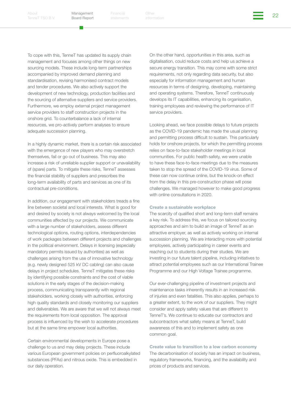Financial Other the Other Section of the Contract of the Contract of the Contract of the Contract of the Contra<br>Additional information

To cope with this, TenneT has updated its supply chain management and focuses among other things on new sourcing models. These include long-term partnerships accompanied by improved demand planning and standardisation, revising harmonised contract models and tender procedures. We also actively support the development of new technology, production facilities and the sourcing of alternative suppliers and service providers. Furthermore, we employ external project management service providers to staff construction projects in the onshore grid. To counterbalance a lack of internal resources, we pro-actively perform analyses to ensure adequate succession planning.

In a highly dynamic market, there is a certain risk associated with the emergence of new players who may overstretch themselves, fail or go out of business. This may also increase a risk of unreliable supplier support or unavailability of (spare) parts. To mitigate these risks, TenneT assesses the financial stability of suppliers and prescribes the long-term availability of parts and services as one of its contractual pre-conditions.

In addition, our engagement with stakeholders treads a fine line between societal and local interests. What is good for and desired by society is not always welcomed by the local communities affected by our projects. We communicate with a large number of stakeholders, assess different technological options, routing options, interdependencies of work packages between different projects and challenges in the political environment. Delays in licensing (especially mandatory permits issued by authorities) as well as challenges arising from the use of innovative technology (e.g. newly designed 525 kV DC cabling) can also cause delays in project schedules. TenneT mitigates these risks by identifying possible constraints and the cost of viable solutions in the early stages of the decision-making process, communicating transparently with regional stakeholders, working closely with authorities, enforcing high quality standards and closely monitoring our suppliers and deliverables. We are aware that we will not always meet the requirements from local opposition. The approval process is influenced by the wish to accelerate procedures but at the same time empower local authorities.

Certain environmental developments in Europe pose a challenge to us and may delay projects. These include various European government policies on perfluoroalkylated substances (PFAs) and nitrous oxide. This is embedded in our daily operation.

On the other hand, opportunities in this area, such as digitalisation, could reduce costs and help us achieve a secure energy transition. This may come with some strict requirements, not only regarding data security, but also especially for information management and human resources in terms of designing, developing, maintaining and operating systems. Therefore, TenneT continuously develops its IT capabilities, enhancing its organisation, training employees and reviewing the performance of IT service providers.

Looking ahead, we face possible delays to future projects as the COVID-19 pandemic has made the usual planning and permitting process difficult to sustain. This particularly holds for onshore projects, for which the permitting process relies on face-to-face stakeholder meetings in local communities. For public health safety, we were unable to have these face-to-face meetings due to the measures taken to stop the spread of the COVID-19 virus. Some of these can now continue online, but the knock-on effect from the delay in this pre-construction phase will pose challenges. We managed however to make good progress with online consultations in 2020.

#### Create a sustainable workplace

The scarcity of qualified short and long-term staff remains a key risk. To address this, we focus on tailored sourcing approaches and aim to build an image of TenneT as an attractive employer, as well as actively working on internal succession planning. We are interacting more with potential employees, actively participating in career events and reaching out to students during their studies. We are investing in our future talent pipeline, including initiatives to attract potential employees such as our International Trainee Programme and our High Voltage Trainee programme.

Our ever-challenging pipeline of investment projects and maintenance tasks inherently results in an increased risk of injuries and even fatalities. This also applies, perhaps to a greater extent, to the work of our suppliers. They might consider and apply safety values that are different to TenneT's. We continue to educate our contractors and subcontractors what safety means at TenneT, build awareness of this and to implement safety as one common goal.

Create value to transition to a low carbon economy The decarbonisation of society has an impact on business, regulatory frameworks, financing, and the availability and prices of products and services.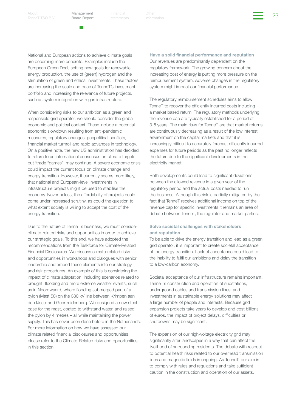[TenneT TSO B.V.](#page-2-1)

Management Board Report

Financial Other Philadelphia (1999)<br>atatamanta information

National and European actions to achieve climate goals are becoming more concrete. Examples include the European Green Deal, setting new goals for renewable energy production, the use of (green) hydrogen and the stimulation of green and ethical investments. These factors are increasing the scale and pace of TenneT's investment portfolio and increasing the relevance of future projects, such as system integration with gas infrastructure.

When considering risks to our ambition as a green and responsible grid operator, we should consider the global economic and political context. These include a potential economic slowdown resulting from anti-pandemic measures, regulatory changes, geopolitical conflicts, financial market turmoil and rapid advances in technology. On a positive note, the new US administration has decided to return to an international consensus on climate targets, but 'trade "games"' may continue. A severe economic crisis could impact the current focus on climate change and energy transition. However, it currently seems more likely, that national and European-level investments in infrastructure projects might be used to stabilise the economy. Nevertheless, the affordability of projects could come under increased scrutiny, as could the question to what extent society is willing to accept the cost of the energy transition.

Due to the nature of TenneT's business, we must consider climate-related risks and opportunities in order to achieve our strategic goals. To this end, we have adopted the recommendations from the Taskforce for Climate-Related Financial Disclosures. We discuss climate-related risks and opportunities in workshops and dialogues with senior leadership and embed these elements into our strategy and risk procedures. An example of this is considering the impact of climate adaptation, including scenarios related to drought, flooding and more extreme weather events, such as in Noordwaard, where flooding submerged part of a pylon (Mast 58) on the 380 kV line between Krimpen aan den IJssel and Geertruidenberg. We designed a new steel base for the mast, coated to withstand water, and raised the pylon by 4 metres – all while maintaining the power supply. This has never been done before in the Netherlands. For more information on how we have assessed our climate related financial disclosures and opportunities, please refer to the Climate-Related risks and opportunities in this section.

Have a solid financial performance and reputation Our revenues are predominantly dependent on the regulatory framework. The growing concern about the increasing cost of energy is putting more pressure on the reimbursement system. Adverse changes in the regulatory system might impact our financial performance.

The regulatory reimbursement schedules aims to allow TenneT to recover the efficiently incurred costs including a market based return. The regulatory methods underlying the revenue cap are typically established for a period of 3-5 years. The main risks for TenneT are that market returns are continuously decreasing as a result of the low interest environment on the capital markets and that it is increasingly difficult to accurately forecast efficiently incurred expenses for future periods as the past no longer reflects the future due to the significant developments in the electricity market.

Both developments could lead to significant deviations between the allowed revenue in a given year of the regulatory period and the actual costs needed to run the business. Although this risk is partially mitigated by the fact that TenneT receives additional income on top of the revenue cap for specific investments it remains an area of debate between TenneT, the regulator and market parties.

#### Solve societal challenges with stakeholders and reputation

To be able to drive the energy transition and lead as a green grid operator, it is important to create societal acceptance of the energy transition. Lack of acceptance could lead to the inability to fulfil our ambitions and delay the transition to a low-carbon economy.

Societal acceptance of our infrastructure remains important. TenneT's construction and operation of substations, underground cables and transmission lines, and investments in sustainable energy solutions may affect a large number of people and interests. Because grid expansion projects take years to develop and cost billions of euros, the impact of project delays, difficulties or shutdowns may be significant.

The expansion of our high-voltage electricity grid may significantly alter landscapes in a way that can affect the livelihood of surrounding residents. The debate with respect to potential health risks related to our overhead transmission lines and magnetic fields is ongoing. As TenneT, our aim is to comply with rules and regulations and take sufficient caution in the construction and operation of our assets.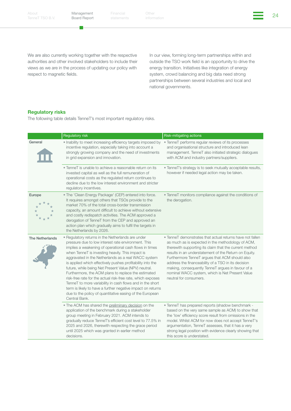m,

Financial Other the Other Changes of the Changes of the Changes of the Changes of the Changes of the Changes of the Changes of the Changes of the Changes of the Changes of the Changes of the Changes of the Changes of the C Other

We are also currently working together with the respective authorities and other involved stakeholders to include their views as we are in the process of updating our policy with respect to magnetic fields.

In our view, forming long-term partnerships within and outside the TSO work field is an opportunity to drive the energy transition. Initiatives like integration of energy system, crowd balancing and big data need strong partnerships between several industries and local and national governments.

#### Regulatory risks

The following table details TenneT's most important regulatory risks.

|                        | Regulatory risk                                                                                                                                                                                                                                                                                                                                                                                                                                                                                                                                                                                                                                                                                                                    | Risk-mitigating actions                                                                                                                                                                                                                                                                                                                                                                                                                                                      |
|------------------------|------------------------------------------------------------------------------------------------------------------------------------------------------------------------------------------------------------------------------------------------------------------------------------------------------------------------------------------------------------------------------------------------------------------------------------------------------------------------------------------------------------------------------------------------------------------------------------------------------------------------------------------------------------------------------------------------------------------------------------|------------------------------------------------------------------------------------------------------------------------------------------------------------------------------------------------------------------------------------------------------------------------------------------------------------------------------------------------------------------------------------------------------------------------------------------------------------------------------|
| General                | . Inability to meet increasing efficiency targets imposed by<br>incentive regulation, especially taking into account a<br>strongly growing company and the need of investments<br>in grid expansion and innovation.                                                                                                                                                                                                                                                                                                                                                                                                                                                                                                                | • TenneT performs regular reviews of its processes<br>and organisational structure and introduced lean<br>management. TenneT also initiated strategic dialogues<br>with ACM and industry partners/suppliers.                                                                                                                                                                                                                                                                 |
|                        | • TenneT is unable to achieve a reasonable return on its<br>invested capital as well as the full remuneration of<br>operational costs as the regulated return continues to<br>decline due to the low interest environment and stricter<br>regulatory incentives.                                                                                                                                                                                                                                                                                                                                                                                                                                                                   | · TenneT's strategy is to seek mutually acceptable results,<br>however if needed legal action may be taken.                                                                                                                                                                                                                                                                                                                                                                  |
| Europe                 | • The 'Clean Energy Package' (CEP) entered into force.<br>It requires amongst others that TSOs provide to the<br>market 70% of the total cross-border transmission<br>capacity, an amount difficult to achieve without extensive<br>and costly redispatch activities. The ACM approved a<br>derogation of TenneT from the CEP and approved an<br>action plan which gradually aims to fulfil the targets in<br>the Netherlands by 2026.                                                                                                                                                                                                                                                                                             | • TenneT monitors compliance against the conditions of<br>the derogation.                                                                                                                                                                                                                                                                                                                                                                                                    |
| <b>The Netherlands</b> | • Regulatory returns in the Netherlands are under<br>pressure due to low interest rate environment. This<br>implies a weakening of operational cash flows in times<br>when TenneT is investing heavily. This impact is<br>aggravated in the Netherlands as a real WACC system<br>is applied which effectively pushes profitability into the<br>future, while being Net Present Value (NPV) neutral.<br>Furthermore, the ACM plans to replace the estimated<br>risk-free rate for the actual risk-free rate, which exposes<br>TenneT to more variability in cash flows and in the short<br>term is likely to have a further negative impact on returns<br>due to the policy of quantitative easing of the European<br>Central Bank. | • TenneT demonstrates that actual returns have not fallen<br>as much as is expected in the methodology of ACM,<br>therewith supporting its claim that the current method<br>results in an understatement of the Return on Equity.<br>Furthermore TenneT argues that ACM should also<br>address the financeability of a TSO in its decision<br>making, consequently TenneT argues in favour of a<br>nominal WACC system, which is Net Present Value<br>neutral for consumers. |
|                        | • The ACM has shared the preliminary decision on the<br>application of the benchmark during a stakeholder<br>group meeting in February 2021. ACM intends to<br>gradually reduce TenneT's efficient cost level to 77.5% in<br>2025 and 2026, therewith respecting the grace period<br>until 2025 which was granted in earlier method<br>decisions.                                                                                                                                                                                                                                                                                                                                                                                  | • TenneT has prepared reports (shadow benchmark -<br>based on the very same sample as ACM) to show that<br>the 'low' efficiency score result from omissions in the<br>model. Whilst ACM for now does not accept TenneT's<br>argumentation, TenneT assesses, that it has a very<br>strong legal position with evidence clearly showing that<br>this score is understated.                                                                                                     |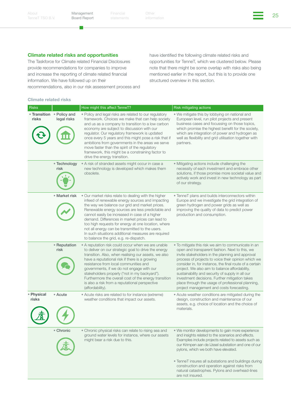m,

Financial Other the Other Changes of the Changes of the Changes of the Changes of the Changes of the Changes of the Changes of the Changes of the Changes of the Changes of the Changes of the Changes of the Changes of the C Other

#### Climate related risks and opportunities

The Taskforce for Climate related Financial Disclosures provide recommendations for companies to improve and increase the reporting of climate related financial information. We have followed up on their

recommendations, also in our risk assessment process and

#### Climate related risks

have identified the following climate related risks and opportunities for TenneT, which we clustered below. Please note that there might be some overlap with risks also being mentioned earlier in the report, but this is to provide one structured overview in this section.

| Risks               |                                          | How might this affect TenneT?                                                                                                                                                                                                                                                                                                                                                                                                                                                                                                    | Risk mitigating actions                                                                                                                                                                                                                                                                                                                                                                                                                                                                                                               |  |  |  |
|---------------------|------------------------------------------|----------------------------------------------------------------------------------------------------------------------------------------------------------------------------------------------------------------------------------------------------------------------------------------------------------------------------------------------------------------------------------------------------------------------------------------------------------------------------------------------------------------------------------|---------------------------------------------------------------------------------------------------------------------------------------------------------------------------------------------------------------------------------------------------------------------------------------------------------------------------------------------------------------------------------------------------------------------------------------------------------------------------------------------------------------------------------------|--|--|--|
| risks               | • Transition • Policy and<br>legal risks | • Policy and legal risks are related to our regulatory<br>framework. Choices we make that can help society<br>and us as a company to transition to a low carbon<br>economy are subject to discussion with our<br>regulator. Our regulatory framework is updated<br>once every 5 years and this might pose a risk that if<br>ambitions from governments in the areas we serve<br>move faster than the spirit of the regulatory<br>framework, this might be a constraining factor to<br>drive the energy transition.               | . We mitigate this by lobbying on national and<br>European level, run pilot projects and present<br>business cases and focussing on those topics,<br>which promise the highest benefit for the society,<br>which are integration of power and hydrogen as<br>well as flexibility and grid utilisation together with<br>partners.                                                                                                                                                                                                      |  |  |  |
|                     | • Technology<br>risk                     | • A risk of stranded assets might occur in case a<br>new technology is developed which makes them<br>obsolete.                                                                                                                                                                                                                                                                                                                                                                                                                   | • Mitigating actions include challenging the<br>necessity of each investment and embrace other<br>solutions, if those promise more societal value and<br>actively work and invest in new technology as part<br>of our strategy.                                                                                                                                                                                                                                                                                                       |  |  |  |
|                     | • Market risk                            | • Our market risks relate to dealing with the higher<br>infeed of renewable energy sources and impacting<br>the way we balance our grid and market prices.<br>Renewable energy sources are less predictable and<br>cannot easily be increased in case of a higher<br>demand. Differences in market prices can lead to<br>too high requests for energy at one location, where<br>not all energy can be transmitted to the users.<br>In such situations additional measures are required<br>to balance the grid, e.g. re-dispatch. | • TenneT plans and builds interconnectors within<br>Europe and we investigate the grid integration of<br>green hydrogen and power grids as well as<br>improving the quality of data to predict power<br>production and consumption.                                                                                                                                                                                                                                                                                                   |  |  |  |
|                     | • Reputation<br>risk                     | • A reputation risk could occur when we are unable<br>to deliver on our strategic goal to drive the energy<br>transition. Also, when realising our assets, we also<br>have a reputational risk if there is a growing<br>resistance from local communities and<br>governments, if we do not engage with our<br>stakeholders properly ("not in my backyard").<br>Furthermore the overall cost of the energy transition<br>is also a risk from a reputational perspective<br>(affordability).                                       | • To mitigate this risk we aim to communicate in an<br>open and transparent fashion. Next to this, we<br>invite stakeholders in the planning and approval<br>process of projects to voice their opinion which we<br>consider in, for instance, the final route of a certain<br>project. We also aim to balance affordability,<br>sustainability and security of supply in all our<br>investment decisions. Further mitigation takes<br>place through the usage of professional planning,<br>project management and costs forecasting. |  |  |  |
| • Physical<br>risks | • Acute                                  | • Acute risks are related to for instance (extreme)<br>weather conditions that impact our assets.                                                                                                                                                                                                                                                                                                                                                                                                                                | • Acute weather conditions are mitigated during the<br>design, construction and maintenance of our<br>assets, e.g. choice of location and the choice of<br>materials.                                                                                                                                                                                                                                                                                                                                                                 |  |  |  |
|                     | • Chronic                                | • Chronic physical risks can relate to rising sea and<br>ground water levels for instance, where our assets<br>might bear a risk due to this.                                                                                                                                                                                                                                                                                                                                                                                    | • We monitor developments to gain more experience<br>and insights related to the scenarios and effects.<br>Examples include projects related to assets such as<br>our Krimpen aan de IJssel substation and one of our<br>pylons, which we both have elevated.<br>• TenneT insures all substations and buildings during<br>construction and operation against risks from<br>natural catastrophes. Pylons and overhead-lines<br>are not insured.                                                                                        |  |  |  |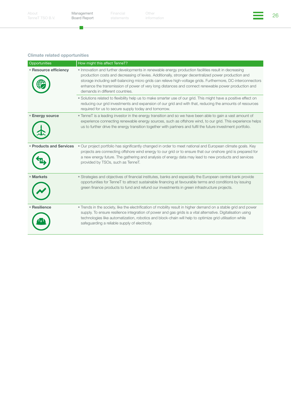$\mathcal{L}$ 

Financial Other the Other Changes of the Changes of the Changes of the Changes of the Changes of the Changes of the Changes of the Changes of the Changes of the Changes of the Changes of the Changes of the Changes of the C Other

#### Climate related opportunities

| Opportunities                  | How might this affect TenneT?                                                                                                                                                                                                                                                                                                                                                                                                                                          |
|--------------------------------|------------------------------------------------------------------------------------------------------------------------------------------------------------------------------------------------------------------------------------------------------------------------------------------------------------------------------------------------------------------------------------------------------------------------------------------------------------------------|
| • Resource efficiency          | • Innovation and further developments in renewable energy production facilities result in decreasing<br>production costs and decreasing of levies. Additionally, stronger decentralized power production and<br>storage including self-balancing micro grids can relieve high-voltage grids. Furthermore, DC-interconnectors<br>enhance the transmission of power of very long distances and connect renewable power production and<br>demands in different countries. |
|                                | . Solutions related to flexibility help us to make smarter use of our grid. This might have a positive effect on<br>reducing our grid investments and expansion of our grid and with that, reducing the amounts of resources<br>required for us to secure supply today and tomorrow.                                                                                                                                                                                   |
| <b>Energy source</b>           | • TenneT is a leading investor in the energy transition and so we have been able to gain a vast amount of<br>experience connecting renewable energy sources, such as offshore wind, to our grid. This experience helps<br>us to further drive the energy transition together with partners and fulfil the future investment portfolio.                                                                                                                                 |
| <b>• Products and Services</b> | • Our project portfolio has significantly changed in order to meet national and European climate goals. Key<br>projects are connecting offshore wind energy to our grid or to ensure that our onshore grid is prepared for<br>a new energy future. The gathering and analysis of energy data may lead to new products and services<br>provided by TSOs, such as TenneT.                                                                                                |
| • Markets                      | • Strategies and objectives of financial institutes, banks and especially the European central bank provide<br>opportunities for TenneT to attract sustainable financing at favourable terms and conditions by issuing<br>green finance products to fund and refund our investments in green infrastructure projects.                                                                                                                                                  |
| • Resilience                   | . Trends in the society, like the electrification of mobility result in higher demand on a stable grid and power<br>supply. To ensure resilience integration of power and gas grids is a vital alternative. Digitalisation using<br>technologies like automatization, robotics and block-chain will help to optimize grid utilisation while<br>safequarding a reliable supply of electricity.                                                                          |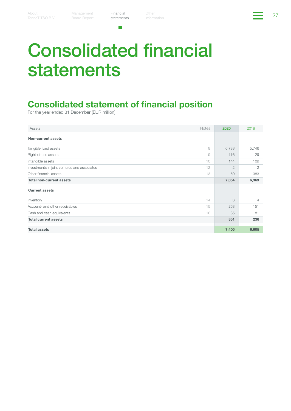[statements](#page-26-1)

Financial Other Philadelphia (1992)<br>etatemente information Other

# <span id="page-26-1"></span><span id="page-26-0"></span>Consolidated financial statements

# Consolidated statement of financial position

| Assets                                       | <b>Notes</b> | 2020           | 2019  |
|----------------------------------------------|--------------|----------------|-------|
| Non-current assets                           |              |                |       |
| Tangible fixed assets                        | 8            | 6,733          | 5,746 |
| Right-of-use assets                          | 9            | 116            | 129   |
| Intangible assets                            | 10           | 144            | 109   |
| Investments in joint ventures and associates | 12           | $\overline{2}$ | 2     |
| Other financial assets                       | 13           | 59             | 383   |
| <b>Total non-current assets</b>              |              | 7,054          | 6,369 |
| <b>Current assets</b>                        |              |                |       |
| Inventory                                    | 14           | 3              | 4     |
| Account- and other receivables               | 15           | 263            | 151   |
| Cash and cash equivalents                    | 16           | 85             | 81    |
| <b>Total current assets</b>                  |              | 351            | 236   |
| <b>Total assets</b>                          |              | 7,405          | 6,605 |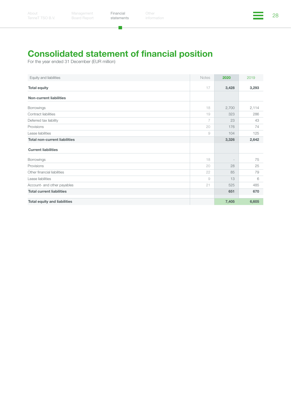$\mathbf{L}$ 

# Consolidated statement of financial position

| Equity and liabilities               | <b>Notes</b> | 2020                     | 2019  |
|--------------------------------------|--------------|--------------------------|-------|
| <b>Total equity</b>                  | 17           | 3,428                    | 3,293 |
| <b>Non-current liabilities</b>       |              |                          |       |
| Borrowings                           | 18           | 2,700                    | 2,114 |
| Contract liabilities                 | 19           | 323                      | 286   |
| Deferred tax liability               | 7            | 23                       | 43    |
| Provisions                           | 20           | 176                      | 74    |
| Lease liabilities                    | 9            | 104                      | 125   |
| <b>Total non-current liabilities</b> |              | 3,326                    | 2,642 |
| <b>Current liabilities</b>           |              |                          |       |
| <b>Borrowings</b>                    | 18           | $\overline{\phantom{a}}$ | 75    |
| Provisions                           | 20           | 28                       | 25    |
| Other financial liabilities          | 22           | 85                       | 79    |
| Lease liabilities                    | 9            | 13                       | 6     |
| Account- and other payables          | 21           | 525                      | 485   |
| <b>Total current liabilities</b>     |              | 651                      | 670   |
| <b>Total equity and liabilities</b>  |              | 7,405                    | 6,605 |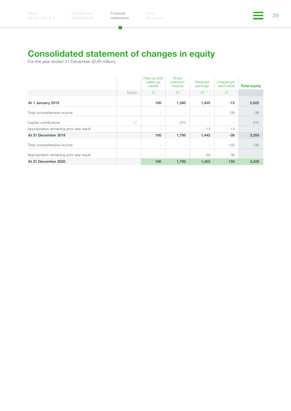# Consolidated statement of changes in equity

 $\mathbf{L}$ 

|                                           |              | Paid-up and<br>called-up<br>capital | Share<br>premium<br>reserve | Retained<br>earnings     | Unappropri-<br>ated result | <b>Total equity</b> |
|-------------------------------------------|--------------|-------------------------------------|-----------------------------|--------------------------|----------------------------|---------------------|
|                                           | <b>Notes</b> | 17                                  | 17                          | 17                       | 17                         |                     |
| At 1 January 2019                         |              | 100                                 | 1,380                       | 1,455                    | $-13$                      | 2,922               |
| Total comprehensive income                |              | $\overline{\phantom{a}}$            | $\overline{\phantom{a}}$    | $\sim$                   | $-39$                      | $-39$               |
| Capital contributions                     | 17           | $\overline{\phantom{a}}$            | 410                         | $\overline{\phantom{a}}$ | $\overline{\phantom{a}}$   | 410                 |
| Appropriation remaining prior year result |              | $\overline{\phantom{a}}$            | $\overline{\phantom{a}}$    | $-13$                    | 13                         |                     |
| At 31 December 2019                       |              | 100                                 | 1,790                       | 1,442                    | $-39$                      | 3,293               |
| Total comprehensive income                |              | $\overline{\phantom{a}}$            | $\sim$                      | $\sim$                   | 135                        | 135                 |
| Appropriation remaining prior year result |              | $\overline{\phantom{a}}$            | $\overline{\phantom{a}}$    | $-39$                    | 39                         |                     |
| At 31 December 2020                       |              | 100                                 | 1,790                       | 1,403                    | 135                        | 3,428               |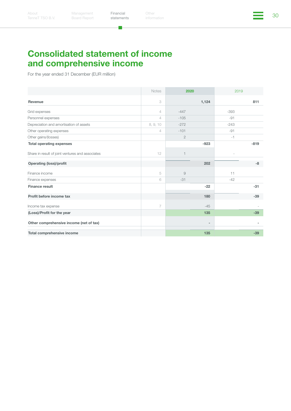×.

Financial Other Chemical Chemical Chemical Statements (30 September 20 September 20 September 20 September 20<br>Statements information Other

# Consolidated statement of income and comprehensive income

|                                                  | <b>Notes</b>             | 2020           |                          | 2019   |        |
|--------------------------------------------------|--------------------------|----------------|--------------------------|--------|--------|
| Revenue                                          | 3                        |                | 1,124                    |        | 811    |
| Grid expenses                                    | $\overline{4}$           | $-447$         |                          | $-393$ |        |
| Personnel expenses                               | $\overline{\mathcal{L}}$ | $-105$         |                          | $-91$  |        |
| Depreciation and amortisation of assets          | 8, 9, 10                 | $-272$         |                          | $-243$ |        |
| Other operating expenses                         | $\overline{4}$           | $-101$         |                          | $-91$  |        |
| Other gains/(losses)                             |                          | $\mathbf{2}$   |                          | $-1$   |        |
| <b>Total operating expenses</b>                  |                          |                | $-923$                   |        | $-819$ |
| Share in result of joint ventures and associates | 12                       | $\overline{1}$ |                          |        |        |
| <b>Operating (loss)/profit</b>                   |                          |                | 202                      |        | -8     |
| Finance income                                   | 5                        | $\overline{9}$ |                          | 11     |        |
| Finance expenses                                 | 6                        | $-31$          |                          | $-42$  |        |
| <b>Finance result</b>                            |                          |                | $-22$                    |        | $-31$  |
| Profit before income tax                         |                          |                | 180                      |        | $-39$  |
| Income tax expense                               | 7                        |                | $-45$                    |        |        |
| (Loss)/Profit for the year                       |                          |                | 135                      |        | $-39$  |
| Other comprehensive income (net of tax)          |                          |                | $\overline{\phantom{a}}$ |        |        |
| Total comprehensive income                       |                          |                | 135                      |        | $-39$  |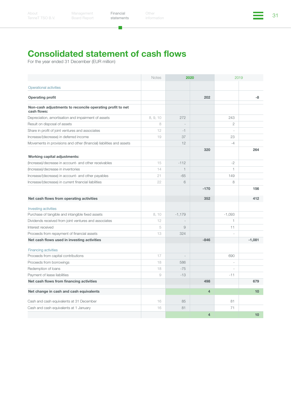Đ.

# Consolidated statement of cash flows

|                                                                          | <b>Notes</b> | 2020           |                | 2019           |                  |
|--------------------------------------------------------------------------|--------------|----------------|----------------|----------------|------------------|
| Operational activities                                                   |              |                |                |                |                  |
| <b>Operating profit</b>                                                  |              |                | 202            |                | -8               |
| Non-cash adjustments to reconcile operating profit to net<br>cash flows: |              |                |                |                |                  |
| Depreciation, amortisation and impairment of assets                      | 8, 9, 10     | 272            |                | 243            |                  |
| Result on disposal of assets                                             | 8            |                |                | $\overline{2}$ |                  |
| Share in profit of joint ventures and associates                         | 12           | $-1$           |                | $\overline{a}$ |                  |
| Increase/(decrease) in deferred income                                   | 19           | 37             |                | 23             |                  |
| Movements in provisions and other (financial) liabilities and assets     |              | 12             |                | $-4$           |                  |
| Working capital adjustments:                                             |              |                | 320            |                | 264              |
| (Increase)/decrease in account- and other receivables                    | 15           | $-112$         |                | $-2$           |                  |
| (Increase)/decrease in inventories                                       | 14           | $\mathbf{1}$   |                | $\mathbf{1}$   |                  |
| Increase/(decrease) in account- and other payables                       | 21           | $-65$          |                | 149            |                  |
| Increase/(decrease) in current financial liabilities                     | 22           | 6              |                | 8              |                  |
|                                                                          |              |                | $-170$         |                | 156              |
| Net cash flows from operating activities                                 |              |                | 352            |                | 412              |
| Investing activities                                                     |              |                |                |                |                  |
| Purchase of tangible and intangible fixed assets                         | 8,10         | $-1,179$       |                | $-1,093$       |                  |
| Dividends received from joint ventures and associates                    | 12           | $\sim$         |                | $\mathbf{1}$   |                  |
| Interest received                                                        | 5            | $\overline{9}$ |                | 11             |                  |
| Proceeds from repayment of financial assets                              | 13           | 324            |                |                |                  |
| Net cash flows used in investing activities                              |              |                | $-846$         |                | $-1.081$         |
| <b>Financing activities</b>                                              |              |                |                |                |                  |
| Proceeds from capital contributions                                      | 17           | $\bar{ }$      |                | 690            |                  |
| Proceeds from borrowings                                                 | 18           | 586            |                | ÷,             |                  |
| Redemption of loans                                                      | 18           | $-75$          |                |                |                  |
| Payment of lease liabilities                                             | 9            | $-13$          |                | $-11$          |                  |
| Net cash flows from financing activities                                 |              |                | 498            |                | 679              |
| Net change in cash and cash equivalents                                  |              |                | $\overline{4}$ |                | 10 <sup>10</sup> |
| Cash and cash equivalents at 31 December                                 | 16           | 85             |                | 81             |                  |
| Cash and cash equivalents at 1 January                                   | 16           | 81             |                | 71             |                  |
|                                                                          |              |                | $\overline{4}$ |                | 10               |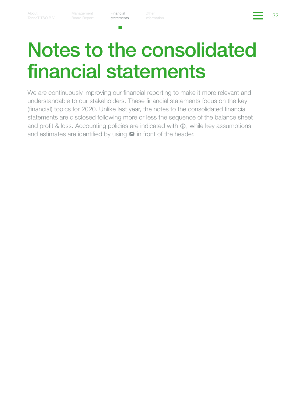[statements](#page-26-1)

Financial Other Structures (1992)<br>atatamente information Other

# <span id="page-31-0"></span>Notes to the consolidated financial statements

We are continuously improving our financial reporting to make it more relevant and understandable to our stakeholders. These financial statements focus on the key (financial) topics for 2020. Unlike last year, the notes to the consolidated financial statements are disclosed following more or less the sequence of the balance sheet and profit & loss. Accounting policies are indicated with  $\oplus$ , while key assumptions and estimates are identified by using \*\* in front of the header.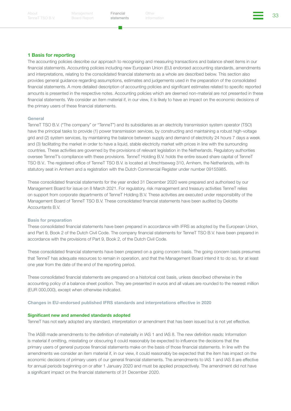[statements](#page-26-1)

Financial Other Structures (1999)<br>atatamente information

#### 1 Basis for reporting

The accounting policies describe our approach to recognising and measuring transactions and balance sheet items in our financial statements. Accounting policies including new European Union (EU) endorsed accounting standards, amendments and interpretations, relating to the consolidated financial statements as a whole are described below. This section also provides general guidance regarding assumptions, estimates and judgements used in the preparation of the consolidated financial statements. A more detailed description of accounting policies and significant estimates related to specific reported amounts is presented in the respective notes. Accounting policies which are deemed non-material are not presented in these financial statements. We consider an item material if, in our view, it is likely to have an impact on the economic decisions of the primary users of these financial statements.

#### General

TenneT TSO B.V. ("The company" or "TenneT") and its subsidiaries as an electricity transmission system operator (TSO) have the principal tasks to provide (1) power transmission services, by constructing and maintaining a robust high-voltage grid and (2) system services, by maintaining the balance between supply and demand of electricity 24 hours 7 days a week and (3) facilitating the market in order to have a liquid, stable electricity market with prices in line with the surrounding countries. These activities are governed by the provisions of relevant legislation in the Netherlands. Regulatory authorities oversee TenneT's compliance with these provisions. TenneT Holding B.V. holds the entire issued share capital of TenneT TSO B.V.. The registered office of TenneT TSO B.V. is located at Utrechtseweg 310, Arnhem, the Netherlands, with its statutory seat in Arnhem and a registration with the Dutch Commercial Register under number 09155985.

These consolidated financial statements for the year ended 31 December 2020 were prepared and authorised by our Management Board for issue on 8 March 2021. For regulatory, risk management and treasury activities TenneT relies on support from corporate departments of TenneT Holding B.V. These activities are executed under responsibility of the Management Board of TenneT TSO B.V. These consolidated financial statements have been audited by Deloitte Accountants B.V.

#### Basis for preparation

These consolidated financial statements have been prepared in accordance with IFRS as adopted by the European Union, and Part 9, Book 2 of the Dutch Civil Code. The company financial statements for TenneT TSO B.V. have been prepared in accordance with the provisions of Part 9, Book 2, of the Dutch Civil Code.

These consolidated financial statements have been prepared on a going concern basis. The going concern basis presumes that TenneT has adequate resources to remain in operation, and that the Management Board intend it to do so, for at least one year from the date of the end of the reporting period.

These consolidated financial statements are prepared on a historical cost basis, unless described otherwise in the accounting policy of a balance sheet position. They are presented in euros and all values are rounded to the nearest million (EUR 000,000), except when otherwise indicated.

#### Changes in EU-endorsed published IFRS standards and interpretations effective in 2020

#### Significant new and amended standards adopted

TenneT has not early adopted any standard, interpretation or amendment that has been issued but is not yet effective.

The IASB made amendments to the definition of materiality in IAS 1 and IAS 8. The new definition reads: Information is material if omitting, misstating or obscuring it could reasonably be expected to influence the decisions that the primary users of general purpose financial statements make on the basis of those financial statements. In line with the amendments we consider an item material if, in our view, it could reasonably be expected that the item has impact on the economic decisions of primary users of our general financial statements. The amendments to IAS 1 and IAS 8 are effective for annual periods beginning on or after 1 January 2020 and must be applied prospectively. The amendment did not have a significant impact on the financial statements of 31 December 2020.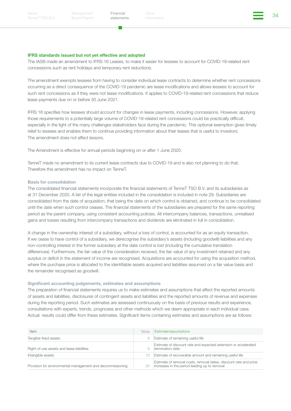[statements](#page-26-1)

Financial Other Structures of the Structures of the Structures of the Structures of the Structures of the Structures of the Structures of the Structures of the Structures of the Structures of the Structures of the Structur

#### IFRS standards issued but not yet effective and adopted

The IASB made an amendment to IFRS 16 Leases, to make it easier for lessees to account for COVID-19-related rent concessions such as rent holidays and temporary rent reductions.

The amendment exempts lessees from having to consider individual lease contracts to determine whether rent concessions occurring as a direct consequence of the COVID-19 pandemic are lease modifications and allows lessees to account for such rent concessions as if they were not lease modifications. It applies to COVID-19-related rent concessions that reduce lease payments due on or before 30 June 2021.

IFRS 16 specifies how lessees should account for changes in lease payments, including concessions. However, applying those requirements to a potentially large volume of COVID-19-related rent concessions could be practically difficult, especially in the light of the many challenges stakeholders face during the pandemic. This optional exemption gives timely relief to lessees and enables them to continue providing information about their leases that is useful to investors. The amendment does not affect lessors.

The Amendment is effective for annual periods beginning on or after 1 June 2020.

TenneT made no amendment to its current lease contracts due to COVID-19 and is also not planning to do that. Therefore this amendment has no impact on TenneT.

#### Basis for consolidation

The consolidated financial statements incorporate the financial statements of TenneT TSO B.V. and its subsidiaries as at 31 December 2020. A list of the legal entities included in the consolidation is included in note 29. Subsidiaries are consolidated from the date of acquisition, that being the date on which control is obtained, and continue to be consolidated until the date when such control ceases. The financial statements of the subsidiaries are prepared for the same reporting period as the parent company, using consistent accounting policies. All intercompany balances, transactions, unrealised gains and losses resulting from intercompany transactions and dividends are eliminated in full in consolidation.

A change in the ownership interest of a subsidiary, without a loss of control, is accounted for as an equity transaction. If we cease to have control of a subsidiary, we derecognise the subsidiary's assets (including goodwill) liabilities and any non-controlling interest in the former subsidiary at the date control is lost (including the cumulative translation differences). Furthermore, the fair value of the consideration received, the fair value of any investment retained and any surplus or deficit in the statement of income are recognised. Acquisitions are accounted for using the acquisition method, where the purchase price is allocated to the identifiable assets acquired and liabilities assumed on a fair value basis and the remainder recognised as goodwill.

#### Significant accounting judgements, estimates and assumptions

The preparation of financial statements requires us to make estimates and assumptions that affect the reported amounts of assets and liabilities, disclosures of contingent assets and liabilities and the reported amounts of revenue and expenses during the reporting period. Such estimates are assessed continuously on the basis of previous results and experience, consultations with experts, trends, prognoses and other methods which we deem appropriate in each individual case. Actual results could differ from these estimates. Significant items containing estimates and assumptions are as follows:

| <b>Item</b>                                                | Note | Estimate/assumptions                                                                                               |
|------------------------------------------------------------|------|--------------------------------------------------------------------------------------------------------------------|
| Tangible fixed assets                                      | 8    | Estimate of remaining useful life                                                                                  |
| Right-of-use assets and lease liabilities                  | 9    | Estimate of discount rate and expected extension or accelerated<br>termination date                                |
| Intangible assets                                          | 10   | Estimate of recoverable amount and remaining useful life                                                           |
| Provision for environmental management and decommissioning | 20   | Estimate of removal costs, removal dates, discount rate and price<br>increases in the period leading up to removal |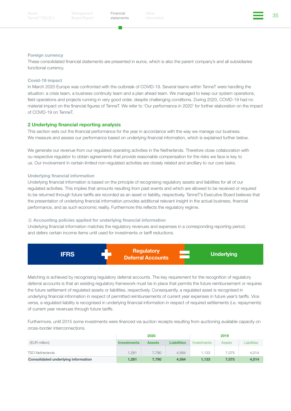[TenneT TSO B.V.](#page-2-1)

Management Board Report [statements](#page-26-1)

Financial Other Structures of the Structures of the Structures of the Structures of the Structures of the Structures of the Structures of the Structures of the Structures of the Structures of the Structures of the Structur

#### Foreign currency

These consolidated financial statements are presented in euros, which is also the parent company's and all subsidiaries functional currency.

#### Covid-19 impact

In March 2020 Europe was confronted with the outbreak of COVID-19. Several teams within TenneT were handling the situation: a crisis team, a business continuity team and a plan ahead team. We managed to keep our system operations, field operations and projects running in very good order, despite challenging conditions. During 2020, COVID-19 had no material impact on the financial figures of TenneT. We refer to 'Our performance in 2020' for further elaboration on the impact of COVID-19 on TenneT.

#### 2 Underlying financial reporting analysis

This section sets out the financial performance for the year in accordance with the way we manage our business. We measure and assess our performance based on underlying financial information, which is explained further below.

We generate our revenue from our regulated operating activities in the Netherlands. Therefore close collaboration with ou respective regulator to obtain agreements that provide reasonable compensation for the risks we face is key to us. Our involvement in certain limited non-regulated activities are closely related and ancillary to our core tasks.

#### Underlying financial information

Underlying financial information is based on the principle of recognising regulatory assets and liabilities for all of our regulated activities. This implies that amounts resulting from past events and which are allowed to be received or required to be returned through future tariffs are recorded as an asset or liability, respectively. TenneT's Executive Board believes that the presentation of underlying financial information provides additional relevant insight in the actual business, financial performance, and as such economic reality. Furthermore this reflects the regulatory regime.

#### $i$  Accounting policies applied for underlying financial information

Underlying financial information matches the regulatory revenues and expenses in a corresponding reporting period, and defers certain income items until used for investments or tariff reductions.



Matching is achieved by recognising regulatory deferral accounts. The key requirement for the recognition of regulatory deferral accounts is that an existing regulatory framework must be in place that permits the future reimbursement or requires the future settlement of regulated assets or liabilities, respectively. Consequently, a regulated asset is recognised in underlying financial information in respect of permitted reimbursements of current year expenses in future year's tariffs. Vice versa, a regulated liability is recognised in underlying financial information in respect of required settlements (i.e. repayments) of current year revenues through future tariffs.

Furthermore, until 2015 some investments were financed via auction receipts resulting from auctioning available capacity on cross-border interconnections.

|                                     | 2020               |               |                    | 2019        |               |                    |
|-------------------------------------|--------------------|---------------|--------------------|-------------|---------------|--------------------|
| (EUR million)                       | <b>Investments</b> | <b>Assets</b> | <b>Liabilities</b> | Investments | <b>Assets</b> | <b>Liabilities</b> |
| <b>TSO Netherlands</b>              | .281               | 7.790         | 4.564              | 1.133       | 7.075         | 4,014              |
| Consolidated underlying information | 1,281              | 7.790         | 4.564              | 1.133       | 7.075         | 4,014              |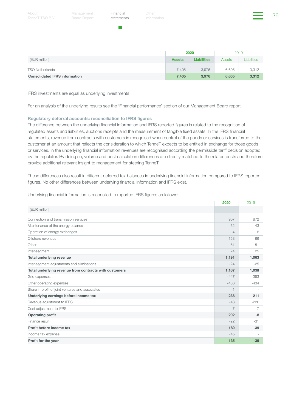|                                      | 2020          |                    | 2019   |                    |
|--------------------------------------|---------------|--------------------|--------|--------------------|
| (EUR million)                        | <b>Assets</b> | <b>Liabilities</b> | Assets | <b>Liabilities</b> |
| <b>TSO Netherlands</b>               | 7,405         | 3,976              | 6,605  | 3,312              |
| <b>Consolidated IFRS information</b> | 7.405         | 3,976              | 6.605  | 3,312              |

IFRS investments are equal as underlying investments

For an analysis of the underlying results see the 'Financial performance' section of our Management Board report.

#### Regulatory deferral accounts: reconciliation to IFRS figures

The difference between the underlying financial information and IFRS reported figures is related to the recognition of regulated assets and liabilities, auctions receipts and the measurement of tangible fixed assets. In the IFRS financial statements, revenue from contracts with customers is recognised when control of the goods or services is transferred to the customer at an amount that reflects the consideration to which TenneT expects to be entitled in exchange for those goods or services. In the underlying financial information revenues are recognised according the permissible tariff decision adopted by the regulator. By doing so, volume and post calculation differences are directly matched to the related costs and therefore provide additional relevant insight to management for steering TenneT.

These differences also result in different deferred tax balances in underlying financial information compared to IFRS reported figures. No other differences between underlying financial information and IFRS exist.

Underlying financial information is reconciled to reported IFRS figures as follows:

|                                                        | 2020           | 2019                     |
|--------------------------------------------------------|----------------|--------------------------|
| (EUR million)                                          |                |                          |
| Connection and transmission services                   | 907            | 872                      |
| Maintenance of the energy balance                      | 52             | 43                       |
| Operation of energy exchanges                          | $\overline{4}$ | 6                        |
| Offshore revenues                                      | 153            | 66                       |
| Other                                                  | 51             | 51                       |
| Inter-segment                                          | 24             | 25                       |
| <b>Total underlying revenue</b>                        | 1,191          | 1,063                    |
| Inter-segment adjustments and eliminations             | $-24$          | $-25$                    |
| Total underlying revenue from contracts with customers | 1,167          | 1,038                    |
| Grid expenses                                          | $-447$         | $-393$                   |
| Other operating expenses                               | $-483$         | $-434$                   |
| Share in profit of joint ventures and associates       | $\overline{1}$ | $\overline{\phantom{a}}$ |
| Underlying earnings before income tax                  | 238            | 211                      |
| Revenue adjustment to IFRS                             | $-43$          | $-226$                   |
| Cost adjustment to IFRS                                | $\overline{7}$ | 7                        |
| <b>Operating profit</b>                                | 202            | $-8$                     |
| Finance result                                         | $-22$          | $-31$                    |
| Profit before income tax                               | 180            | $-39$                    |
| Income tax expense                                     | $-45$          |                          |
| Profit for the year                                    | 135            | $-39$                    |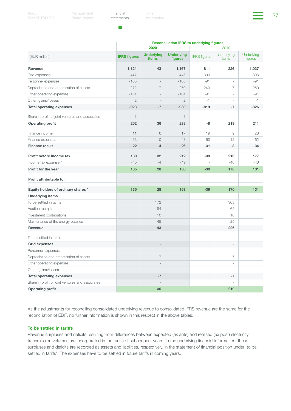г.

Other



|                                                  | <b>Reconciliation IFRS to underlying figures</b><br>2020<br>2019 |                                   |                              |                     |                          |                       |
|--------------------------------------------------|------------------------------------------------------------------|-----------------------------------|------------------------------|---------------------|--------------------------|-----------------------|
| (EUR million)                                    | <b>IFRS figures</b>                                              | <b>Underlying</b><br><b>items</b> | <b>Underlying</b><br>figures | <b>IFRS</b> figures | Underlying<br>items      | Underlying<br>figures |
| Revenue                                          | 1,124                                                            | 43                                | 1,167                        | 811                 | 226                      | 1,037                 |
| Grid expenses                                    | $-447$                                                           | $\bar{ }$                         | $-447$                       | $-393$              |                          | $-393$                |
| Personnel expenses                               | $-105$                                                           | $\bar{a}$                         | $-105$                       | $-91$               | $\overline{a}$           | $-91$                 |
| Depreciation and amortisation of assets          | $-272$                                                           | $-7$                              | $-279$                       | $-243$              | $-7$                     | $-250$                |
| Other operating expenses                         | $-101$                                                           | $\overline{\phantom{a}}$          | $-101$                       | $-91$               | $\sim$                   | -91                   |
| Other (gains)/losses                             | $\overline{2}$                                                   | $\sim$                            | $\overline{2}$               | $-1$                | $\sim$                   | $-1$                  |
| <b>Total operating expenses</b>                  | $-923$                                                           | $-7$                              | $-930$                       | $-819$              | $-7$                     | $-826$                |
| Share in profit of joint ventures and associates | $\mathbf{1}$                                                     |                                   | $\mathbf{1}$                 |                     |                          |                       |
| <b>Operating profit</b>                          | 202                                                              | 36                                | 238                          | -8                  | 219                      | 211                   |
| Finance income                                   | 11                                                               | 6                                 | 17                           | 19                  | 9                        | 28                    |
| Finance expenses                                 | $-33$                                                            | $-10$                             | $-43$                        | $-50$               | $-12$                    | $-62$                 |
| <b>Finance result</b>                            | $-22$                                                            | $-4$                              | $-26$                        | $-31$               | $-3$                     | $-34$                 |
| Profit before income tax                         | 180                                                              | 32                                | 212                          | $-39$               | 216                      | 177                   |
| Income tax expense *                             | $-45$                                                            | $-4$                              | $-49$                        |                     | $-46$                    | $-46$                 |
| Profit for the year                              | 135                                                              | 28                                | 163                          | $-39$               | 170                      | 131                   |
| Profit attributable to:                          |                                                                  |                                   |                              |                     |                          |                       |
| Equity holders of ordinary shares *              | 135                                                              | 28                                | 163                          | $-39$               | 170                      | 131                   |
| <b>Underlying items</b>                          |                                                                  |                                   |                              |                     |                          |                       |
| To be settled in tariffs                         |                                                                  | 172                               |                              |                     | 303                      |                       |
| Auction receipts                                 |                                                                  | $-94$                             |                              |                     | $-62$                    |                       |
| Investment contributions                         |                                                                  | 10                                |                              |                     | 10                       |                       |
| Maintenance of the energy balance                |                                                                  | $-45$                             |                              |                     | $-25$                    |                       |
| Revenue                                          |                                                                  | 43                                |                              |                     | 226                      |                       |
| To be settled in tariffs                         |                                                                  | $\overline{a}$                    |                              |                     | ÷,                       |                       |
| <b>Grid expenses</b>                             |                                                                  | $\overline{\phantom{m}}$          |                              |                     | $\sim$                   |                       |
| Personnel expenses                               |                                                                  | $\overline{\phantom{a}}$          |                              |                     | $\sim$                   |                       |
| Depreciation and amortisation of assets          |                                                                  | $-7$                              |                              |                     | $-7$                     |                       |
| Other operating expenses                         |                                                                  | $\overline{\phantom{a}}$          |                              |                     | $\sim$                   |                       |
| Other (gains)/losses                             |                                                                  | $\overline{\phantom{a}}$          |                              |                     | $\overline{\phantom{a}}$ |                       |
| <b>Total operating expenses</b>                  |                                                                  | $-7$                              |                              |                     | $-7$                     |                       |
| Share in profit of joint ventures and associates |                                                                  |                                   |                              |                     |                          |                       |
| <b>Operating profit</b>                          |                                                                  | 36                                |                              |                     | 219                      |                       |

As the adjustments for reconciling consolidated underlying revenue to consolidated IFRS revenue are the same for the reconciliation of EBIT, no further information is shown in this respect in the above tables.

#### To be settled in tariffs

Revenue surpluses and deficits resulting from differences between expected (ex ante) and realised (ex post) electricity transmission volumes are incorporated in the tariffs of subsequent years. In the underlying financial information, these surpluses and deficits are recorded as assets and liabilities, respectively, in the statement of financial position under 'to be settled in tariffs'. The expenses have to be settled in future tariffs in coming years.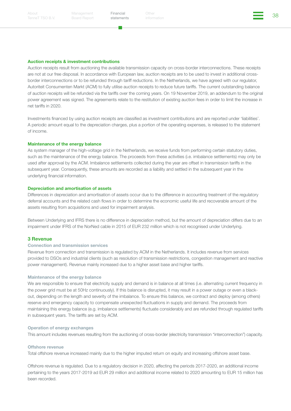Financial Other Structures (1999)<br>atatamente information

#### Auction receipts & investment contributions

Auction receipts result from auctioning the available transmission capacity on cross-border interconnections. These receipts are not at our free disposal. In accordance with European law, auction receipts are to be used to invest in additional crossborder interconnections or to be refunded through tariff reductions. In the Netherlands, we have agreed with our regulator, Autoriteit Consumenten Markt (ACM) to fully utilise auction receipts to reduce future tariffs. The current outstanding balance of auction receipts will be refunded via the tariffs over the coming years. On 19 November 2019, an addendum to the original power agreement was signed. The agreements relate to the restitution of existing auction fees in order to limit the increase in net tariffs in 2020.

Investments financed by using auction receipts are classified as investment contributions and are reported under 'liabilities'. A periodic amount equal to the depreciation charges, plus a portion of the operating expenses, is released to the statement of income.

#### Maintenance of the energy balance

As system manager of the high-voltage grid in the Netherlands, we receive funds from performing certain statutory duties, such as the maintenance of the energy balance. The proceeds from these activities (i.e. imbalance settlements) may only be used after approval by the ACM. Imbalance settlements collected during the year are offset in transmission tariffs in the subsequent year. Consequently, these amounts are recorded as a liability and settled in the subsequent year in the underlying financial information.

#### Depreciation and amortisation of assets

Differences in depreciation and amortisation of assets occur due to the difference in accounting treatment of the regulatory deferral accounts and the related cash flows in order to determine the economic useful life and recoverable amount of the assets resulting from acquisitions and used for impairment analysis.

Between Underlying and IFRS there is no difference in depreciation method, but the amount of depreciation differs due to an impairment under IFRS of the NorNed cable in 2015 of EUR 232 million which is not recognised under Underlying.

#### 3 Revenue

#### Connection and transmission services

Revenue from connection and transmission is regulated by ACM in the Netherlands. It includes revenue from services provided to DSOs and industrial clients (such as resolution of transmission restrictions, congestion management and reactive power management). Revenue mainly increased due to a higher asset base and higher tariffs.

#### Maintenance of the energy balance

We are responsible to ensure that electricity supply and demand is in balance at all times (i.e. alternating current frequency in the power grid must be at 50Hz continuously). If this balance is disrupted, it may result in a power outage or even a blackout, depending on the length and severity of the imbalance. To ensure this balance, we contract and deploy (among others) reserve and emergency capacity to compensate unexpected fluctuations in supply and demand. The proceeds from maintaining this energy balance (e.g. imbalance settlements) fluctuate considerably and are refunded through regulated tariffs in subsequent years. The tariffs are set by ACM.

#### Operation of energy exchanges

This amount includes revenues resulting from the auctioning of cross-border (electricity transmission "interconnection") capacity.

#### Offshore revenue

Total offshore revenue increased mainly due to the higher imputed return on equity and increasing offshore asset base.

Offshore revenue is regulated. Due to a regulatory decision in 2020, affecting the periods 2017-2020, an additional income pertaining to the years 2017-2019 ad EUR 29 million and additional income related to 2020 amounting to EUR 15 million has been recorded.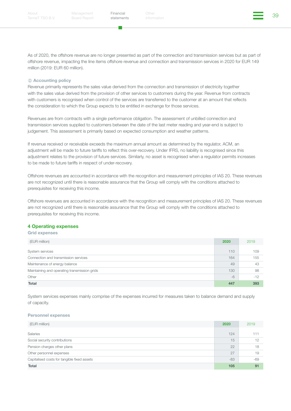a a

Financial Other Structures (1999)<br>atatamente information

As of 2020, the offshore revenue are no longer presented as part of the connection and transmission services but as part of offshore revenue, impacting the line items offshore revenue and connection and transmission services in 2020 for EUR 149 million (2019: EUR 60 million).

#### *<u>O* Accounting policy</u>

Revenue primarily represents the sales value derived from the connection and transmission of electricity together with the sales value derived from the provision of other services to customers during the year. Revenue from contracts with customers is recognised when control of the services are transferred to the customer at an amount that reflects the consideration to which the Group expects to be entitled in exchange for those services.

Revenues are from contracts with a single performance obligation. The assessment of unbilled connection and transmission services supplied to customers between the date of the last meter reading and year-end is subject to judgement. This assessment is primarily based on expected consumption and weather patterns.

If revenue received or receivable exceeds the maximum annual amount as determined by the regulator, ACM, an adjustment will be made to future tariffs to reflect this over-recovery. Under IFRS, no liability is recognised since this adjustment relates to the provision of future services. Similarly, no asset is recognised when a regulator permits increases to be made to future tariffs in respect of under-recovery.

Offshore revenues are accounted in accordance with the recognition and measurement principles of IAS 20. These revenues are not recognized until there is reasonable assurance that the Group will comply with the conditions attached to prerequisites for receiving this income.

Offshore revenues are accounted in accordance with the recognition and measurement principles of IAS 20. These revenues are not recognized until there is reasonable assurance that the Group will comply with the conditions attached to prerequisites for receiving this income.

#### 4 Operating expenses

#### Grid expenses

| (EUR million)                                | 2020 | 2019  |
|----------------------------------------------|------|-------|
| System services                              | 110  | 109   |
| Connection and transmission services         | 164  | 155   |
| Maintenance of energy balance                | 49   | 43    |
| Maintaining and operating transmission grids | 130  | 98    |
| Other                                        | $-6$ | $-12$ |
| <b>Total</b>                                 | 447  | 393   |

System services expenses mainly comprise of the expenses incurred for measures taken to balance demand and supply of capacity.

#### Personnel expenses

| (EUR million)                               | 2020  | 2019  |
|---------------------------------------------|-------|-------|
| Salaries                                    | 124   | 111   |
| Social security contributions               | 15    | 12    |
| Pension charges other plans                 | 22    | 18    |
| Other personnel expenses                    | 27    | 19    |
| Capitalised costs for tangible fixed assets | $-83$ | $-69$ |
| Total                                       | 105   | 91    |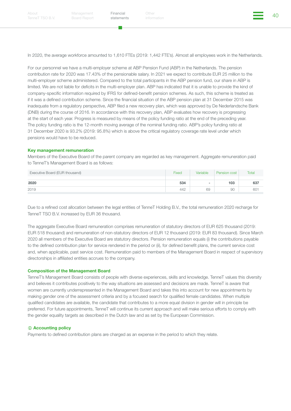In 2020, the average workforce amounted to 1,610 FTEs (2019: 1,442 FTE's). Almost all employees work in the Netherlands.

For our personnel we have a multi-employer scheme at ABP Pension Fund (ABP) in the Netherlands. The pension contribution rate for 2020 was 17.43% of the pensionable salary. In 2021 we expect to contribute EUR 25 million to the multi-employer scheme administered. Compared to the total participants in the ABP pension fund, our share in ABP is limited. We are not liable for deficits in the multi-employer plan. ABP has indicated that it is unable to provide the kind of company-specific information required by IFRS for defined-benefit pension schemes. As such, this scheme is treated as if it was a defined contribution scheme. Since the financial situation of the ABP pension plan at 31 December 2015 was inadequate from a regulatory perspective, ABP filed a new recovery plan, which was approved by De Nederlandsche Bank (DNB) during the course of 2016. In accordance with this recovery plan, ABP evaluates how recovery is progressing at the start of each year. Progress is measured by means of the policy funding ratio at the end of the preceding year. The policy funding ratio is the 12-month moving average of the nominal funding ratio. ABP's policy funding ratio at 31 December 2020 is 93.2% (2019: 95.8%) which is above the critical regulatory coverage rate level under which pensions would have to be reduced.

#### Key management remuneration

Members of the Executive Board of the parent company are regarded as key management. Aggregate remuneration paid to TenneT's Management Board is as follows:

| Fixed | Variable | Pension cost | Total           |
|-------|----------|--------------|-----------------|
|       |          |              |                 |
| 534   | $\sim$   | 103          | 637             |
| 442   | 69       | 90           | 60 <sup>1</sup> |
|       |          |              |                 |

Due to a refined cost allocation between the legal entities of TenneT Holding B.V., the total remuneration 2020 recharge for TenneT TSO B.V. increased by EUR 36 thousand.

The aggregate Executive Board remuneration comprises remuneration of statutory directors of EUR 625 thousand (2019: EUR 518 thousand) and remuneration of non-statutory directors of EUR 12 thousand (2019: EUR 83 thousand). Since March 2020 all members of the Executive Board are statutory directors. Pension remuneration equals (i) the contributions payable to the defined contribution plan for service rendered in the period or (ii), for defined benefit plans, the current service cost and, when applicable, past service cost. Remuneration paid to members of the Management Board in respect of supervisory directorships in affiliated entities accrues to the company.

#### Composition of the Management Board

TenneT's Management Board consists of people with diverse experiences, skills and knowledge. TenneT values this diversity and believes it contributes positively to the way situations are assessed and decisions are made. TenneT is aware that women are currently underrepresented in the Management Board and takes this into account for new appointments by making gender one of the assessment criteria and by a focused search for qualified female candidates. When multiple qualified candidates are available, the candidate that contributes to a more equal division in gender will in principle be preferred. For future appointments, TenneT will continue its current approach and will make serious efforts to comply with the gender equality targets as described in the Dutch law and as set by the European Commission.

#### **Accounting policy**

Payments to defined contribution plans are charged as an expense in the period to which they relate.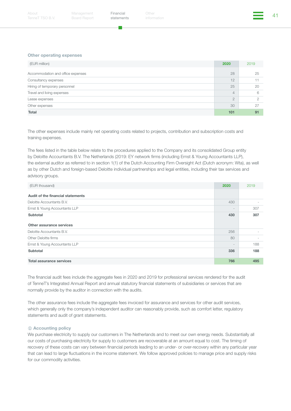a a

Financial Other (and the state of the state of the state of the state of the state of the state of the state o<br>ethnomials information

#### Other operating expenses

| (EUR million)                     | 2020           | 2019 |
|-----------------------------------|----------------|------|
| Accommodation and office expenses | 28             | 25   |
| Consultancy expenses              | 12             |      |
| Hiring of temporary personnel     | 25             | 20   |
| Travel and living expenses        | $\overline{4}$ | 6    |
| Lease expenses                    | $\overline{2}$ |      |
| Other expenses                    | 30             | 27   |
| <b>Total</b>                      | 101            | 91   |

The other expenses include mainly net operating costs related to projects, contribution and subscription costs and training expenses.

The fees listed in the table below relate to the procedures applied to the Company and its consolidated Group entity by Deloitte Accountants B.V. The Netherlands (2019: EY network firms (including Ernst & Young Accountants LLP), the external auditor as referred to in section 1(1) of the Dutch Accounting Firm Oversight Act (Dutch acronym: Wta), as well as by other Dutch and foreign-based Deloitte individual partnerships and legal entities, including their tax services and advisory groups.

| (EUR thousand)                    | 2020                     | 2019 |
|-----------------------------------|--------------------------|------|
| Audit of the financial statements |                          |      |
| Deloitte Accountants B.V.         | 430                      |      |
| Ernst & Young Accountants LLP     | $\overline{\phantom{a}}$ | 307  |
| <b>Subtotal</b>                   | 430                      | 307  |
| Other assurance services          |                          |      |
| Deloitte Accountants B.V.         | 256                      |      |
| Other Deloitte firms              | 80                       |      |
| Ernst & Young Accountants LLP     |                          | 188  |
| Subtotal                          | 336                      | 188  |
| <b>Total assurance services</b>   | 766                      | 495  |

The financial audit fees include the aggregate fees in 2020 and 2019 for professional services rendered for the audit of TenneT's Integrated Annual Report and annual statutory financial statements of subsidiaries or services that are normally provide by the auditor in connection with the audits.

The other assurance fees include the aggregate fees invoiced for assurance and services for other audit services, which generally only the company's independent auditor can reasonably provide, such as comfort letter, regulatory statements and audit of grant statements.

#### *<u>O* Accounting policy</u>

We purchase electricity to supply our customers in The Netherlands and to meet our own energy needs. Substantially all our costs of purchasing electricity for supply to customers are recoverable at an amount equal to cost. The timing of recovery of these costs can vary between financial periods leading to an under- or over-recovery within any particular year that can lead to large fluctuations in the income statement. We follow approved policies to manage price and supply risks for our commodity activities.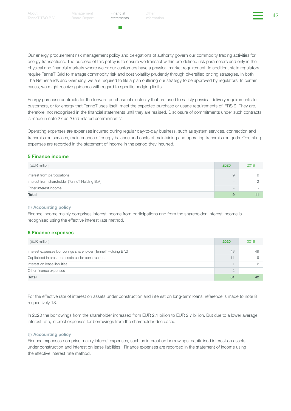п.

Financial Other (and the settlements) and the settlements of the settlements of the settlements of the settlements of the settlements of the settlements of the settlements of the settlements of the settlements of the settl

Our energy procurement risk management policy and delegations of authority govern our commodity trading activities for energy transactions. The purpose of this policy is to ensure we transact within pre-defined risk parameters and only in the physical and financial markets where we or our customers have a physical market requirement. In addition, state regulators require TenneT Grid to manage commodity risk and cost volatility prudently through diversified pricing strategies. In both The Netherlands and Germany, we are required to file a plan outlining our strategy to be approved by regulators. In certain cases, we might receive guidance with regard to specific hedging limits.

Energy purchase contracts for the forward purchase of electricity that are used to satisfy physical delivery requirements to customers, or for energy that TenneT uses itself, meet the expected purchase or usage requirements of IFRS 9. They are, therefore, not recognised in the financial statements until they are realised. Disclosure of commitments under such contracts is made in note 27 as "Grid-related commitments".

Operating expenses are expenses incurred during regular day-to-day business, such as system services, connection and transmission services, maintenance of energy balance and costs of maintaining and operating transmission grids. Operating expenses are recorded in the statement of income in the period they incurred.

#### 5 Finance income

| (EUR million)                                   | 2020                     | 2019 |
|-------------------------------------------------|--------------------------|------|
| Interest from participations                    |                          |      |
| Interest from shareholder (TenneT Holding B.V.) | $\overline{\phantom{a}}$ |      |
| Other interest income                           | $\overline{\phantom{a}}$ |      |
| Total                                           |                          |      |

#### **Accounting policy**

Finance income mainly comprises interest income from participations and from the shareholder. Interest income is recognised using the effective interest rate method.

#### 6 Finance expenses

| (EUR million)                                                  | 2020  | 2019 |
|----------------------------------------------------------------|-------|------|
| Interest expenses borrowings shareholder (TenneT Holding B.V.) | 43    |      |
| Capitalised interest on assets under construction              | $-11$ |      |
| Interest on lease liabilities                                  |       |      |
| Other finance expenses                                         | $-2$  |      |
| <b>Total</b>                                                   | 31    |      |

For the effective rate of interest on assets under construction and interest on long-term loans, reference is made to note 8 respectively 18.

In 2020 the borrowings from the shareholder increased from EUR 2.1 billion to EUR 2.7 billion. But due to a lower average interest rate, interest expenses for borrowings from the shareholder decreased.

#### *<u>O* Accounting policy</u>

Finance expenses comprise mainly interest expenses, such as interest on borrowings, capitalised interest on assets under construction and interest on lease liabilities. Finance expenses are recorded in the statement of income using the effective interest rate method.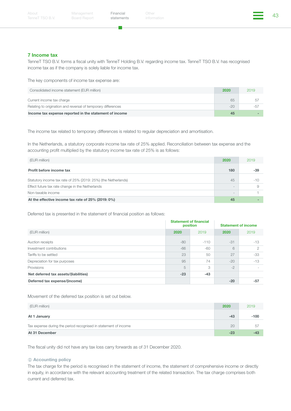m.

Financial Other (1999) (The State of the State of the State of the State of the State of the State of the State of the State of the State of the State of the State of the State of the State of the State of the State of the Other

#### 7 Income tax

TenneT TSO B.V. forms a fiscal unity with TenneT Holding B.V. regarding income tax. TenneT TSO B.V. has recognised income tax as if the company is solely liable for income tax.

The key components of income tax expense are:

| Consolidated income statement (EUR million)                   | 2020  | 2019  |
|---------------------------------------------------------------|-------|-------|
| Current income tax charge                                     | 65    | b,    |
| Relating to origination and reversal of temporary differences | $-20$ | $-57$ |
| Income tax expense reported in the statement of income        | 45    |       |

The income tax related to temporary differences is related to regular depreciation and amortisation.

In the Netherlands, a statutory corporate income tax rate of 25% applied. Reconciliation between tax expense and the accounting profit multiplied by the statutory income tax rate of 25% is as follows:

| (EUR million)                                                  | 2020                     | 2019  |
|----------------------------------------------------------------|--------------------------|-------|
| Profit before income tax                                       | 180                      | $-39$ |
| Statutory income tax rate of 25% (2019: 25%) (the Netherlands) | 45                       | $-10$ |
| Effect future tax rate change in the Netherlands               | $\qquad \qquad =$        |       |
| Non-taxable income                                             | $\overline{\phantom{a}}$ |       |
| At the effective income tax rate of 25% (2019: 0%)             | 45                       |       |

Deferred tax is presented in the statement of financial position as follows:

|                                       | <b>Statement of financial</b><br>position |        | <b>Statement of income</b> |       |
|---------------------------------------|-------------------------------------------|--------|----------------------------|-------|
| (EUR million)                         | 2020                                      | 2019   | 2020                       | 2019  |
| Auction receipts                      | $-80$                                     | $-110$ | $-31$                      | $-13$ |
| Investment contributions              | $-66$                                     | $-60$  | 6                          | 2     |
| Tariffs to be settled                 | 23                                        | 50     | 27                         | $-33$ |
| Depreciation for tax purposes         | 95                                        | 74     | $-20$                      | $-13$ |
| Provisions                            | 5                                         | 3      | $-2$                       |       |
| Net deferred tax assets/(liabilities) | $-23$                                     | $-43$  |                            |       |
| Deferred tax expense/(income)         |                                           |        | $-20$                      | $-57$ |

Movement of the deferred tax position is set out below.

| (EUR million)                                                   | 2020  | 2019   |
|-----------------------------------------------------------------|-------|--------|
| At 1 January                                                    | $-43$ | $-100$ |
| Tax expense during the period recognised in statement of income | 20    | 57     |
| At 31 December                                                  | $-23$ | $-4.7$ |

The fiscal unity did not have any tax loss carry forwards as of 31 December 2020.

#### *<u>O* Accounting policy</u>

The tax charge for the period is recognised in the statement of income, the statement of comprehensive income or directly in equity, in accordance with the relevant accounting treatment of the related transaction. The tax charge comprises both current and deferred tax.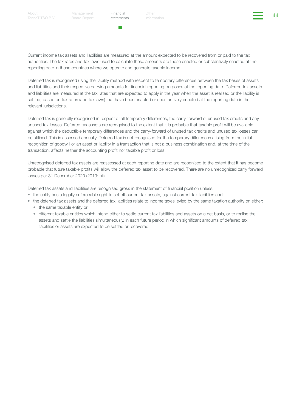Financial Other China (1999) (1999) (1999) (1999) (1999) (1999) (1999) (1999) (1999) (1999) (1999) (1999) (199<br>Additional Section of Section (1999) (1999) (1999) (1999) (1999) (1999) (1999) (1999) (1999) (1999) (1999) (1

Current income tax assets and liabilities are measured at the amount expected to be recovered from or paid to the tax authorities. The tax rates and tax laws used to calculate these amounts are those enacted or substantively enacted at the reporting date in those countries where we operate and generate taxable income.

Deferred tax is recognised using the liability method with respect to temporary differences between the tax bases of assets and liabilities and their respective carrying amounts for financial reporting purposes at the reporting date. Deferred tax assets and liabilities are measured at the tax rates that are expected to apply in the year when the asset is realised or the liability is settled, based on tax rates (and tax laws) that have been enacted or substantively enacted at the reporting date in the relevant jurisdictions.

Deferred tax is generally recognised in respect of all temporary differences, the carry-forward of unused tax credits and any unused tax losses. Deferred tax assets are recognised to the extent that it is probable that taxable profit will be available against which the deductible temporary differences and the carry-forward of unused tax credits and unused tax losses can be utilised. This is assessed annually. Deferred tax is not recognised for the temporary differences arising from the initial recognition of goodwill or an asset or liability in a transaction that is not a business combination and, at the time of the transaction, affects neither the accounting profit nor taxable profit or loss.

Unrecognised deferred tax assets are reassessed at each reporting date and are recognised to the extent that it has become probable that future taxable profits will allow the deferred tax asset to be recovered. There are no unrecognized carry forward losses per 31 December 2020 (2019: nil).

Deferred tax assets and liabilities are recognised gross in the statement of financial position unless:

- the entity has a legally enforceable right to set off current tax assets, against current tax liabilities and;
- the deferred tax assets and the deferred tax liabilities relate to income taxes levied by the same taxation authority on either:
	- the same taxable entity or
	- different taxable entities which intend either to settle current tax liabilities and assets on a net basis, or to realise the assets and settle the liabilities simultaneously, in each future period in which significant amounts of deferred tax liabilities or assets are expected to be settled or recovered.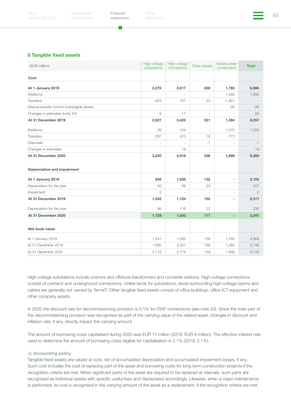Financial Other the Other (1990) (1990) (1990) (1990) (1990) (1990) (1990) (1990) (1990) (1990) (1990) (1990) (<br>etchical original information

#### 8 Tangible fixed assets

| (EUR million)                                 | High-voltage<br>substations | High-voltage<br>connections | Other assets   | Assets under<br>construction | <b>Total</b>   |
|-----------------------------------------------|-----------------------------|-----------------------------|----------------|------------------------------|----------------|
| Cost                                          |                             |                             |                |                              |                |
| At 1 January 2019                             | 2,276                       | 2,617                       | 288            | 1,785                        | 6,966          |
| <b>Additions</b>                              |                             | $\bar{ }$                   |                | 1,092                        | 1,092          |
| <b>Transfers</b>                              | 643                         | 791                         | 33             | $-1.467$                     |                |
| Internal transfer to/from (in)tangible assets |                             |                             |                | $-26$                        | $-26$          |
| Changes in estimates (note 20)                | 8                           | 17                          | $\overline{a}$ |                              | 25             |
| At 31 December 2019                           | 2,927                       | 3,425                       | 321            | 1,384                        | 8,057          |
| Additions                                     | 26                          | 104                         | ÷,             | 1,075                        | 1,205          |
| <b>Transfers</b>                              | 287                         | 470                         | 16             | $-773$                       |                |
| Disposals                                     |                             |                             | $-1$           |                              | $-1$           |
| Changes in estimates                          | ÷,                          | 19                          | ÷,             | ÷,                           | 19             |
| At 31 December 2020                           | 3,240                       | 4,018                       | 336            | 1,686                        | 9,280          |
|                                               |                             |                             |                |                              |                |
| <b>Depreciation and impairment</b>            |                             |                             |                |                              |                |
| At 1 January 2019                             | 935                         | 1,035                       | 132            | $\overline{a}$               | 2,102          |
| Depreciation for the year                     | 95                          | 89                          | 23             | ÷,                           | 207            |
| Impairment                                    | $\overline{2}$              |                             |                |                              | $\mathfrak{D}$ |
| At 31 December 2019                           | 1,032                       | 1,124                       | 155            | $\overline{\phantom{m}}$     | 2,311          |
| Depreciation for the year                     | 96                          | 118                         | 22             | $\bar{ }$                    | 236            |
| At 31 December 2020                           | 1,128                       | 1,242                       | 177            | $\overline{\phantom{m}}$     | 2,547          |
|                                               |                             |                             |                |                              |                |
| Net book value:                               |                             |                             |                |                              |                |
| At 1 January 2019                             | 1,341                       | 1,582                       | 156            | 1,785                        | 4,864          |
| At 31 December 2019                           | 1,895                       | 2,301                       | 166            | 1,384                        | 5,746          |
| At 31 December 2020                           | 2,112                       | 2,776                       | 159            | 1,686                        | 6,733          |

High-voltage substations include onshore and offshore transformers and converter stations. High-voltage connections consist of overland and underground connections. Unlike lands for substations, lands surrounding high-voltage pylons and cables are generally not owned by TenneT. Other tangible fixed assets consist of office buildings, office ICT equipment and other company assets.

In 2020 the discount rate for decommissioning provision is 0.1% for OWF connections (see note 20). Since the main part of the decommissioning provision was recognised as part of the carrying value of the related asset, changes in discount and inflation rate, if any, directly impact this carrying amount.

The amount of borrowing costs capitalised during 2020 was EUR 11 million (2019: EUR 9 million). The effective interest rate used to determine the amount of borrowing costs eligible for capitalisation is 2.1% (2019: 2.1%).

#### *<u>D</u>* Accounting policy

Tangible fixed assets are valued at cost, net of accumulated depreciation and accumulated impairment losses, if any. Such cost includes the cost of replacing part of the asset and borrowing costs for long-term construction projects if the recognition criteria are met. When significant parts of the asset are required to be replaced at intervals, such parts are recognised as individual assets with specific useful lives and depreciated accordingly. Likewise, when a major maintenance is performed, its cost is recognised in the carrying amount of the asset as a replacement, if the recognition criteria are met.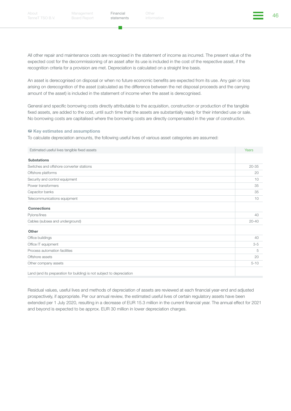a a

Financial Other China (1999) (1999) (1999) (1999) (1999) (1999) (1999) (1999) (1999) (1999) (1999) (1999) (199<br>Additional Section of Section (1999) (1999) (1999) (1999) (1999) (1999) (1999) (1999) (1999) (1999) (1999) (19 Other

All other repair and maintenance costs are recognised in the statement of income as incurred. The present value of the expected cost for the decommissioning of an asset after its use is included in the cost of the respective asset, if the recognition criteria for a provision are met. Depreciation is calculated on a straight line basis.

An asset is derecognised on disposal or when no future economic benefits are expected from its use. Any gain or loss arising on derecognition of the asset (calculated as the difference between the net disposal proceeds and the carrying amount of the asset) is included in the statement of income when the asset is derecognised.

General and specific borrowing costs directly attributable to the acquisition, construction or production of the tangible fixed assets, are added to the cost, until such time that the assets are substantially ready for their intended use or sale. No borrowing costs are capitalised where the borrowing costs are directly compensated in the year of construction.

#### **糕 Key estimates and assumptions**

To calculate depreciation amounts, the following useful lives of various asset categories are assumed:

| Estimated useful lives tangible fixed assets                           | Years     |
|------------------------------------------------------------------------|-----------|
| <b>Substations</b>                                                     |           |
| Switches and offshore converter stations                               | $20 - 35$ |
| Offshore platforms                                                     | 20        |
| Security and control equipment                                         | 10        |
| Power transformers                                                     | 35        |
| Capacitor banks                                                        | 35        |
| Telecommunications equipment                                           | 10        |
| <b>Connections</b>                                                     |           |
| Pylons/lines                                                           | 40        |
| Cables (subsea and underground)                                        | $20 - 40$ |
| Other                                                                  |           |
| Office buildings                                                       | 40        |
| Office IT equipment                                                    | $3 - 5$   |
| Process automation facilities                                          | 5         |
| Offshore assets                                                        | 20        |
| Other company assets                                                   | $5 - 10$  |
| Land (and its preparation for building) is not subject to depreciation |           |

Residual values, useful lives and methods of depreciation of assets are reviewed at each financial year-end and adjusted prospectively, if appropriate. Per our annual review, the estimated useful lives of certain regulatory assets have been extended per 1 July 2020, resulting in a decrease of EUR 15.3 million in the current financial year. The annual effect for 2021 and beyond is expected to be approx. EUR 30 million in lower depreciation charges.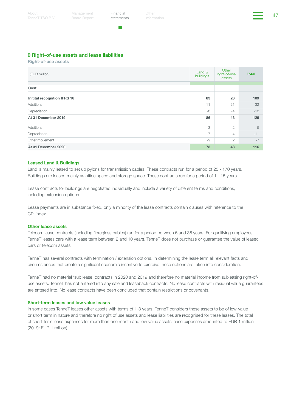Financial Other (and the settlements) of the settlements of the settlements of the settlements of the settlements of the settlements of the settlements of the settlements of the settlements of the settlements of the settle

#### 9 Right-of-use assets and lease liabilities

Right-of-use assets

| (EUR million)                | Land &<br>buildings | Other<br>right-of-use<br>assets | <b>Total</b> |
|------------------------------|---------------------|---------------------------------|--------------|
|                              |                     |                                 |              |
| Cost                         |                     |                                 |              |
| Initital recognition IFRS 16 | 83                  | 26                              | 109          |
| Additions                    | 11                  | 21                              | 32           |
| Depreciation                 | -8                  | $-4$                            | $-12$        |
| At 31 December 2019          | 86                  | 43                              | 129          |
| Additions                    | 3                   | $\overline{2}$                  | 5            |
| Depreciation                 | $-7$                | $-4$                            | $-11$        |
| Other movement               | $-9$                | $\overline{2}$                  | $-7$         |
| At 31 December 2020          | 73                  | 43                              | 116          |

#### Leased Land & Buildings

Land is mainly leased to set up pylons for transmission cables. These contracts run for a period of 25 - 170 years. Buildings are leased mainly as office space and storage space. These contracts run for a period of 1 - 15 years.

Lease contracts for buildings are negotiated individually and include a variety of different terms and conditions, including extension options.

Lease payments are in substance fixed, only a minority of the lease contracts contain clauses with reference to the CPI index.

#### Other lease assets

Telecom lease contracts (including fibreglass cables) run for a period between 6 and 36 years. For qualifying employees TenneT leases cars with a lease term between 2 and 10 years. TenneT does not purchase or guarantee the value of leased cars or telecom assets.

TenneT has several contracts with termination / extension options. In determining the lease term all relevant facts and circumstances that create a significant economic incentive to exercise those options are taken into consideration.

TenneT had no material 'sub lease' contracts in 2020 and 2019 and therefore no material income from subleasing right-ofuse assets. TenneT has not entered into any sale and leaseback contracts. No lease contracts with residual value guarantees are entered into. No lease contracts have been concluded that contain restrictions or covenants.

#### Short-term leases and low value leases

In some cases TenneT leases other assets with terms of 1-3 years. TenneT considers these assets to be of low-value or short term in nature and therefore no right of use assets and lease liabilities are recognised for these leases. The total of short-term lease expenses for more than one month and low value assets lease expenses amounted to EUR 1 million (2019: EUR 1 million).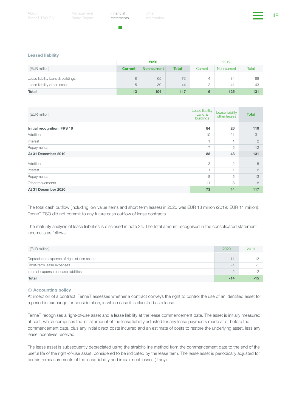a a

Financial Other (1999) (The State of the State of the State of the State of the State of the State of the State of the State of the State of the State of the State of the State of the State of the State of the State of the Other

#### Leased liability

|                                  | 2020           |             |              | 2019    |             |       |
|----------------------------------|----------------|-------------|--------------|---------|-------------|-------|
| (EUR million)                    | <b>Current</b> | Non-current | <b>Total</b> | Current | Non-current | Total |
| Lease liability Land & buildings | 8              | 65          | 73           | 4       | 84          | 88    |
| Lease liability other leases     | 5              | 39          | 44           |         | 41          | 43    |
| <b>Total</b>                     | 13             | 104         | 117          | 6       | 125         | 131   |

| (EUR million)               | Lease liability<br>Land &<br>buildings | Lease liability<br>other leases | <b>Total</b>   |
|-----------------------------|----------------------------------------|---------------------------------|----------------|
| Initial recognition IFRS 16 | 84                                     | 26                              | 110            |
| Addition                    | 10                                     | 21                              | 31             |
| Interest                    |                                        |                                 | $\overline{2}$ |
| Repayments                  | $-7$                                   | $-5$                            | $-12$          |
| At 31 December 2019         | 88                                     | 43                              | 131            |
| Addition                    | 3                                      | $\overline{2}$                  | 5              |
| Interest                    | $\overline{1}$                         | ×,                              | $\overline{2}$ |
| Repayments                  | -8                                     | $-5$                            | $-13$          |
| Other movements             | $-11$                                  | 3                               | $-8$           |
| At 31 December 2020         | 73                                     | 44                              | 117            |

The total cash outflow (including low value items and short term leases) in 2020 was EUR 13 million (2019: EUR 11 million). TenneT TSO did not commit to any future cash outflow of lease contracts.

The maturity analysis of lease liabilities is disclosed in note 24. The total amount recognised in the consolidated statement income is as follows:

| (EUR million)                               | 2020                     | 2019       |
|---------------------------------------------|--------------------------|------------|
| Depreciation expense of right-of-use assets | $-1$                     | $-1^\circ$ |
| Short-term lease expenses                   | $\overline{\phantom{0}}$ |            |
| Interest expense on lease liabilities       | $-2$                     |            |
| <b>Total</b>                                | -14                      | -15        |

#### *<u>O* Accounting policy</u>

At inception of a contract, TenneT assesses whether a contract conveys the right to control the use of an identified asset for a period in exchange for consideration, in which case it is classified as a lease.

TenneT recognises a right-of-use asset and a lease liability at the lease commencement date. The asset is initially measured at cost, which comprises the initial amount of the lease liability adjusted for any lease payments made at or before the commencement date, plus any initial direct costs incurred and an estimate of costs to restore the underlying asset, less any lease incentives received.

The lease asset is subsequently depreciated using the straight-line method from the commencement date to the end of the useful life of the right-of-use asset, considered to be indicated by the lease term. The lease asset is periodically adjusted for certain remeasurements of the lease liability and impairment losses (if any).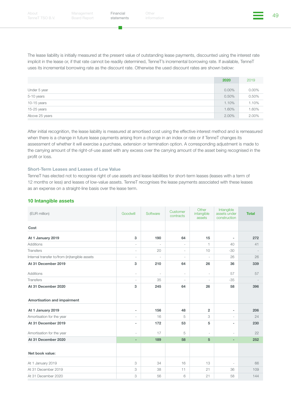п.

The lease liability is initially measured at the present value of outstanding lease payments, discounted using the interest rate implicit in the lease or, if that rate cannot be readily determined, TenneT's incremental borrowing rate. If available, TenneT uses its incremental borrowing rate as the discount rate. Otherwise the used discount rates are shown below:

|                | 2020     | 2019     |
|----------------|----------|----------|
| Under 5 year   | $0.00\%$ | $0.00\%$ |
| 5-10 years     | 0.50%    | 0.50%    |
| 10-15 years    | 1.10%    | 1.10%    |
| 15-25 years    | 1.60%    | 1.60%    |
| Above 25 years | 2.00%    | 2.00%    |

After initial recognition, the lease liability is measured at amortised cost using the effective interest method and is remeasured when there is a change in future lease payments arising from a change in an index or rate or if TenneT changes its assessment of whether it will exercise a purchase, extension or termination option. A corresponding adjustment is made to the carrying amount of the right-of-use asset with any excess over the carrying amount of the asset being recognised in the profit or loss.

#### Short-Term Leases and Leases of Low Value

TenneT has elected not to recognise right of use assets and lease liabilities for short-term leases (leases with a term of 12 months or less) and leases of low-value assets. TenneT recognises the lease payments associated with these leases as an expense on a straight-line basis over the lease term.

#### 10 Intangible assets

| (EUR million)                                      | Goodwill                 | Software                 | Customer<br>contracts    | Other<br>intangible<br>assets | Intangible<br>assets under<br>construction | <b>Total</b> |
|----------------------------------------------------|--------------------------|--------------------------|--------------------------|-------------------------------|--------------------------------------------|--------------|
| Cost                                               |                          |                          |                          |                               |                                            |              |
| At 1 January 2019                                  | 3                        | 190                      | 64                       | 15                            | $\overline{\phantom{a}}$                   | 272          |
| <b>Additions</b>                                   | $\overline{\phantom{a}}$ | $\sim$                   | $\overline{\phantom{a}}$ | $\mathbf{1}$                  | 40 <sup>°</sup>                            | 41           |
| <b>Transfers</b>                                   | $\sim$                   | 20                       | ÷.                       | 10                            | $-30$                                      |              |
| Internal transfer to/from (in)tangible assets      | $\overline{\phantom{a}}$ | $\overline{\phantom{a}}$ | $\overline{\phantom{a}}$ | $\sim$                        | 26                                         | 26           |
| At 31 December 2019                                | 3                        | 210                      | 64                       | 26                            | 36                                         | 339          |
| <b>Additions</b>                                   | $\sim$                   | $\sim$                   | $\sim$                   | $\sim$                        | 57                                         | 57           |
| <b>Transfers</b>                                   | $\overline{\phantom{a}}$ | 35                       | $\sim$                   | $\sim$                        | $-35$                                      |              |
| At 31 December 2020<br>Amortisation and impairment | 3                        | 245                      | 64                       | 26                            | 58                                         | 396          |
| At 1 January 2019                                  | $\overline{\phantom{a}}$ | 156                      | 48                       | $\overline{2}$                | ٠                                          | 206          |
| Amortisation for the year                          | $\overline{\phantom{a}}$ | 16                       | 5                        | 3                             | ä,                                         | 24           |
| At 31 December 2019                                | $\overline{\phantom{a}}$ | 172                      | 53                       | 5                             | ٠                                          | 230          |
| Amortisation for the year                          | $\overline{\phantom{a}}$ | 17                       | 5                        | $\overline{\phantom{a}}$      | $\overline{\phantom{a}}$                   | 22           |
| At 31 December 2020                                | ٠                        | 189                      | 58                       | 5                             | ٠                                          | 252          |
| Net book value:                                    |                          |                          |                          |                               |                                            |              |
| At 1 January 2019                                  | 3                        | 34                       | 16                       | 13                            | $\overline{\phantom{a}}$                   | 66           |
| At 31 December 2019                                | 3                        | 38                       | 11                       | 21                            | 36                                         | 109          |
| At 31 December 2020                                | 3                        | 56                       | 6                        | 21                            | 58                                         | 144          |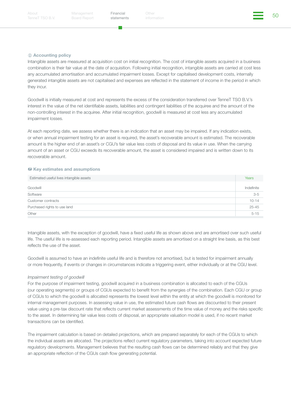Management Board Report [statements](#page-26-0)

Financial Other Structures of the South Contract of the South South South American South South South South South South South South South South South South South South South South South South South South South South South S

#### *<u>D</u>* Accounting policy

Intangible assets are measured at acquisition cost on initial recognition. The cost of intangible assets acquired in a business combination is their fair value at the date of acquisition. Following initial recognition, intangible assets are carried at cost less any accumulated amortisation and accumulated impairment losses. Except for capitalised development costs, internally generated intangible assets are not capitalised and expenses are reflected in the statement of income in the period in which they incur.

Goodwill is initially measured at cost and represents the excess of the consideration transferred over TenneT TSO B.V.'s interest in the value of the net identifiable assets, liabilities and contingent liabilities of the acquiree and the amount of the non-controlling interest in the acquiree. After initial recognition, goodwill is measured at cost less any accumulated impairment losses.

At each reporting date, we assess whether there is an indication that an asset may be impaired. If any indication exists, or when annual impairment testing for an asset is required, the asset's recoverable amount is estimated. The recoverable amount is the higher end of an asset's or CGU's fair value less costs of disposal and its value in use. When the carrying amount of an asset or CGU exceeds its recoverable amount, the asset is considered impaired and is written down to its recoverable amount.

#### *\*\** Key estimates and assumptions

| Estimated useful lives intangible assets | Years      |
|------------------------------------------|------------|
| Goodwill                                 | Indefinite |
| Software                                 | $3-5$      |
| Customer contracts                       | $10 - 14$  |
| Purchased rights to use land             | $25 - 45$  |
| Other                                    | $5 - 15$   |
|                                          |            |

Intangible assets, with the exception of goodwill, have a fixed useful life as shown above and are amortised over such useful life. The useful life is re-assessed each reporting period. Intangible assets are amortised on a straight line basis, as this best reflects the use of the asset.

Goodwill is assumed to have an indefinite useful life and is therefore not amortised, but is tested for impairment annually or more frequently, if events or changes in circumstances indicate a triggering event, either individually or at the CGU level.

#### *Impairment testing of goodwill*

For the purpose of impairment testing, goodwill acquired in a business combination is allocated to each of the CGUs (our operating segments) or groups of CGUs expected to benefit from the synergies of the combination. Each CGU or group of CGUs to which the goodwill is allocated represents the lowest level within the entity at which the goodwill is monitored for internal management purposes. In assessing value in use, the estimated future cash flows are discounted to their present value using a pre-tax discount rate that reflects current market assessments of the time value of money and the risks specific to the asset. In determining fair value less costs of disposal, an appropriate valuation model is used, if no recent market transactions can be identified.

The impairment calculation is based on detailed projections, which are prepared separately for each of the CGUs to which the individual assets are allocated. The projections reflect current regulatory parameters, taking into account expected future regulatory developments. Management believes that the resulting cash flows can be determined reliably and that they give an appropriate reflection of the CGUs cash flow generating potential.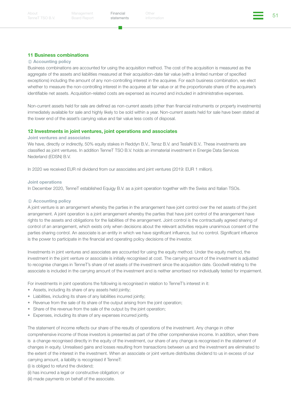Financial Other (51)<br>atatamente information

#### 11 Business combinations

#### *<u>O* Accounting policy</u>

Business combinations are accounted for using the acquisition method. The cost of the acquisition is measured as the aggregate of the assets and liabilities measured at their acquisition-date fair value (with a limited number of specified exceptions) including the amount of any non-controlling interest in the acquiree. For each business combination, we elect whether to measure the non-controlling interest in the acquiree at fair value or at the proportionate share of the acquiree's identifiable net assets. Acquisition-related costs are expensed as incurred and included in administrative expenses.

Non-current assets held for sale are defined as non-current assets (other than financial instruments or property investments) immediately available for sale and highly likely to be sold within a year. Non-current assets held for sale have been stated at the lower end of the asset's carrying value and fair value less costs of disposal.

#### 12 Investments in joint ventures, joint operations and associates

#### Joint ventures and associates

We have, directly or indirectly, 50% equity stakes in Reddyn B.V., Tensz B.V. and TeslaN B.V.. These investments are classified as joint ventures. In addition TenneT TSO B.V. holds an immaterial investment in Energie Data Services Nederland (EDSN) B.V.

In 2020 we received EUR nil dividend from our associates and joint ventures (2019: EUR 1 million).

#### Joint operations

In December 2020, TenneT established Equigy B.V. as a joint operation together with the Swiss and Italian TSOs.

#### *<u>D* Accounting policy</u>

A joint venture is an arrangement whereby the parties in the arrangement have joint control over the net assets of the joint arrangement. A joint operation is a joint arrangement whereby the parties that have joint control of the arrangement have rights to the assets and obligations for the liabilities of the arrangement. Joint control is the contractually agreed sharing of control of an arrangement, which exists only when decisions about the relevant activities require unanimous consent of the parties sharing control. An associate is an entity in which we have significant influence, but no control. Significant influence is the power to participate in the financial and operating policy decisions of the investor.

Investments in joint ventures and associates are accounted for using the equity method. Under the equity method, the investment in the joint venture or associate is initially recognised at cost. The carrying amount of the investment is adjusted to recognise changes in TenneT's share of net assets of the investment since the acquisition date. Goodwill relating to the associate is included in the carrying amount of the investment and is neither amortised nor individually tested for impairment.

For investments in joint operations the following is recognised in relation to TenneT's interest in it:

- Assets, including its share of any assets held jointly;
- Liabilities, including its share of any liabilities incurred jointly;
- Revenue from the sale of its share of the output arising from the joint operation;
- Share of the revenue from the sale of the output by the joint operation;
- Expenses, including its share of any expenses incurred jointly.

The statement of income reflects our share of the results of operations of the investment. Any change in other comprehensive income of those investors is presented as part of the other comprehensive income. In addition, when there is a change recognised directly in the equity of the investment, our share of any change is recognised in the statement of changes in equity. Unrealised gains and losses resulting from transactions between us and the investment are eliminated to the extent of the interest in the investment. When an associate or joint venture distributes dividend to us in excess of our carrying amount, a liability is recognised if TenneT:

(i) is obliged to refund the dividend;

- (ii) has incurred a legal or constructive obligation; or
- (iii) made payments on behalf of the associate.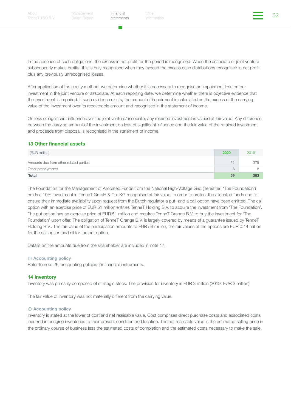In the absence of such obligations, the excess in net profit for the period is recognised. When the associate or joint venture subsequently makes profits, this is only recognised when they exceed the excess cash distributions recognised in net profit plus any previously unrecognised losses.

After application of the equity method, we determine whether it is necessary to recognise an impairment loss on our investment in the joint venture or associate. At each reporting date, we determine whether there is objective evidence that the investment is impaired. If such evidence exists, the amount of impairment is calculated as the excess of the carrying value of the investment over its recoverable amount and recognised in the statement of income.

On loss of significant influence over the joint venture/associate, any retained investment is valued at fair value. Any difference between the carrying amount of the investment on loss of significant influence and the fair value of the retained investment and proceeds from disposal is recognised in the statement of income.

#### 13 Other financial assets

| (EUR million)                          | 2020 | 2019 |
|----------------------------------------|------|------|
| Amounts due from other related parties | 51   | 375  |
| Other prepayments                      | 8    | Я    |
| Total                                  | 59   | 383  |

The Foundation for the Management of Allocated Funds from the National High-Voltage Grid (hereafter: 'The Foundation') holds a 10% investment in TenneT GmbH & Co. KG recognised at fair value. In order to protect the allocated funds and to ensure their immediate availability upon request from the Dutch regulator a put- and a call option have been emitted. The call option with an exercise price of EUR 51 million entitles TenneT Holding B.V. to acquire the investment from 'The Foundation'. The put option has an exercise price of EUR 51 million and requires TenneT Orange B.V. to buy the investment for 'The Foundation' upon offer. The obligation of TenneT Orange B.V. is largely covered by means of a guarantee issued by TenneT Holding B.V.. The fair value of the participation amounts to EUR 59 million; the fair values of the options are EUR 0.14 million for the call option and nil for the put option.

Details on the amounts due from the shareholder are included in note 17.

#### *<u>O* Accounting policy</u>

Refer to note 26, accounting policies for financial instruments.

#### 14 Inventory

Inventory was primarily composed of strategic stock. The provision for inventory is EUR 3 million (2019: EUR 3 million).

The fair value of inventory was not materially different from the carrying value.

#### *<u>i*</u> Accounting policy

Inventory is stated at the lower of cost and net realisable value. Cost comprises direct purchase costs and associated costs incurred in bringing inventories to their present condition and location. The net realisable value is the estimated selling price in the ordinary course of business less the estimated costs of completion and the estimated costs necessary to make the sale.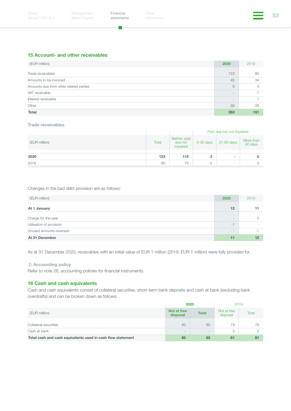۳.

Financial Other (53)<br>atatamente information Other

#### 15 Account- and other receivables

| (EUR million)                          | 2020                     | 2019 |
|----------------------------------------|--------------------------|------|
| Trade receivables                      | 123                      | 80   |
| Amounts to be invoiced                 | 45                       | 34   |
| Amounts due from other related parties | 6                        | 3    |
| VAT receivable                         | $\overline{\phantom{m}}$ |      |
| Interest receivable                    | $\qquad \qquad =$        |      |
| Other                                  | 89                       | 26   |
| <b>Total</b>                           | 263                      | 151  |

#### Trade receivables

|               |       |                                     | Past due but not impaired |                          |                      |
|---------------|-------|-------------------------------------|---------------------------|--------------------------|----------------------|
| (EUR million) | Total | Neither past<br>due nor<br>impaired | $0-30$ days               | 31-60 days               | More than<br>60 days |
|               |       |                                     |                           |                          |                      |
| 2020          | 123   | 115                                 | 3                         | ۰                        |                      |
| 2019          | 80    | 75                                  | $\circ$<br>∠              | $\overline{\phantom{a}}$ |                      |

#### Changes in the bad debt provision are as follows:

| (EUR million)            | 2020                     | 2019                     |
|--------------------------|--------------------------|--------------------------|
| At 1 January             | 12                       |                          |
| Charge for the year      | $\overline{\phantom{a}}$ |                          |
| Utilisation of provision | $-1$                     | $\overline{\phantom{a}}$ |
| Unused amounts reversed  | $\qquad \qquad =$        | $\overline{\phantom{a}}$ |
| At 31 December           | 11                       | 12                       |

As at 31 December 2020, receivables with an initial value of EUR 1 million (2019: EUR 1 million) were fully provided for.

#### *<u>O* Accounting policy</u>

Refer to note 26, accounting policies for financial instruments.

#### 16 Cash and cash equivalents

Cash and cash equivalents consist of collateral securities, short-term bank deposits and cash at bank (excluding bank overdrafts) and can be broken down as follows:

|                                                             | 2020                                          |    | 2019                    |       |
|-------------------------------------------------------------|-----------------------------------------------|----|-------------------------|-------|
| (EUR million)                                               | Not at free<br><b>Total</b><br>disposal       |    | Not at free<br>disposal | Total |
| Collateral securities                                       | 85                                            | 85 | 79                      | 79    |
| Cash at bank                                                | $\qquad \qquad =$<br>$\overline{\phantom{a}}$ |    | $\Omega$<br>∠           |       |
| Total cash and cash equivalents used in cash flow statement | 85<br>85                                      |    | 81                      | 81    |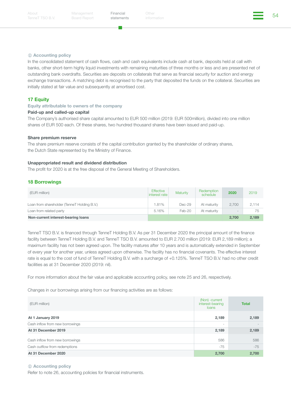Management Board Report [statements](#page-26-0)

Financial Other Structures of the Structures of the Structures of the Structures of the Structures of the Structures of the Structures of the Structures of the Structures of the Structures of the Structures of the Structur

#### $O$  Accounting policy

In the consolidated statement of cash flows, cash and cash equivalents include cash at bank, deposits held at call with banks, other short-term highly liquid investments with remaining maturities of three months or less and are presented net of outstanding bank overdrafts. Securities are deposits on collaterals that serve as financial security for auction and energy exchange transactions. A matching debt is recognised to the party that deposited the funds on the collateral. Securities are initially stated at fair value and subsequently at amortised cost.

#### **17 Equity**

#### Equity attributable to owners of the company

#### Paid-up and called-up capital

The Company's authorised share capital amounted to EUR 500 million (2019: EUR 500million), divided into one million shares of EUR 500 each. Of these shares, two hundred thousand shares have been issued and paid-up.

#### Share premium reserve

The share premium reserve consists of the capital contribution granted by the shareholder of ordinary shares, the Dutch State represented by the Ministry of Finance.

#### Unappropriated result and dividend distribution

The profit for 2020 is at the free disposal of the General Meeting of Shareholders.

#### 18 Borrowings

| (EUR million)                               | <b>Effective</b><br>interest rate | Maturity | Redemption<br>schedule | 2020                     | 2019  |
|---------------------------------------------|-----------------------------------|----------|------------------------|--------------------------|-------|
| Loan from shareholder (TenneT Holding B.V.) | 1.81%                             | Dec-29   | At maturity            | 2.700                    | 2,114 |
| Loan from related party                     | 5.16%                             | Feb-20   | At maturity            | $\overline{\phantom{0}}$ | 75    |
| Non-current interest-bearing loans          |                                   |          |                        | 2.700                    | 2,189 |

TenneT TSO B.V. is financed through TenneT Holding B.V. As per 31 December 2020 the principal amount of the finance facility between TenneT Holding B.V. and TenneT TSO B.V. amounted to EUR 2.700 million (2019: EUR 2,189 million); a maximum facility has not been agreed upon. The facility matures after 10 years and is automatically extended in September of every year for another year, unless agreed upon otherwise. The facility has no financial covenants. The effective interest rate is equal to the cost of fund of TenneT Holding B.V. with a surcharge of +0.125%. TenneT TSO B.V. had no other credit facilities as at 31 December 2020 (2019: nil).

For more information about the fair value and applicable accounting policy, see note 25 and 26, respectively.

Changes in our borrowings arising from our financing activities are as follows:

| (EUR million)                   | (Non) -current<br>interest-bearing<br>loans | <b>Total</b> |
|---------------------------------|---------------------------------------------|--------------|
| At 1 January 2019               | 2,189                                       | 2,189        |
| Cash inflow from new borrowings | $\overline{\phantom{a}}$                    |              |
| At 31 December 2019             | 2,189                                       | 2,189        |
| Cash inflow from new borrowings | 586                                         | 586          |
| Cash outflow from redemptions   | $-75$                                       | $-75$        |
| At 31 December 2020             | 2,700                                       | 2,700        |

#### *<u>D* Accounting policy</u>

Refer to note 26, accounting policies for financial instruments.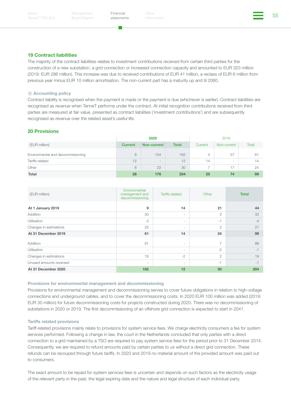. .

Financial Other Structures of the Structures of the Structures of the Structures of the Structures of the Structures of the Structures of the Structures of the Structures of the Structures of the Structures of the Structur

#### 19 Contract liabilities

The majority of the contract liabilities relates to investment contributions received from certain third parties for the construction of a new substation, a grid connection or increased connection capacity and amounted to EUR 323 million (2019: EUR 286 million). This increase was due to received contributions of EUR 41 million, a reclass of EUR 6 million from previous year minus EUR 10 million amortisation. The non-current part has a maturity up and til 2060.

#### *<u>O* Accounting policy</u>

Contract liability is recognised when the payment is made or the payment is due (whichever is earlier). Contract liabilities are recognised as revenue when TenneT performs under the contract. At initial recognition contributions received from third parties are measured at fair value, presented as contract liabilities ('investment contributions') and are subsequently recognised as revenue over the related asset's useful life.

#### 20 Provisions

|                                   | 2020           |                          |              |                          | 2019                     |       |
|-----------------------------------|----------------|--------------------------|--------------|--------------------------|--------------------------|-------|
| (EUR million)                     | <b>Current</b> | <b>Non-current</b>       | <b>Total</b> | Current                  | Non-current              | Total |
| Environmental and decommissioning | 8              | 154                      | 162          | 4                        | 57                       | 61    |
| Tariffs related                   | 12             | $\overline{\phantom{a}}$ | 12           | 14                       | $\overline{\phantom{0}}$ | 14    |
| Other                             | 8              | 22                       | 30           | $\overline{\phantom{a}}$ | 17                       | 24    |
| <b>Total</b>                      | 28             | 176                      | 204          | 25                       | 74                       | 99    |

| (EUR million)           | Environmental<br>management and<br>decommissioning | <b>Tariffs related</b>   | Other          | <b>Total</b> |
|-------------------------|----------------------------------------------------|--------------------------|----------------|--------------|
| At 1 January 2019       | 9                                                  | 14                       | 21             | 44           |
| Addition                | 30                                                 | $\overline{\phantom{a}}$ | $\overline{2}$ | 32           |
| <b>Utilisation</b>      | $-3$                                               | $\sim$                   | $-1$           | $-4$         |
| Changes in estimations  | 25                                                 | $\overline{\phantom{a}}$ | $\overline{2}$ | 27           |
| At 31 December 2019     | 61                                                 | 14                       | 24             | 99           |
| Addition                | 81                                                 | $\sim$                   | $\overline{7}$ | 88           |
| <b>Utilisation</b>      | $\overline{\phantom{a}}$                           | -                        | $-2$           | $-1$         |
| Changes in estimations  | 19                                                 | $-2$                     | $\overline{2}$ | 19           |
| Unused amounts reversed | $\overline{\phantom{a}}$                           | -                        | $-1$           | $-1$         |
| At 31 December 2020     | 162                                                | 12                       | 30             | 204          |

#### Provisions for environmental management and decommissioning

Provisions for environmental management and decommissioning serves to cover future obligations in relation to high-voltage connections and underground cables, and to cover the decommissioning costs. In 2020 EUR 100 million was added (2019: EUR 30 million) for future decommissioning costs for projects constructed during 2020. There was no decommissioning of substations in 2020 or 2019. The first decommissioning of an offshore grid connection is expected to start in 2041.

#### Tariffs related provisions

Tariff-related provisions mainly relate to provisions for system service fees. We charge electricity consumers a fee for system services performed. Following a change in law, the court in the Netherlands concluded that only parties with a direct connection to a grid maintained by a TSO are required to pay system service fees for the period prior to 31 December 2014. Consequently, we are required to refund amounts paid by certain parties to us without a direct grid connection. These refunds can be recouped through future tariffs. In 2020 and 2019 no material amount of the provided amount was paid out to consumers.

The exact amount to be repaid for system services fees is uncertain and depends on such factors as the electricity usage of the relevant party in the past, the legal expiring date and the nature and legal structure of each individual party.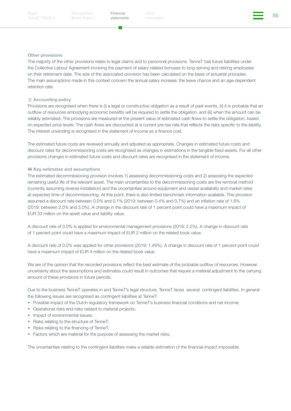Management Board Report [statements](#page-26-0)

Financial Other Structures of the Society of the Society of the Society of the Society of the Society of the S<br>Address the information

#### Other provisions

The majority of the other provisions relate to legal claims and to personnel provisions. TenneT has future liabilities under the Collective Labour Agreement involving the payment of salary-related bonuses to long-serving and retiring employees on their retirement date. The size of the associated provision has been calculated on the basis of actuarial principles. The main assumptions made in this context concern the annual salary increase, the leave chance and an age-dependent retention rate.

#### *<u>O* Accounting policy</u>

Provisions are recognised when there is (i) a legal or constructive obligation as a result of past events, (ii) it is probable that an outflow of resources embodying economic benefits will be required to settle the obligation, and (iii) when the amount can be reliably estimated. The provisions are measured at the present value of estimated cash flows to settle the obligation, based on expected price levels. The cash flows are discounted at a current pre-tax rate that reflects the risks specific to the liability. The interest unwinding is recognised in the statement of income as a finance cost.

The estimated future costs are reviewed annually and adjusted as appropriate. Changes in estimated future costs and discount rates for decommissioning costs are recognised as changes in estimations in the tangible fixed assets. For all other provisions changes in estimated future costs and discount rates are recognised in the statement of income.

#### **糕 Key estimates and assumptions**

The estimated decommissioning provision involves 1) assessing decommissioning costs and 2) assessing the expected remaining useful life of the relevant asset. The main uncertainties to the decommissioning costs are the removal method (currently assuming reverse installation) and the uncertainties around equipment and vessel availability and market rates at expected time of decommissioning. At this point, there is also limited benchmark information available. This provision assumed a discount rate between 0.0% and 0.1% (2019: between 0.4% and 0.7%) and an inflation rate of 1.8% (2019: between 2.0% and 3.0%). A change in the discount rate of 1 percent point could have a maximum impact of EUR 33 million on the asset value and liability value.

A discount rate of 0.0% is applied for environmental management provisions (2019: 2.2%). A change in discount rate of 1 percent point could have a maximum impact of EUR 2 million on the related book value.

A discount rate of 0.0% was applied for other provisions (2019: 1.49%). A change in discount rate of 1 percent point could have a maximum impact of EUR 4 million on the related book value.

We are of the opinion that the recorded provisions reflect the best estimate of the probable outflow of resources. However, uncertainty about the assumptions and estimates could result in outcomes that require a material adjustment to the carrying amount of these provisions in future periods.

Due to the business TenneT operates in and TenneT's legal structure, TenneT faces several contingent liabilities. In general the following issues are recognised as contingent liabilities at TenneT:

- Possible impact of the Dutch regulatory framework on TenneT's business financial conditions and net income;
- Operational risks and risks related to material projects;
- Impact of environmental issues;
- Risks relating to the structure of TenneT;
- Risks relating to the financing of TenneT;
- Factors which are material for the purpose of assessing the market risks.

The uncertainties relating to the contingent liabilities make a reliable estimation of the financial impact impossible.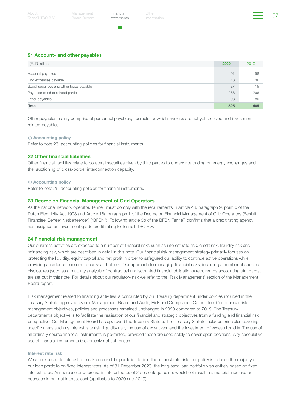#### 21 Account- and other payables

| (EUR million)                             | 2020 | 2019 |
|-------------------------------------------|------|------|
| Account payables                          | 91   | 58   |
| Grid expenses payable                     | 48   | 36   |
| Social securities and other taxes payable | 27   | 15   |
| Payables to other related parties         | 266  | 296  |
| Other payables                            | 93   | 80   |
| <b>Total</b>                              | 525  | 485  |

Other payables mainly comprise of personnel payables, accruals for which invoices are not yet received and investment related payables.

#### *<u>O* Accounting policy</u>

Refer to note 26, accounting policies for financial instruments.

#### 22 Other financial liabilities

Other financial liabilities relate to collateral securities given by third parties to underwrite trading on energy exchanges and the auctioning of cross-border interconnection capacity.

#### *<u>O* Accounting policy</u>

Refer to note 26, accounting policies for financial instruments.

#### 23 Decree on Financial Management of Grid Operators

As the national network operator, TenneT must comply with the requirements in Article 43, paragraph 9, point c of the Dutch Electricity Act 1998 and Article 18a paragraph 1 of the Decree on Financial Management of Grid Operators (Besluit Financieel Beheer Netbeheerder) ("BFBN"). Following article 3b of the BFBN TenneT confirms that a credit rating agency has assigned an investment grade credit rating to TenneT TSO B.V.

#### 24 Financial risk management

Our business activities are exposed to a number of financial risks such as interest rate risk, credit risk, liquidity risk and refinancing risk, which are described in detail in this note. Our financial risk management strategy primarily focuses on protecting the liquidity, equity capital and net profit in order to safeguard our ability to continue active operations while providing an adequate return to our shareholders. Our approach to managing financial risks, including a number of specific disclosures (such as a maturity analysis of contractual undiscounted financial obligations) required by accounting standards, are set out in this note. For details about our regulatory risk we refer to the 'Risk Management' section of the Management Board report.

Risk management related to financing activities is conducted by our Treasury department under policies included in the Treasury Statute approved by our Management Board and Audit, Risk and Compliance Committee. Our financial risk management objectives, policies and processes remained unchanged in 2020 compared to 2019. The Treasury department's objective is to facilitate the realisation of our financial and strategic objectives from a funding and financial risk perspective. Our Management Board has approved the Treasury Statute. The Treasury Statute includes principles covering specific areas such as interest rate risk, liquidity risk, the use of derivatives, and the investment of excess liquidity. The use of all ordinary course financial instruments is permitted, provided these are used solely to cover open positions. Any speculative use of financial instruments is expressly not authorised.

#### Interest rate risk

We are exposed to interest rate risk on our debt portfolio. To limit the interest rate risk, our policy is to base the majority of our loan portfolio on fixed interest rates. As of 31 December 2020, the long-term loan portfolio was entirely based on fixed interest rates. An increase or decrease in interest rates of 2 percentage points would not result in a material increase or decrease in our net interest cost (applicable to 2020 and 2019).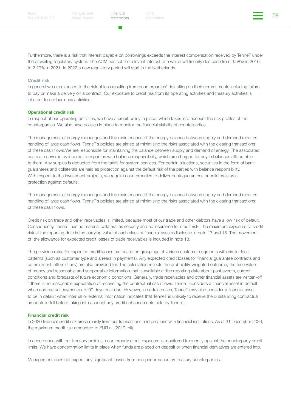Financial Other Structures (1999)<br>atatamente information

Furthermore, there is a risk that interest payable on borrowings exceeds the interest compensation received by TenneT under the prevailing regulatory system. The ACM has set the relevant interest rate which will linearly decrease from 3.58% in 2016 to 2.29% in 2021. In 2022 a new regulatory period will start in the Netherlands.

#### Credit risk

In general we are exposed to the risk of loss resulting from counterparties' defaulting on their commitments including failure to pay or make a delivery on a contract. Our exposure to credit risk from its operating activities and treasury activities is inherent to our business activities.

#### Operational credit risk

In respect of our operating activities, we have a credit policy in place, which takes into account the risk profiles of the counterparties. We also have policies in place to monitor the financial viability of counterparties.

The management of energy exchanges and the maintenance of the energy balance between supply and demand requires handling of large cash flows. TenneT's policies are aimed at minimising the risks associated with the clearing transactions of these cash flows.We are responsible for maintaining the balance between supply and demand of energy. The associated costs are covered by income from parties with balance responsibility, which are charged for any imbalances attributable to them. Any surplus is deducted from the tariffs for system services. For certain situations, securities in the form of bank guarantees and collaterals are held as protection against the default risk of the parties with balance responsibility. With respect to the investment projects, we require counterparties to deliver bank guarantees or collaterals as a protection against defaults.

The management of energy exchanges and the maintenance of the energy balance between supply and demand requires handling of large cash flows. TenneT's policies are aimed at minimising the risks associated with the clearing transactions of these cash flows.

Credit risk on trade and other receivables is limited, because most of our trade and other debtors have a low risk of default. Consequently, TenneT has no material collateral as security and no insurance for credit risk. The maximum exposure to credit risk at the reporting date is the carrying value of each class of financial assets disclosed in note 13 and 15. The movement of the allowance for expected credit losses of trade receivables is included in note 13.

The provision rates for expected credit losses are based on groupings of various customer segments with similar loss patterns (such as customer type and arrears in payments). Any expected credit losses for financial guarantee contracts and commitment letters (if any) are also provided for. The calculation reflects the probability-weighted outcome, the time value of money and reasonable and supportable information that is available at the reporting date about past events, current conditions and forecasts of future economic conditions. Generally, trade receivables and other financial assets are written-off if there is no reasonable expectation of recovering the contractual cash flows. TenneT considers a financial asset in default when contractual payments are 90 days past due. However, in certain cases, TenneT may also consider a financial asset to be in default when internal or external information indicates that TenneT is unlikely to receive the outstanding contractual amounts in full before taking into account any credit enhancements held by TenneT.

#### Financial credit risk

In 2020 financial credit risk arose mainly from our transactions and positions with financial institutions. As at 31 December 2020, the maximum credit risk amounted to EUR nil (2019: nil).

In accordance with our treasury policies, counterparty credit exposure is monitored frequently against the counterparty credit limits. We have concentration limits in place when funds are placed on deposit or when financial derivatives are entered into.

Management does not expect any significant losses from non-performance by treasury counterparties.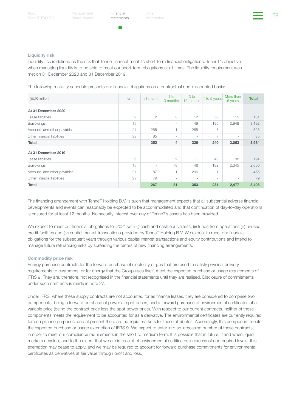Financial Other Structures (59 Financial Structures of the Structures of the Structures of the Structures of the Structures of the Structures of the Structures of the Structures of the Structures of the Structures of the S

#### Liquidity risk

Liquidity risk is defined as the risk that TenneT cannot meet its short-term financial obligations. TenneT's objective when managing liquidity is to be able to meet our short-term obligations at all times. The liquidity requirement was met on 31 December 2020 and 31 December 2019.

The following maturity schedule presents our financial obligations on a contractual non-discounted basis:

| (EUR million)               | <b>Notes</b> | $<$ 1 month              | $1$ to<br>3 months       | 3 to<br>12 months        | 1 to 5 years             | More than<br>5 years     | <b>Total</b> |
|-----------------------------|--------------|--------------------------|--------------------------|--------------------------|--------------------------|--------------------------|--------------|
| At 31 December 2020         |              |                          |                          |                          |                          |                          |              |
| Lease liabilities           | 9            | $\overline{2}$           | 3                        | 12                       | 50                       | 115                      | 181          |
| <b>Borrowings</b>           | 18           | $\overline{\phantom{a}}$ | $\overline{\phantom{0}}$ | 49                       | 195                      | 2,948                    | 3,192        |
| Account- and other payables | 21           | 265                      | 1                        | 265                      | $-5$                     | $\overline{\phantom{a}}$ | 525          |
| Other financial liabilities | 22           | 85                       | -                        | $\overline{\phantom{a}}$ | $\overline{\phantom{a}}$ | ٠                        | 85           |
| Total                       |              | 352                      | 4                        | 326                      | 240                      | 3,063                    | 3,984        |
| At 31 December 2019         |              |                          |                          |                          |                          |                          |              |
| Lease liabilities           | 9            | $\overline{1}$           | $\overline{2}$           | 11                       | 48                       | 132                      | 194          |
| <b>Borrowings</b>           | 18           | $\overline{\phantom{a}}$ | 78                       | 46                       | 182                      | 2,345                    | 2,650        |
| Account- and other payables | 21           | 187                      | 1                        | 296                      | 1                        | $\overline{\phantom{a}}$ | 485          |
| Other financial liabilities | 22           | 79                       | $\overline{\phantom{0}}$ | $\overline{\phantom{a}}$ | $\overline{\phantom{a}}$ | $\overline{\phantom{a}}$ | 79           |
| Total                       |              | 267                      | 81                       | 353                      | 231                      | 2,477                    | 3,408        |

The financing arrangement with TenneT Holding B.V. is such that management expects that all substantial adverse financial developments and events can reasonably be expected to be accommodated and that continuation of day-to-day operations is ensured for at least 12 months. No security interest over any of TenneT's assets has been provided.

We expect to meet our financial obligations for 2021 with (i) cash and cash equivalents, (ii) funds from operations (iii) unused credit facilities and (iv) capital market transactions provided by TenneT Holding B.V. We expect to meet our financial obligations for the subsequent years through various capital market transactions and equity contributions and intend to manage future refinancing risks by spreading the tenors of new financing arrangements.

#### Commodity price risk

Energy purchase contracts for the forward purchase of electricity or gas that are used to satisfy physical delivery requirements to customers, or for energy that the Group uses itself, meet the expected purchase or usage requirements of IFRS 9. They are, therefore, not recognised in the financial statements until they are realised. Disclosure of commitments under such contracts is made in note 27.

Under IFRS, where these supply contracts are not accounted for as finance leases, they are considered to comprise two components, being a forward purchase of power at spot prices, and a forward purchase of environmental certificates at a variable price (being the contract price less the spot power price). With respect to our current contracts, neither of these components meets the requirement to be accounted for as a derivative. The environmental certificates are currently required for compliance purposes, and at present there are no liquid markets for these attributes. Accordingly, this component meets the expected purchase or usage exemption of IFRS 9. We expect to enter into an increasing number of these contracts, in order to meet our compliance requirements in the short to medium term. It is possible that in future, if and when liquid markets develop, and to the extent that we are in receipt of environmental certificates in excess of our required levels, this exemption may cease to apply, and we may be required to account for forward purchase commitments for environmental certificates as derivatives at fair value through profit and loss.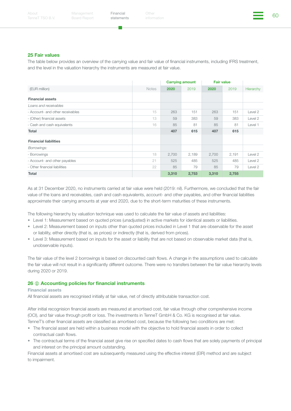Financial Other China (1999) (1999) (1999) (1999) (1999) (1999) (1999) (1999) (1999) (1999) (1999) (1999) (199<br>Atatamanta information

#### 25 Fair values

The table below provides an overview of the carrying value and fair value of financial instruments, including IFRS treatment, and the level in the valuation hierarchy the instruments are measured at fair value.

|                                  |              |       | <b>Carrying amount</b> | <b>Fair value</b> |       |           |
|----------------------------------|--------------|-------|------------------------|-------------------|-------|-----------|
| (EUR million)                    | <b>Notes</b> | 2020  | 2019                   | 2020              | 2019  | Hierarchy |
| <b>Financial assets</b>          |              |       |                        |                   |       |           |
| Loans and receivables            |              |       |                        |                   |       |           |
| - Account- and other receivables | 15           | 263   | 151                    | 263               | 151   | Level 2   |
| - (Other) financial assets       | 13           | 59    | 383                    | 59                | 383   | Level 2   |
| - Cash and cash equivalents      | 16           | 85    | 81                     | 85                | 81    | Level 1   |
| Total                            |              | 407   | 615                    | 407               | 615   |           |
| <b>Financial liabilities</b>     |              |       |                        |                   |       |           |
| Borrowings:                      |              |       |                        |                   |       |           |
| - Borrowings                     | 18           | 2,700 | 2,189                  | 2,700             | 2,191 | Level 2   |
| - Account- and other payables    | 21           | 525   | 485                    | 525               | 485   | Level 2   |
| - Other financial liabilities    | 22           | 85    | 79                     | 85                | 79    | Level 2   |
| Total                            |              | 3,310 | 2,753                  | 3,310             | 2,755 |           |

As at 31 December 2020, no instruments carried at fair value were held (2019: nil). Furthermore, we concluded that the fair value of the loans and receivables, cash and cash equivalents, account- and other payables, and other financial liabilities approximate their carrying amounts at year end 2020, due to the short-term maturities of these instruments.

The following hierarchy by valuation technique was used to calculate the fair value of assets and liabilities:

- Level 1: Measurement based on quoted prices (unadjusted) in active markets for identical assets or liabilities.
- Level 2: Measurement based on inputs other than quoted prices included in Level 1 that are observable for the asset or liability, either directly (that is, as prices) or indirectly (that is, derived from prices).
- Level 3: Measurement based on inputs for the asset or liability that are not based on observable market data (that is, unobservable inputs).

The fair value of the level 2 borrowings is based on discounted cash flows. A change in the assumptions used to calculate the fair value will not result in a significantly different outcome. There were no transfers between the fair value hierarchy levels during 2020 or 2019.

#### 26 *C* Accounting policies for financial instruments

#### Financial assets

All financial assets are recognised initially at fair value, net of directly attributable transaction cost.

After initial recognision financial assets are measured at amortised cost, fair value through other comprehensive income (OCI), and fair value through profit or loss. The investments in TenneT GmbH & Co. KG is recognised at fair value. TenneT's other financial assets are classified as amortised cost, because the following two conditions are met:

- The financial asset are held within a business model with the objective to hold financial assets in order to collect contractual cash flows.
- The contractual terms of the financial asset give rise on specified dates to cash flows that are solely payments of principal and interest on the principal amount outstanding.

Financial assets at amortised cost are subsequently measured using the effective interest (EIR) method and are subject to impairment.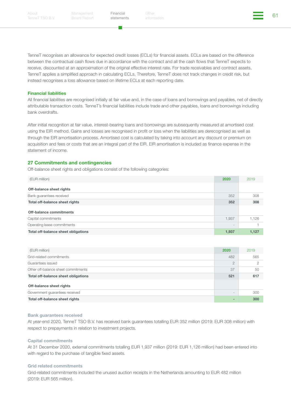a a

Financial Other China (1999) (1999) (1999) (1999) (1999) (1999) (1999) (1999) (1999) (1999) (1999) (1999) (199<br>Additional Section (1999) (1999) (1999) (1999) (1999) (1999) (1999) (1999) (1999) (1999) (1999) (1999) (1999)

TenneT recognises an allowance for expected credit losses (ECLs) for financial assets. ECLs are based on the difference between the contractual cash flows due in accordance with the contract and all the cash flows that TenneT expects to receive, discounted at an approximation of the original effective interest rate. For trade receivables and contract assets, TenneT applies a simplified approach in calculating ECLs. Therefore, TenneT does not track changes in credit risk, but instead recognises a loss allowance based on lifetime ECLs at each reporting date.

#### Financial liabilities

All financial liabilities are recognised initially at fair value and, in the case of loans and borrowings and payables, net of directly attributable transaction costs. TenneT's financial liabilities include trade and other payables, loans and borrowings including bank overdrafts.

After initial recognition at fair value, interest-bearing loans and borrowings are subsequently measured at amortised cost using the EIR method. Gains and losses are recognised in profit or loss when the liabilities are derecognised as well as through the EIR amortisation process. Amortised cost is calculated by taking into account any discount or premium on acquisition and fees or costs that are an integral part of the EIR. EIR amortisation is included as finance expense in the statement of income.

#### 27 Commitments and contingencies

Off-balance sheet rights and obligations consist of the following categories:

| (EUR million)                       | 2020              | 2019  |
|-------------------------------------|-------------------|-------|
| Off-balance sheet rights            |                   |       |
| Bank guarantees received            | 352               | 308   |
| Total off-balance sheet rights      | 352               | 308   |
| Off-balance commitments             |                   |       |
| Capital commitments                 | 1,937             | 1.126 |
| Operating lease commitments         | $\qquad \qquad -$ |       |
| Total off-balance sheet obligations | 1,937             | 1,127 |

| (EUR million)                       | 2020            | 2019 |
|-------------------------------------|-----------------|------|
| Grid-related commitments            | 482             | 565  |
| Guarantees issued                   | $\overline{2}$  |      |
| Other off-balance sheet commitments | 37              | 50   |
| Total off-balance sheet obligations | 521             | 617  |
| Off-balance sheet rights            |                 |      |
| Government guarantees received      | $\qquad \qquad$ | 300  |
| Total off-balance sheet rights      |                 | 300  |

#### Bank guarantees received

At year-end 2020, TenneT TSO B.V. has received bank guarantees totalling EUR 352 million (2019: EUR 308 million) with respect to prepayments in relation to investment projects.

#### Capital commitments

At 31 December 2020, external commitments totalling EUR 1,937 million (2019: EUR 1,126 million) had been entered into with regard to the purchase of tangible fixed assets.

#### Grid related commitments

Grid-related commitments included the unused auction receipts in the Netherlands amounting to EUR 482 million (2019: EUR 565 million).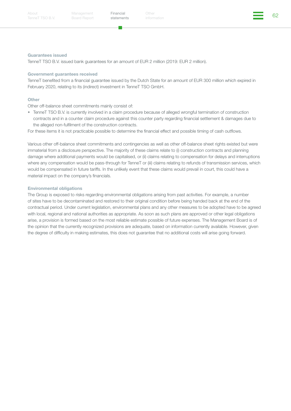#### Guarantees issued

TenneT TSO B.V. issued bank guarantees for an amount of EUR 2 million (2019: EUR 2 million).

#### Government guarantees received

TenneT benefited from a financial guarantee issued by the Dutch State for an amount of EUR 300 million which expired in February 2020, relating to its (indirect) investment in TenneT TSO GmbH.

#### **Other**

Other off-balance sheet commitments mainly consist of:

• TenneT TSO B.V. is currently involved in a claim procedure because of alleged wrongful termination of construction contracts and in a counter claim procedure against this counter party regarding financial settlement & damages due to the alleged non-fulfilment of the construction contracts.

For these items it is not practicable possible to determine the financial effect and possible timing of cash outflows.

Various other off-balance sheet commitments and contingencies as well as other off-balance sheet rights existed but were immaterial from a disclosure perspective. The majority of these claims relate to (i) construction contracts and planning damage where additional payments would be capitalised, or (ii) claims relating to compensation for delays and interruptions where any compensation would be pass-through for TenneT or (iii) claims relating to refunds of transmission services, which would be compensated in future tariffs. In the unlikely event that these claims would prevail in court, this could have a material impact on the company's financials.

#### Environmental obligations

The Group is exposed to risks regarding environmental obligations arising from past activities. For example, a number of sites have to be decontaminated and restored to their original condition before being handed back at the end of the contractual period. Under current legislation, environmental plans and any other measures to be adopted have to be agreed with local, regional and national authorities as appropriate. As soon as such plans are approved or other legal obligations arise, a provision is formed based on the most reliable estimate possible of future expenses. The Management Board is of the opinion that the currently recognized provisions are adequate, based on information currently available. However, given the degree of difficulty in making estimates, this does not guarantee that no additional costs will arise going forward.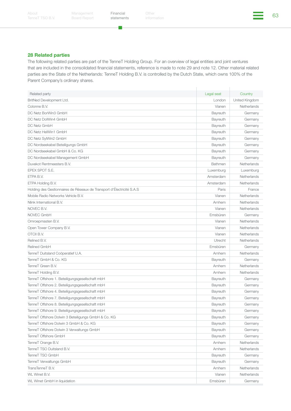**T** 

Financial Other China (1999) (1999) (1999) (1999) (1999) (1999) (1999) (1999) (1999) (1999) (1999) (1999) (199<br>Additional Section of Section (1999) (1999) (1999) (1999) (1999) (1999) (1999) (1999) (1999) (1999) (1999) (19 Other

#### 28 Related parties

The following related parties are part of the TenneT Holding Group. For an overview of legal entities and joint ventures that are included in the consolidated financial statements, reference is made to note 29 and note 12. Other material related parties are the State of the Netherlands: TenneT Holding B.V. is controlled by the Dutch State, which owns 100% of the Parent Company's ordinary shares.

| Related party                                                         | Legal seat     | Country        |
|-----------------------------------------------------------------------|----------------|----------------|
| BritNed Development Ltd.                                              | London         | United Kingdom |
| Colonne B.V.                                                          | Vianen         | Netherlands    |
| DC Netz BorWin3 GmbH                                                  | Bayreuth       | Germany        |
| DC Netz DolWin4 GmbH                                                  | Bayreuth       | Germany        |
| DC Netz GmbH                                                          | Bayreuth       | Germany        |
| DC Netz HelWin1 GmbH                                                  | Bayreuth       | Germany        |
| DC Netz SylWin2 GmbH                                                  | Bayreuth       | Germany        |
| DC Nordseekabel Beteiligungs GmbH                                     | Bayreuth       | Germany        |
| DC Nordseekabel GmbH & Co. KG                                         | Bayreuth       | Germany        |
| DC Nordseekabel Management GmbH                                       | Bayreuth       | Germany        |
| Duvekot Rentmeesters B.V.                                             | Bathmen        | Netherlands    |
| EPEX SPOT S.E.                                                        | Luxemburg      | Luxemburg      |
| ETPA B.V.                                                             | Amsterdam      | Netherlands    |
| ETPA Holding B.V.                                                     | Amsterdam      | Netherlands    |
| Holding des Gestionnaires de Réseaux de Transport d'Électricité S.A.S | Paris          | France         |
| Mobile Radio Networks Vehicle B.V.                                    | Vianen         | Netherlands    |
| Nlink International B.V.                                              | Arnhem         | Netherlands    |
| NOVEC B.V.                                                            | Vianen         | Netherlands    |
| NOVEC GmbH                                                            | Emsbüren       | Germany        |
| Omroepmasten B.V.                                                     | Vianen         | Netherlands    |
| Open Tower Company B.V.                                               | Vianen         | Netherlands    |
| OTCII B.V.                                                            | Vianen         | Netherlands    |
| Relined B.V.                                                          | <b>Utrecht</b> | Netherlands    |
| Relined GmbH                                                          | Emsbüren       | Germany        |
| TenneT Duitsland Coöperatief U.A.                                     | Arnhem         | Netherlands    |
| TenneT GmbH & Co. KG                                                  | Bayreuth       | Germany        |
| TenneT Green B.V.                                                     | Arnhem         | Netherlands    |
| TenneT Holding B.V.                                                   | Arnhem         | Netherlands    |
| TenneT Offshore 1. Beteiligungsgesellschaft mbH                       | Bayreuth       | Germany        |
| TenneT Offshore 2. Beteiligungsgesellschaft mbH                       | Bayreuth       | Germany        |
| TenneT Offshore 4. Beteiligungsgesellschaft mbH                       | Bayreuth       | Germany        |
| TenneT Offshore 7. Beteiligungsgesellschaft mbH                       | Bayreuth       | Germany        |
| TenneT Offshore 8. Beteiligungsgesellschaft mbH                       | Bayreuth       | Germany        |
| TenneT Offshore 9. Beteiligungsgesellschaft mbH                       | Bayreuth       | Germany        |
| TenneT Offshore Dolwin 3 Beteiligungs GmbH & Co. KG                   | Bayreuth       | Germany        |
| TenneT Offshore Dolwin 3 GmbH & Co. KG                                | Bayreuth       | Germany        |
| TenneT Offshore Dolwin 3 Verwaltungs GmbH                             | Bayreuth       | Germany        |
| TenneT Offshore GmbH                                                  | Bayreuth       | Germany        |
| TenneT Orange B.V.                                                    | Arnhem         | Netherlands    |
| TenneT TSO Duitsland B.V.                                             | Arnhem         | Netherlands    |
| TenneT TSO GmbH                                                       | Bayreuth       | Germany        |
| TenneT Verwaltungs GmbH                                               | Bayreuth       | Germany        |
| TransTenneT B.V.                                                      | Arnhem         | Netherlands    |
| WL Winet B.V.                                                         | Vianen         | Netherlands    |
| WL Winet GmbH in liquidation                                          | Emsbüren       | Germany        |
|                                                                       |                |                |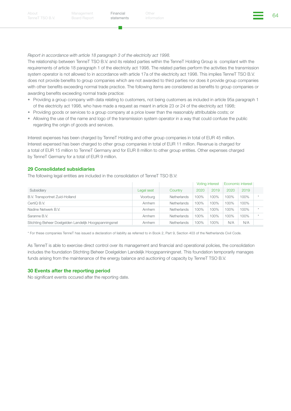*Report in accordance with article 18 paragraph 3 of the electricity act 1998.*

The relationship between TenneT TSO B.V. and its related parties within the TenneT Holding Group is compliant with the requirements of article 18 paragraph 1 of the electricity act 1998. The related parties perform the activities the transmission system operator is not allowed to in accordance with article 17a of the electricity act 1998. This implies TenneT TSO B.V. does not provide benefits to group companies which are not awarded to third parties nor does it provide group companies with other benefits exceeding normal trade practice. The following items are considered as benefits to group companies or awarding benefits exceeding normal trade practice:

- Providing a group company with data relating to customers, not being customers as included in article 95a paragraph 1 of the electricity act 1998, who have made a request as meant in article 23 or 24 of the electricity act 1998;
- Providing goods or services to a group company at a price lower than the reasonably attributable costs; or
- Allowing the use of the name and logo of the transmission system operator in a way that could confuse the public regarding the origin of goods and services.

Interest expenses has been charged by TenneT Holding and other group companies in total of EUR 45 million. Interest expensed has been charged to other group companies in total of EUR 11 million. Revenue is charged for a total of EUR 15 million to TenneT Germany and for EUR 8 million to other group entities. Other expenses charged by TenneT Germany for a total of EUR 9 million.

#### 29 Consolidated subsidiaries

The following legal entities are included in the consolidation of TenneT TSO B.V:

|                                                        |            |                    | Voting interest |      | Economic interest |      |  |
|--------------------------------------------------------|------------|--------------------|-----------------|------|-------------------|------|--|
| Subsidiary                                             | Legal seat | Country            | 2020            | 2019 | 2020              | 2019 |  |
| B.V. Transportnet Zuid-Holland                         | Voorburg   | <b>Netherlands</b> | 100%            | 100% | 100%              | 100% |  |
| CertiQ B.V.                                            | Arnhem     | <b>Netherlands</b> | 100%            | 100% | 100%              | 100% |  |
| Nadine Netwerk B.V.                                    | Arnhem     | <b>Netherlands</b> | 100%            | 100% | 100%              | 100% |  |
| Saranne B.V.                                           | Arnhem     | <b>Netherlands</b> | 100%            | 100% | 100%              | 100% |  |
| Stichting Beheer Doelgelden Landelijk Hoogspanningsnet | Arnhem     | Netherlands        | 100%            | 100% | N/A               | N/A  |  |

\* For these companies TenneT has issued a declaration of liability as referred to in Book 2, Part 9, Section 403 of the Netherlands Civil Code.

As TenneT is able to exercise direct control over its management and financial and operational policies, the consolidation includes the foundation Stichting Beheer Doelgelden Landelijk Hoogspanningsnet. This foundation temporarily manages funds arising from the maintenance of the energy balance and auctioning of capacity by TenneT TSO B.V.

#### 30 Events after the reporting period

No significant events occured after the reporting date.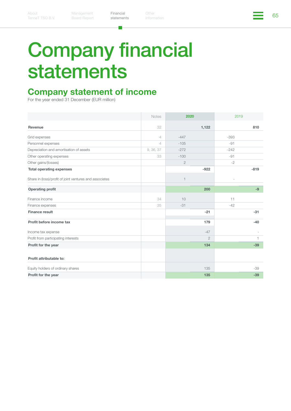m.

Financial Other Chemical Chemical Chemical Chemical Chemical Control of the Control Chemical Chemical Chemical<br>[statements](#page-26-0) information Other

# Company financial statements

### Company statement of income

For the year ended 31 December (EUR million)

|                                                         | <b>Notes</b>   | 2020           |                | 2019   |                |
|---------------------------------------------------------|----------------|----------------|----------------|--------|----------------|
| Revenue                                                 | 32             |                | 1,122          |        | 810            |
| Grid expenses                                           | $\overline{4}$ | $-447$         |                | $-393$ |                |
| Personnel expenses                                      | $\overline{4}$ | $-105$         |                | $-91$  |                |
| Depreciation and amortisation of assets                 | 9, 36, 37      | $-272$         |                | $-242$ |                |
| Other operating expenses                                | 33             | $-100$         |                | $-91$  |                |
| Other gains/(losses)                                    |                | $\mathbf{2}$   |                | $-2$   |                |
| <b>Total operating expenses</b>                         |                |                | $-922$         |        | $-819$         |
| Share in (loss)/profit of joint ventures and associates |                | $\overline{1}$ |                |        |                |
| <b>Operating profit</b>                                 |                |                | 200            |        | $-9$           |
| Finance income                                          | 34             | 10             |                | 11     |                |
| Finance expenses                                        | 35             | $-31$          |                | $-42$  |                |
| <b>Finance result</b>                                   |                |                | $-21$          |        | $-31$          |
| Profit before income tax                                |                |                | 179            |        | $-40$          |
| Income tax expense                                      |                |                | $-47$          |        |                |
| Profit from participating interests                     |                |                | $\overline{2}$ |        | $\overline{1}$ |
| Profit for the year                                     |                |                | 134            |        | $-39$          |
| Profit attributable to:                                 |                |                |                |        |                |
| Equity holders of ordinary shares                       |                |                | 135            |        | $-39$          |
| Profit for the year                                     |                |                | 135            |        | $-39$          |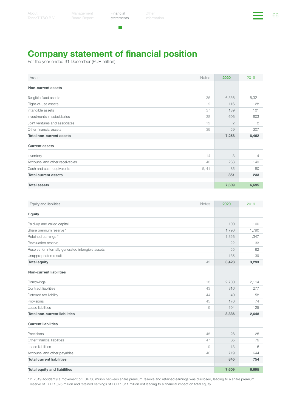T.

## Company statement of financial position

For the year ended 31 December (EUR million)

| Assets                          | <b>Notes</b> | 2020           | 2019  |
|---------------------------------|--------------|----------------|-------|
| Non-current assets              |              |                |       |
| Tangible fixed assets           | 36           | 6,336          | 5,321 |
| Right-of-use assets             | 9            | 116            | 128   |
| Intangible assets               | 37           | 139            | 101   |
| Investments in subsidiaries     | 38           | 606            | 603   |
| Joint ventures and associates   | 12           | $\overline{2}$ | 2     |
| Other financial assets          | 39           | 59             | 307   |
| <b>Total non-current assets</b> |              | 7,258          | 6,462 |
| <b>Current assets</b>           |              |                |       |
| Inventory                       | 14           | 3              | 4     |
| Account- and other receivables  | 40           | 263            | 149   |
| Cash and cash equivalents       | 16, 41       | 85             | 80    |
| <b>Total current assets</b>     |              | 351            | 233   |
| <b>Total assets</b>             |              | 7,609          | 6,695 |

| Equity and liabilities                             | <b>Notes</b> | 2020  | 2019  |
|----------------------------------------------------|--------------|-------|-------|
| Equity                                             |              |       |       |
| Paid-up and called capital                         |              | 100   | 100   |
| Share premium reserve *                            |              | 1,790 | 1,790 |
| Retained earnings *                                |              | 1,326 | 1,347 |
| Revaluation reserve                                |              | 22    | 33    |
| Reserve for internally generated intangible assets |              | 55    | 62    |
| Unappropriated result                              |              | 135   | $-39$ |
| <b>Total equity</b>                                | 42           | 3,428 | 3,293 |
| <b>Non-current liabilities</b>                     |              |       |       |
| Borrowings                                         | 18           | 2,700 | 2,114 |
| Contract liabilities                               | 43           | 316   | 277   |
| Deferred tax liability                             | 44           | 40    | 58    |
| Provisions                                         | 45           | 176   | 74    |
| Lease liabilities                                  | 9            | 104   | 125   |
| <b>Total non-current liabilities</b>               |              | 3,336 | 2,648 |
| <b>Current liabilities</b>                         |              |       |       |
| Provisions                                         | 45           | 28    | 25    |
| Other financial liabilities                        | 47           | 85    | 79    |
| Lease liabilities                                  | 9            | 13    | 6     |
| Account- and other payables                        | 46           | 719   | 644   |
| <b>Total current liabilities</b>                   |              | 845   | 754   |
| <b>Total equity and liabilities</b>                |              | 7,609 | 6,695 |

\* In 2019 accidently a movement of EUR 36 million between share premium reserve and retained earnings was disclosed, leading to a share premium reserve of EUR 1,826 million and retained earnings of EUR 1,311 million not leading to a financial impact on total equity.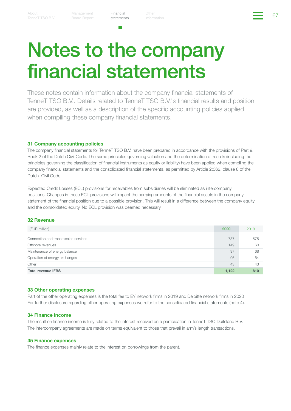Financial Other China (1999) (1999) (1999) (1999) (1999) (1999) (1999) (1999) (1999) (1999) (1999) (1999) (199<br>Atatamanta information [statements](#page-26-0)

## Notes to the company financial statements

These notes contain information about the company financial statements of TenneT TSO B.V.. Details related to TenneT TSO B.V.'s financial results and position are provided, as well as a description of the specific accounting policies applied when compiling these company financial statements.

#### 31 Company accounting policies

The company financial statements for TenneT TSO B.V. have been prepared in accordance with the provisions of Part 9, Book 2 of the Dutch Civil Code. The same principles governing valuation and the determination of results (including the principles governing the classification of financial instruments as equity or liability) have been applied when compiling the company financial statements and the consolidated financial statements, as permitted by Article 2:362, clause 8 of the Dutch Civil Code.

Expected Credit Losses (ECL) provisions for receivables from subsidiaries will be eliminated as intercompany positions. Changes in these ECL provisions will impact the carrying amounts of the financial assets in the company statement of the financial position due to a possible provision. This will result in a difference between the company equity and the consolidated equity. No ECL provision was deemed necessary.

#### 32 Revenue

| (EUR million)                        | 2020  | 2019 |
|--------------------------------------|-------|------|
| Connection and transmission services | 737   | 575  |
| Offshore revenues                    | 149   | 60   |
| Maintenance of energy balance        | 97    | 68   |
| Operation of energy exchanges        | 96    | 64   |
| Other                                | 43    | 43   |
| <b>Total revenue IFRS</b>            | 1,122 | 810  |

#### 33 Other operating expenses

Part of the other operating expenses is the total fee to EY network firms in 2019 and Deloitte network firms in 2020 For further disclosure regarding other operating expenses we refer to the consolidated financial statements (note 4).

#### 34 Finance income

The result on finance income is fully related to the interest received on a participation in TenneT TSO Duitsland B.V. The intercompany agreements are made on terms equivalent to those that prevail in arm's length transactions.

#### 35 Finance expenses

The finance expenses mainly relate to the interest on borrowings from the parent.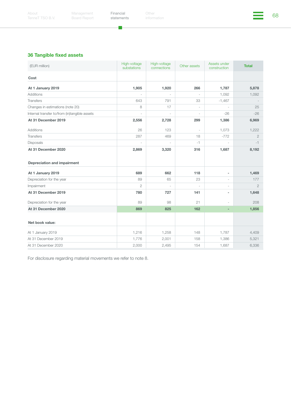a.

Financial Other China (1999) (1999) (1999) (1999) (1999) (1999) (1999) (1999) (1999) (1999) (1999) (1999) (199<br>Additional Section of Section (1999) (1999) (1999) (1999) (1999) (1999) (1999) (1999) (1999) (1999) (1999) (19 Other

### 36 Tangible fixed assets

| (EUR million)                                             | High-voltage<br>substations | High-voltage<br>connections | Other assets             | Assets under<br>construction | <b>Total</b>   |
|-----------------------------------------------------------|-----------------------------|-----------------------------|--------------------------|------------------------------|----------------|
| Cost                                                      |                             |                             |                          |                              |                |
| At 1 January 2019                                         | 1,905                       | 1,920                       | 266                      | 1,787                        | 5,878          |
| <b>Additions</b>                                          | $\sim$                      |                             |                          | 1,092                        | 1,092          |
| <b>Transfers</b>                                          | 643                         | 791                         | 33                       | $-1,467$                     |                |
| Changes in estimations (note 20)                          | 8                           | 17                          | ÷,                       | $\overline{\phantom{a}}$     | 25             |
| Internal transfer to/from (in)tangible assets             | $\overline{a}$              |                             | ÷,                       | $-26$                        | $-26$          |
| At 31 December 2019                                       | 2,556                       | 2,728                       | 299                      | 1,386                        | 6,969          |
| <b>Additions</b>                                          | 26                          | 123                         | $\overline{\phantom{a}}$ | 1,073                        | 1,222          |
| <b>Transfers</b>                                          | 287                         | 469                         | 18                       | $-772$                       | $\overline{2}$ |
| Disposals                                                 | ÷,                          | ÷,                          | $-1$                     |                              | $-1$           |
| At 31 December 2020<br><b>Depreciation and impairment</b> | 2,869                       | 3,320                       | 316                      | 1,687                        | 8,192          |
| At 1 January 2019                                         | 689                         | 662                         | 118                      | ٠                            | 1,469          |
| Depreciation for the year                                 | 89                          | 65                          | 23                       |                              | 177            |
| Impairment                                                | $\overline{2}$              | L,                          | $\overline{a}$           | ÷                            | $\overline{2}$ |
| At 31 December 2019                                       | 780                         | 727                         | 141                      | ٠                            | 1,648          |
| Depreciation for the year                                 | 89                          | 98                          | 21                       | $\sim$                       | 208            |
| At 31 December 2020                                       | 869                         | 825                         | 162                      |                              | 1,856          |
| Net book value:                                           |                             |                             |                          |                              |                |
| At 1 January 2019                                         | 1,216                       | 1,258                       | 148                      | 1,787                        | 4,409          |
| At 31 December 2019                                       | 1,776                       | 2,001                       | 158                      | 1,386                        | 5,321          |
| At 31 December 2020                                       | 2,000                       | 2,495                       | 154                      | 1,687                        | 6,336          |

For disclosure regarding material movements we refer to note 8.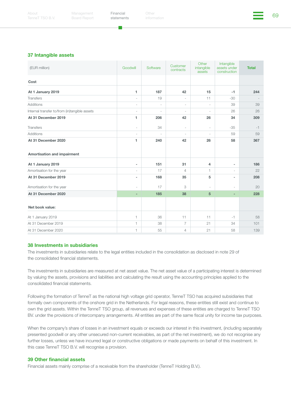Financial Other China (1999) (1999) (1999) (1999) (1999) (1999) (1999) (1999) (1999) (1999) (1999) (1999) (199<br>Additional Section (1999) (1999) (1999) (1999) (1999) (1999) (1999) (1999) (1999) (1999) (1999) (1999) (1999)



#### 37 Intangible assets

| (EUR million)                                      | Goodwill                 | Software | Customer<br>contracts    | Other<br>intangible<br>assets | Intangible<br>assets under<br>construction | <b>Total</b> |
|----------------------------------------------------|--------------------------|----------|--------------------------|-------------------------------|--------------------------------------------|--------------|
| Cost                                               |                          |          |                          |                               |                                            |              |
| At 1 January 2019                                  | 1                        | 187      | 42                       | 15                            | $-1$                                       | 244          |
| <b>Transfers</b>                                   | $\overline{\phantom{a}}$ | 19       | $\overline{\phantom{a}}$ | 11                            | $-30$                                      |              |
| <b>Additions</b>                                   | ÷,                       | $\sim$   | $\overline{\phantom{a}}$ | $\sim$                        | 39                                         | 39           |
| Internal transfer to/from (in)tangible assets      | ÷,                       | $\sim$   | $\overline{\phantom{a}}$ | ÷                             | 26                                         | 26           |
| At 31 December 2019                                | 1                        | 206      | 42                       | 26                            | 34                                         | 309          |
| <b>Transfers</b>                                   | $\overline{\phantom{a}}$ | 34       | $\overline{\phantom{a}}$ | $\sim$                        | $-35$                                      | $-1$         |
| <b>Additions</b>                                   | $\sim$                   | $\sim$   | $\overline{\phantom{a}}$ | $\sim$                        | 59                                         | 59           |
| At 31 December 2020<br>Amortisation and impairment | 1                        | 240      | 42                       | 26                            | 58                                         | 367          |
| At 1 January 2019                                  | $\sim$                   | 151      | 31                       | $\overline{4}$                | ä,                                         | 186          |
| Amortisation for the year                          | ÷                        | 17       | $\overline{4}$           | 1                             | $\sim$                                     | 22           |
| At 31 December 2019                                | ٠                        | 168      | 35                       | 5                             | ٠                                          | 208          |
| Amortisation for the year                          | ÷,                       | 17       | 3                        | $\overline{\phantom{a}}$      | $\overline{\phantom{a}}$                   | 20           |
| At 31 December 2020                                | ٠                        | 185      | 38                       | $5\phantom{.0}$               | ٠                                          | 228          |
| Net book value:                                    |                          |          |                          |                               |                                            |              |
| At 1 January 2019                                  | 1                        | 36       | 11                       | 11                            | $-1$                                       | 58           |
| At 31 December 2019                                | 1                        | 38       | $\overline{7}$           | 21                            | 34                                         | 101          |
| At 31 December 2020                                | 1                        | 55       | 4                        | 21                            | 58                                         | 139          |

#### 38 Investments in subsidiaries

The investments in subsidiaries relate to the legal entities included in the consolidation as disclosed in note 29 of the consolidated financial statements.

The investments in subsidiaries are measured at net asset value. The net asset value of a participating interest is determined by valuing the assets, provisions and liabilities and calculating the result using the accounting principles applied to the consolidated financial statements.

Following the formation of TenneT as the national high voltage grid operator, TenneT TSO has acquired subsidiaries that formally own components of the onshore grid in the Netherlands. For legal reasons, these entities still exist and continue to own the grid assets. Within the TenneT TSO group, all revenues and expenses of these entities are charged to TenneT TSO BV. under the provisions of intercompany arrangements. All entities are part of the same fiscal unity for income tax purposes.

When the company's share of losses in an investment equals or exceeds our interest in this investment, (including separately presented goodwill or any other unsecured non-current receivables, as part of the net investment), we do not recognise any further losses, unless we have incurred legal or constructive obligations or made payments on behalf of this investment. In this case TenneT TSO B.V. will recognise a provision.

#### 39 Other financial assets

Financial assets mainly comprise of a receivable from the shareholder (TenneT Holding B.V.).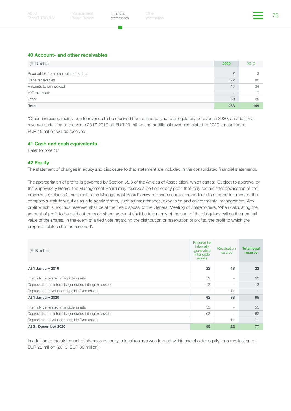a a

#### 40 Account- and other receivables

| (EUR million)                          | 2020                     | 2019 |
|----------------------------------------|--------------------------|------|
| Receivables from other related parties | $\overline{\phantom{0}}$ | 3    |
| Trade receivables                      | 122                      | 80   |
| Amounts to be invoiced                 | 45                       | 34   |
| VAT receivable                         | $\qquad \qquad -$        |      |
| Other                                  | 89                       | 25   |
| <b>Total</b>                           | 263                      | 149  |

'Other' increased mainly due to revenue to be received from offshore. Due to a regulatory decision in 2020, an additional revenue pertaining to the years 2017-2019 ad EUR 29 million and additional revenues related to 2020 amounting to EUR 15 million will be received.

#### 41 Cash and cash equivalents

Refer to note 16.

#### 42 Equity

The statement of changes in equity and disclosure to that statement are included in the consolidated financial statements.

The appropriation of profits is governed by Section 38.3 of the Articles of Association, which states: 'Subject to approval by the Supervisory Board, the Management Board may reserve a portion of any profit that may remain after application of the provisions of clause 2, sufficient in the Management Board's view to finance capital expenditure to support fulfilment of the company's statutory duties as grid administrator, such as maintenance, expansion and environmental management. Any profit which is not thus reserved shall be at the free disposal of the General Meeting of Shareholders. When calculating the amount of profit to be paid out on each share, account shall be taken only of the sum of the obligatory call on the nominal value of the shares. In the event of a tied vote regarding the distribution or reservation of profits, the profit to which the proposal relates shall be reserved'.

| (EUR million)                                          | Reserve for<br>internally<br>generated<br>intangible<br>assets | Revaluation<br>reserve   | <b>Total legal</b><br>reserve |
|--------------------------------------------------------|----------------------------------------------------------------|--------------------------|-------------------------------|
| At 1 January 2019                                      | 22                                                             | 43                       | 22                            |
| Internally generated intangible assets                 | 52                                                             | $\overline{\phantom{a}}$ | 52                            |
| Depreciation on internally generated intangible assets | $-12$                                                          | $\overline{\phantom{a}}$ | $-12$                         |
| Depreciation revaluation tangible fixed assets         | $\overline{\phantom{a}}$                                       | $-11$                    |                               |
| At 1 January 2020                                      | 62                                                             | 33                       | 95                            |
| Internally generated intangible assets                 | 55                                                             | $\overline{\phantom{a}}$ | 55                            |
| Depreciation on internally generated intangible assets | $-62$                                                          | $\overline{\phantom{a}}$ | $-62$                         |
| Depreciation revaluation tangible fixed assets         | $\overline{\phantom{a}}$                                       | $-11$                    | $-11$                         |
| At 31 December 2020                                    | 55                                                             | 22                       | 77                            |

In addition to the statement of changes in equity, a legal reserve was formed within shareholder equity for a revaluation of EUR 22 million (2019: EUR 33 million).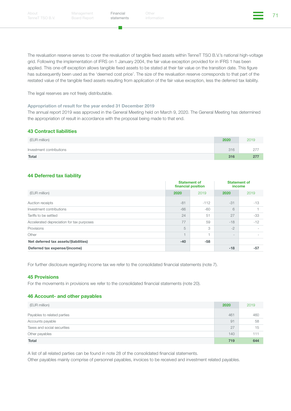a a

Financial Other the Other Section of the Contract of the Contract of the Contract of the Contract of the Contra<br>Address information

The revaluation reserve serves to cover the revaluation of tangible fixed assets within TenneT TSO B.V.'s national high-voltage grid. Following the implementation of IFRS on 1 January 2004, the fair value exception provided for in IFRS 1 has been applied. This one-off exception allows tangible fixed assets to be stated at their fair value on the transition date. This figure has subsequently been used as the 'deemed cost price'. The size of the revaluation reserve corresponds to that part of the restated value of the tangible fixed assets resulting from application of the fair value exception, less the deferred tax liability.

The legal reserves are not freely distributable.

#### Appropriation of result for the year ended 31 December 2019

The annual report 2019 was approved in the General Meeting held on March 9, 2020. The General Meeting has determined the appropriation of result in accordance with the proposal being made to that end.

#### 43 Contract liabilities

| (EUR million)            | 2020 | 2019 |
|--------------------------|------|------|
| Investment contributions | 316  | 277  |
| <b>Total</b>             | 316  | 277  |

#### 44 Deferred tax liability

|                                           | <b>Statement of</b><br>financial position |        | <b>Statement of</b><br>income |       |
|-------------------------------------------|-------------------------------------------|--------|-------------------------------|-------|
| (EUR million)                             | 2020<br>2019                              |        | 2020                          | 2019  |
| Auction receipts                          | $-81$                                     | $-112$ | $-31$                         | $-13$ |
| Investment contributions                  | $-66$                                     | $-60$  | 6                             |       |
| Tariffs to be settled                     | 24                                        | 51     | 27                            | -33   |
| Accelerated depreciation for tax purposes | 77                                        | 59     | $-18$                         | $-12$ |
| Provisions                                | 5                                         | 3      | $-2$                          |       |
| Other                                     |                                           |        | $\overline{\phantom{a}}$      |       |
| Net deferred tax assets/(liabilities)     | $-40$                                     | -58    |                               |       |
| Deferred tax expense/(income)             |                                           |        | $-18$                         | $-57$ |

For further disclosure regarding income tax we refer to the consolidated financial statements (note 7).

#### 45 Provisions

For the movements in provisions we refer to the consolidated financial statements (note 20).

#### 46 Account- and other payables

| (EUR million)               | 2020 | 2019 |
|-----------------------------|------|------|
| Payables to related parties | 461  | 460  |
| Accounts payable            | 91   | 58   |
| Taxes and social securities | 27   | 15   |
| Other payables              | 140  | 111  |
| <b>Total</b>                | 719  | 644  |

A list of all related parties can be found in note 28 of the consolidated financial statements.

Other payables mainly comprise of personnel payables, invoices to be received and investment related payables.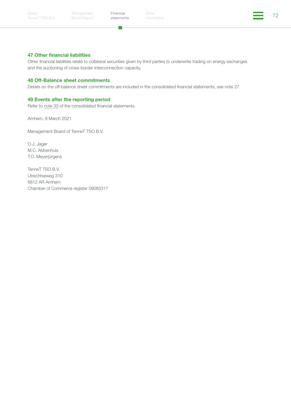п.

Financial Other the Other Section of the Contract of the Table 10 of the Table 10 of the Table 10 of the Table Other



#### 47 Other financial liabilities

Other financial liabilities relate to collateral securities given by third parties to underwrite trading on energy exchanges and the auctioning of cross-border interconnection capacity.

#### 48 Off-Balance sheet commitments

Details on the off-balance sheet commitments are included in the consolidated financial statements, see note 27.

#### 49 Events after the reporting period

Refer to note 30 of the consolidated financial statements.

Arnhem, 8 March 2021

Management Board of TenneT TSO B.V.

O.J. Jager M.C. Abbenhuis T.C. Meyerjürgens

TenneT TSO B.V. Utrechtseweg 310 6812 AR Arnhem Chamber of Commerce register 09083317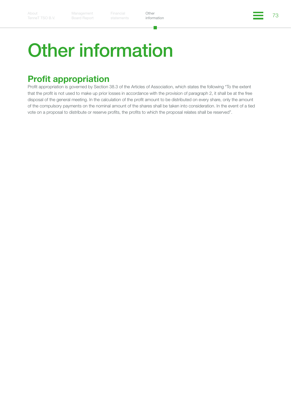# <span id="page-72-0"></span>Other information

# Profit appropriation

Profit appropriation is governed by Section 38.3 of the Articles of Association, which states the following "To the extent that the profit is not used to make up prior losses in accordance with the provision of paragraph 2, it shall be at the free disposal of the general meeting. In the calculation of the profit amount to be distributed on every share, only the amount of the compulsory payments on the nominal amount of the shares shall be taken into consideration. In the event of a tied vote on a proposal to distribute or reserve profits, the profits to which the proposal relates shall be reserved".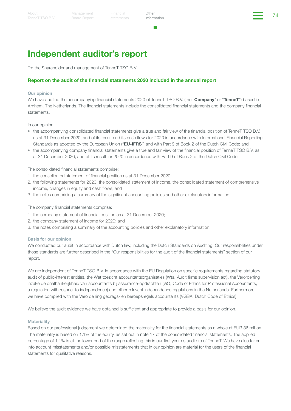Financial Other the Other that is a structure of the Contract of the Table of the Table of Table of Table of Ta<br>Additional information

**Other** [information](#page-72-0)

## Independent auditor's report

To: the Shareholder and management of TenneT TSO B.V.

#### Report on the audit of the financial statements 2020 included in the annual report

#### Our opinion

We have audited the accompanying financial statements 2020 of TenneT TSO B.V. (the "Company" or "TenneT") based in Arnhem, The Netherlands. The financial statements include the consolidated financial statements and the company financial statements.

In our opinion:

- the accompanying consolidated financial statements give a true and fair view of the financial position of TenneT TSO B.V. as at 31 December 2020, and of its result and its cash flows for 2020 in accordance with International Financial Reporting Standards as adopted by the European Union ("**EU-IFRS**") and with Part 9 of Book 2 of the Dutch Civil Code; and
- the accompanying company financial statements give a true and fair view of the financial position of TenneT TSO B.V. as at 31 December 2020, and of its result for 2020 in accordance with Part 9 of Book 2 of the Dutch Civil Code.

The consolidated financial statements comprise:

- 1. the consolidated statement of financial position as at 31 December 2020;
- 2. the following statements for 2020: the consolidated statement of income, the consolidated statement of comprehensive income, changes in equity and cash flows; and
- 3. the notes comprising a summary of the significant accounting policies and other explanatory information.

The company financial statements comprise:

- 1. the company statement of financial position as at 31 December 2020;
- 2. the company statement of income for 2020; and
- 3. the notes comprising a summary of the accounting policies and other explanatory information.

#### Basis for our opinion

We conducted our audit in accordance with Dutch law, including the Dutch Standards on Auditing. Our responsibilities under those standards are further described in the "Our responsibilities for the audit of the financial statements" section of our report.

We are independent of TenneT TSO B.V. in accordance with the EU Regulation on specific requirements regarding statutory audit of public-interest entities, the Wet toezicht accountantsorganisaties (Wta, Audit firms supervision act), the Verordening inzake de onafhankelijkheid van accountants bij assurance-opdrachten (ViO, Code of Ethics for Professional Accountants, a regulation with respect to independence) and other relevant independence regulations in the Netherlands. Furthermore, we have complied with the Verordening gedrags- en beroepsregels accountants (VGBA, Dutch Code of Ethics).

We believe the audit evidence we have obtained is sufficient and appropriate to provide a basis for our opinion.

#### **Materiality**

Based on our professional judgement we determined the materiality for the financial statements as a whole at EUR 36 million. The materiality is based on 1.1% of the equity, as set out in note 17 of the consolidated financial statements. The applied percentage of 1.1% is at the lower end of the range reflecting this is our first year as auditors of TenneT. We have also taken into account misstatements and/or possible misstatements that in our opinion are material for the users of the financial statements for qualitative reasons.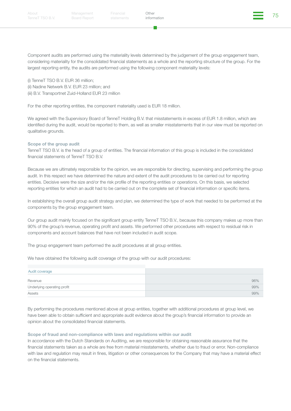Component audits are performed using the materiality levels determined by the judgement of the group engagement team, considering materiality for the consolidated financial statements as a whole and the reporting structure of the group. For the largest reporting entity, the audits are performed using the following component materiality levels:

(i) TenneT TSO B.V. EUR 36 million; (ii) Nadine Netwerk B.V. EUR 23 million; and (iii) B.V. Transportnet Zuid-Holland EUR 23 million

For the other reporting entities, the component materiality used is EUR 18 million.

We agreed with the Supervisory Board of TenneT Holding B.V. that misstatements in excess of EUR 1.8 million, which are identified during the audit, would be reported to them, as well as smaller misstatements that in our view must be reported on qualitative grounds.

#### Scope of the group audit

TenneT TSO B.V. is the head of a group of entities. The financial information of this group is included in the consolidated financial statements of TenneT TSO B.V.

Because we are ultimately responsible for the opinion, we are responsible for directing, supervising and performing the group audit. In this respect we have determined the nature and extent of the audit procedures to be carried out for reporting entities. Decisive were the size and/or the risk profile of the reporting entities or operations. On this basis, we selected reporting entities for which an audit had to be carried out on the complete set of financial information or specific items.

In establishing the overall group audit strategy and plan, we determined the type of work that needed to be performed at the components by the group engagement team.

Our group audit mainly focused on the significant group entity TenneT TSO B.V., because this company makes up more than 90% of the group's revenue, operating profit and assets. We performed other procedures with respect to residual risk in components and account balances that have not been included in audit scope.

The group engagement team performed the audit procedures at all group entities.

We have obtained the following audit coverage of the group with our audit procedures:

| Audit coverage              |     |
|-----------------------------|-----|
| Revenue                     | 96% |
| Underlying operating profit | 99% |
| Assets                      | 99% |

By performing the procedures mentioned above at group entities, together with additional procedures at group level, we have been able to obtain sufficient and appropriate audit evidence about the group's financial information to provide an opinion about the consolidated financial statements.

#### Scope of fraud and non-compliance with laws and regulations within our audit

In accordance with the Dutch Standards on Auditing, we are responsible for obtaining reasonable assurance that the financial statements taken as a whole are free from material misstatements, whether due to fraud or error. Non-compliance with law and regulation may result in fines, litigation or other consequences for the Company that may have a material effect on the financial statements.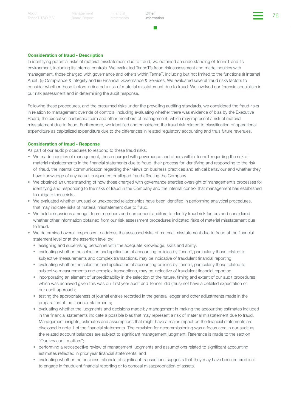[TenneT TSO B.V.](#page-2-0)

Board Report

Financial Other the Other Services of the Contract of the Towns of the Towns of the Towns of the Towns of the Towns of the Towns of the Towns of the Towns of the Towns of the Towns of the Towns of the Towns of the Towns of

**Other** [information](#page-72-0)

#### Consideration of fraud - Description

In identifying potential risks of material misstatement due to fraud, we obtained an understanding of TenneT and its environment, including its internal controls. We evaluated TenneT's fraud risk assessment and made inquiries with management, those charged with governance and others within TenneT, including but not limited to the functions (i) Internal Audit, (ii) Compliance & Integrity and (iii) Financial Governance & Services. We evaluated several fraud risks factors to consider whether those factors indicated a risk of material misstatement due to fraud. We involved our forensic specialists in our risk assessment and in determining the audit response.

Following these procedures, and the presumed risks under the prevailing auditing standards, we considered the fraud risks in relation to management override of controls, including evaluating whether there was evidence of bias by the Executive Board, the executive leadership team and other members of management, which may represent a risk of material misstatement due to fraud. Furthermore, we identified and considered the fraud risk related to classification of operational expenditure as capitalized expenditure due to the differences in related regulatory accounting and thus future revenues.

#### Consideration of fraud - Response

As part of our audit procedures to respond to these fraud risks:

- We made inquiries of management, those charged with governance and others within TenneT regarding the risk of material misstatements in the financial statements due to fraud, their process for identifying and responding to the risk of fraud, the internal communication regarding their views on business practices and ethical behaviour and whether they have knowledge of any actual, suspected or alleged fraud affecting the Company.
- We obtained an understanding of how those charged with governance exercise oversight of management's processes for identifying and responding to the risks of fraud in the Company and the internal control that management has established to mitigate these risks.
- We evaluated whether unusual or unexpected relationships have been identified in performing analytical procedures, that may indicate risks of material misstatement due to fraud.
- We held discussions amongst team members and component auditors to identify fraud risk factors and considered whether other information obtained from our risk assessment procedures indicated risks of material misstatement due to fraud.
- We determined overall responses to address the assessed risks of material misstatement due to fraud at the financial statement level or at the assertion level by:
	- assigning and supervising personnel with the adequate knowledge, skills and ability;
	- evaluating whether the selection and application of accounting policies by TenneT, particularly those related to subjective measurements and complex transactions, may be indicative of fraudulent financial reporting;
	- evaluating whether the selection and application of accounting policies by TenneT, particularly those related to subjective measurements and complex transactions, may be indicative of fraudulent financial reporting;
	- incorporating an element of unpredictability in the selection of the nature, timing and extent of our audit procedures which was achieved given this was our first year audit and TenneT did (thus) not have a detailed expectation of our audit approach;
	- testing the appropriateness of journal entries recorded in the general ledger and other adjustments made in the preparation of the financial statements;
	- evaluating whether the judgments and decisions made by management in making the accounting estimates included in the financial statements indicate a possible bias that may represent a risk of material misstatement due to fraud. Management insights, estimates and assumptions that might have a major impact on the financial statements are disclosed in note 1 of the financial statements. The provision for decommissioning was a focus area in our audit as the related account balances are subject to significant management judgment. Reference is made to the section "Our key audit matters";
	- performing a retrospective review of management judgments and assumptions related to significant accounting estimates reflected in prior year financial statements; and
	- evaluating whether the business rationale of significant transactions suggests that they may have been entered into to engage in fraudulent financial reporting or to conceal misappropriation of assets.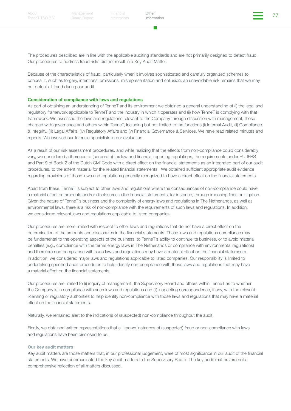Financial Other the Other State of the Changes of the Changes of the Changes of the Changes of the Changes of T<br>Changes information

**Other** [information](#page-72-0)

The procedures described are in line with the applicable auditing standards and are not primarily designed to detect fraud. Our procedures to address fraud risks did not result in a Key Audit Matter.

Because of the characteristics of fraud, particularly when it involves sophisticated and carefully organized schemes to conceal it, such as forgery, intentional omissions, misrepresentation and collusion, an unavoidable risk remains that we may not detect all fraud during our audit.

#### Consideration of compliance with laws and regulations

As part of obtaining an understanding of TenneT and its environment we obtained a general understanding of (i) the legal and regulatory framework applicable to TenneT and the industry in which it operates and (ii) how TenneT is complying with that framework. We assessed the laws and regulations relevant to the Company through discussion with management, those charged with governance and others within TenneT, including but not limited to the functions (i) Internal Audit, (ii) Compliance & Integrity, (iii) Legal Affairs, (iv) Regulatory Affairs and (v) Financial Governance & Services. We have read related minutes and reports. We involved our forensic specialists in our evaluation.

As a result of our risk assessment procedures, and while realizing that the effects from non-compliance could considerably vary, we considered adherence to (corporate) tax law and financial reporting regulations, the requirements under EU-IFRS and Part 9 of Book 2 of the Dutch Civil Code with a direct effect on the financial statements as an integrated part of our audit procedures, to the extent material for the related financial statements. We obtained sufficient appropriate audit evidence regarding provisions of those laws and regulations generally recognized to have a direct effect on the financial statements.

Apart from these, TenneT is subject to other laws and regulations where the consequences of non-compliance could have a material effect on amounts and/or disclosures in the financial statements, for instance, through imposing fines or litigation. Given the nature of TenneT's business and the complexity of energy laws and regulations in The Netherlands, as well as environmental laws, there is a risk of non-compliance with the requirements of such laws and regulations. In addition, we considered relevant laws and regulations applicable to listed companies.

Our procedures are more limited with respect to other laws and regulations that do not have a direct effect on the determination of the amounts and disclosures in the financial statements. These laws and regulations compliance may be fundamental to the operating aspects of the business, to TenneT's ability to continue its business, or to avoid material penalties (e.g., compliance with the terms energy laws in The Netherlands or compliance with environmental regulations) and therefore non-compliance with such laws and regulations may have a material effect on the financial statements. In addition, we considered major laws and regulations applicable to listed companies. Our responsibility is limited to undertaking specified audit procedures to help identify non-compliance with those laws and regulations that may have a material effect on the financial statements.

Our procedures are limited to (i) inquiry of management, the Supervisory Board and others within TenneT as to whether the Company is in compliance with such laws and regulations and (ii) inspecting correspondence, if any, with the relevant licensing or regulatory authorities to help identify non-compliance with those laws and regulations that may have a material effect on the financial statements.

Naturally, we remained alert to the indications of (suspected) non-compliance throughout the audit.

Finally, we obtained written representations that all known instances of (suspected) fraud or non-compliance with laws and regulations have been disclosed to us.

#### Our key audit matters

Key audit matters are those matters that, in our professional judgement, were of most significance in our audit of the financial statements. We have communicated the key audit matters to the Supervisory Board. The key audit matters are not a comprehensive reflection of all matters discussed.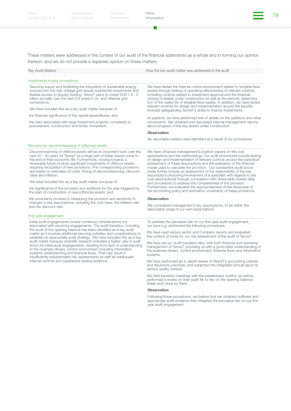**Other** [information](#page-72-0)

These matters were addressed in the context of our audit of the financial statements as a whole and in forming our opinion thereon, and we do not provide a separate opinion on these matters.

| <b>Key Audit Matters</b>                                                                                                                                                                                                                                                                                         | How the key audit matter was addressed in the audit                                                                                                                                                                                                                                                                                                                                                                                                                                                                               |
|------------------------------------------------------------------------------------------------------------------------------------------------------------------------------------------------------------------------------------------------------------------------------------------------------------------|-----------------------------------------------------------------------------------------------------------------------------------------------------------------------------------------------------------------------------------------------------------------------------------------------------------------------------------------------------------------------------------------------------------------------------------------------------------------------------------------------------------------------------------|
| Investments in grid connections                                                                                                                                                                                                                                                                                  |                                                                                                                                                                                                                                                                                                                                                                                                                                                                                                                                   |
| Securing supply and facilitating the integration of sustainable energy<br>sources into the high-voltage grid require substantial investments and<br>flexible access to (equity) funding. TenneT plans to invest EUR 1.5 - 2<br>billion annually over the next 3-5 years in on- and offshore grid<br>connections. | We have tested the internal control environment related to tangible fixed<br>assets through testing of operating effectiveness of relevant controls,<br>including controls related to investment approval and the financial<br>closing of assets under construction as well as the periodic determina-<br>tion of the useful life of tangible fixed assets. In addition, we have tested<br>relevant controls for design and implementation around the liquidity<br>forecast safequarding TenneT's ability to finance investments. |
| We have included this as a key audit matter because of:                                                                                                                                                                                                                                                          |                                                                                                                                                                                                                                                                                                                                                                                                                                                                                                                                   |
| the financial significance of the capital expenditures; and                                                                                                                                                                                                                                                      | At yearend, we have performed test of details on the additions and other                                                                                                                                                                                                                                                                                                                                                                                                                                                          |
| the risks associated with large investment projects, complexity in<br>procurement, construction and timely completion.                                                                                                                                                                                           | movements. We obtained and discussed internal management reports<br>about progress of the key assets under construction.                                                                                                                                                                                                                                                                                                                                                                                                          |
|                                                                                                                                                                                                                                                                                                                  | <b>Observation</b>                                                                                                                                                                                                                                                                                                                                                                                                                                                                                                                |
|                                                                                                                                                                                                                                                                                                                  | No reportable matters were identified as a result of our procedures.                                                                                                                                                                                                                                                                                                                                                                                                                                                              |
| Provision for decommissioning of (offshore) assets                                                                                                                                                                                                                                                               |                                                                                                                                                                                                                                                                                                                                                                                                                                                                                                                                   |
| Decommissioning of offshore assets will be an important topic over the<br>next 20 - 40 years for TenneT as a large part of these assets come to<br>the end of their economic life. Furthermore, moving towards a                                                                                                 | We have obtained management's position papers on the cost<br>assumptions and the methodology. Our audit procedures include testing<br>of design and implementation of relevant controls around the periodical                                                                                                                                                                                                                                                                                                                     |

the end of their economic life. Furthermore, moving towards a renewable future involves significant investments in offshore assets, requiring recognition of new provisions. The corresponding provisions are based on estimates of costs, timing of decommissioning, discount rates and inflation.

We have included this as a key audit matter because of:

the significance of the provision and additions for the year triggered by the start of construction of new (offshore) assets; and

the uncertainty involved in measuring the provision and sensitivity to changes in key assumptions, including the cost base, the inflation rate and the discount rate.

#### First year engagement

Initial audit engagements involve numerous considerations not associated with recurring engagements. The audit transition, including the audit of the opening balance has been identified as a key audit matter as it involves additional planning activities and considerations to establish an appropriate audit strategy. We have included this as a key audit matter because scientific research indicates a higher rate of audit errors for initial audit engagements, resulting from lack of understanding of the business drivers, control environment including information systems understanding and financial flows. That may result in insufficiently substantiated risk assessments as well as inadequate internal controls and substantive testing evidence.

assumptions (including involvement of a specialist with regards to the cost assumptions) through comparison with observable market data and procedures to address the completeness of the provision. Furthermore, we evaluated the appropriateness of the disclosure of the accounting policy and estimation uncertainty of these provisions. **Observation** 

assessment of these assumptions and the evaluation of the financial model used to calculate the provision. Our substantive audit procedures further include an assessment of the reasonability of the key

We considered management's key assumptions, to be within the reasonable range of our own expectations.

To address the pervasive risk on our first year audit engagement, we have e.g. performed the following procedures:

We have read various sector and Company reports and evaluated the content of those for our risk assessment of the audit of TenneT.

We have set-up 'audit transition-labs' with both financial and operating management of TenneT, providing us with a good initial understanding of the business drivers, control environment, financial flows and information systems.

We have performed an in-depth review of TenneT's accounting policies and disclosure practices, and subjected the integrated annual report to various quality reviews.

We held transition meetings with the predecessor auditor, as well as performed a review on their audit file to rely on the opening balance sheet work done by them.

#### **Observation**

Following these procedures, we believe that we obtained sufficient and appropriate audit evidence that mitigated the pervasive risk on our first year audit engagement.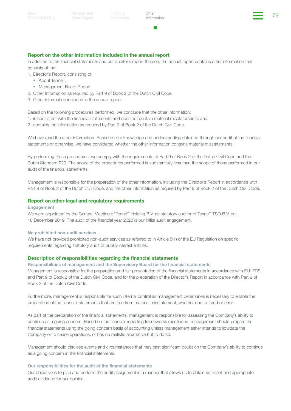#### Report on the other information included in the annual report

In addition to the financial statements and our auditor's report thereon, the annual report contains other information that consists of the:

- 1. Director's Report, consisting of:
	- About TenneT;
	- Management Board Report.
- 2. Other Information as required by Part 9 of Book 2 of the Dutch Civil Code.
- 3. Other information included in the annual report.

Based on the following procedures performed, we conclude that the other information:

- 1. is consistent with the financial statements and does not contain material misstatements; and
- 2. contains the information as required by Part 9 of Book 2 of the Dutch Civil Code.

We have read the other information. Based on our knowledge and understanding obtained through our audit of the financial statements or otherwise, we have considered whether the other information contains material misstatements.

By performing these procedures, we comply with the requirements of Part 9 of Book 2 of the Dutch Civil Code and the Dutch Standard 720. The scope of the procedures performed is substantially less than the scope of those performed in our audit of the financial statements.

Management is responsible for the preparation of the other information, including the Director's Report in accordance with Part 9 of Book 2 of the Dutch Civil Code, and the other information as required by Part 9 of Book 2 of the Dutch Civil Code.

#### Report on other legal and regulatory requirements

#### Engagement

We were appointed by the General Meeting of TenneT Holding B.V. as statutory auditor of TenneT TSO B.V. on 18 December 2019. The audit of the financial year 2020 is our initial audit engagement.

#### No prohibited non-audit services

We have not provided prohibited non-audit services as referred to in Article 5(1) of the EU Regulation on specific requirements regarding statutory audit of public-interest entities.

#### Description of responsibilities regarding the financial statements

Responsibilities of management and the Supervisory Board for the financial statements Management is responsible for the preparation and fair presentation of the financial statements in accordance with EU-IFRS and Part 9 of Book 2 of the Dutch Civil Code, and for the preparation of the Director's Report in accordance with Part 9 of Book 2 of the Dutch Civil Code.

Furthermore, management is responsible for such internal control as management determines is necessary to enable the preparation of the financial statements that are free from material misstatement, whether due to fraud or error.

As part of the preparation of the financial statements, management is responsible for assessing the Company's ability to continue as a going concern. Based on the financial reporting frameworks mentioned, management should prepare the financial statements using the going concern basis of accounting unless management either intends to liquidate the Company or to cease operations, or has no realistic alternative but to do so.

Management should disclose events and circumstances that may cast significant doubt on the Company's ability to continue as a going concern in the financial statements.

#### Our responsibilities for the audit of the financial statements

Our objective is to plan and perform the audit assignment in a manner that allows us to obtain sufficient and appropriate audit evidence for our opinion.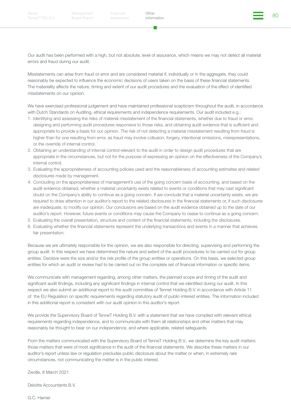Financial Other the Other Services of the Services of the Services of the Services of the Services of the Services of the Services of the Services of the Services of the Services of the Services of the Services of the Serv

**Other** [information](#page-72-0)

Our audit has been performed with a high, but not absolute, level of assurance, which means we may not detect all material errors and fraud during our audit.

Misstatements can arise from fraud or error and are considered material if, individually or in the aggregate, they could reasonably be expected to influence the economic decisions of users taken on the basis of these financial statements. The materiality affects the nature, timing and extent of our audit procedures and the evaluation of the effect of identified misstatements on our opinion.

We have exercised professional judgement and have maintained professional scepticism throughout the audit, in accordance with Dutch Standards on Auditing, ethical requirements and independence requirements. Our audit included e.g.:

- 1. Identifying and assessing the risks of material misstatement of the financial statements, whether due to fraud or error, designing and performing audit procedures responsive to those risks, and obtaining audit evidence that is sufficient and appropriate to provide a basis for our opinion. The risk of not detecting a material misstatement resulting from fraud is higher than for one resulting from error, as fraud may involve collusion, forgery, intentional omissions, misrepresentations, or the override of internal control.
- 2. Obtaining an understanding of internal control relevant to the audit in order to design audit procedures that are appropriate in the circumstances, but not for the purpose of expressing an opinion on the effectiveness of the Company's internal control.
- 3. Evaluating the appropriateness of accounting policies used and the reasonableness of accounting estimates and related disclosures made by management.
- 4. Concluding on the appropriateness of management's use of the going concern basis of accounting, and based on the audit evidence obtained, whether a material uncertainty exists related to events or conditions that may cast significant doubt on the Company's ability to continue as a going concern. If we conclude that a material uncertainty exists, we are required to draw attention in our auditor's report to the related disclosures in the financial statements or, if such disclosures are inadequate, to modify our opinion. Our conclusions are based on the audit evidence obtained up to the date of our auditor's report. However, future events or conditions may cause the Company to cease to continue as a going concern.
- 5. Evaluating the overall presentation, structure and content of the financial statements, including the disclosures.
- 6. Evaluating whether the financial statements represent the underlying transactions and events in a manner that achieves fair presentation.

Because we are ultimately responsible for the opinion, we are also responsible for directing, supervising and performing the group audit. In this respect we have determined the nature and extent of the audit procedures to be carried out for group entities. Decisive were the size and/or the risk profile of the group entities or operations. On this basis, we selected group entities for which an audit or review had to be carried out on the complete set of financial information or specific items.

We communicate with management regarding, among other matters, the planned scope and timing of the audit and significant audit findings, including any significant findings in internal control that we identified during our audit. In this respect we also submit an additional report to the audit committee of Tennet Holding B.V. in accordance with Article 11 of the EU Regulation on specific requirements regarding statutory audit of public-interest entities. The information included in this additional report is consistent with our audit opinion in this auditor's report.

We provide the Supervisory Board of TenneT Holding B.V. with a statement that we have complied with relevant ethical requirements regarding independence, and to communicate with them all relationships and other matters that may reasonably be thought to bear on our independence, and where applicable, related safeguards.

From the matters communicated with the Supervisory Board of TenneT Holding B.V., we determine the key audit matters: those matters that were of most significance in the audit of the financial statements. We describe these matters in our auditor's report unless law or regulation precludes public disclosure about the matter or when, in extremely rare circumstances, not communicating the matter is in the public interest.

Zwolle, 8 March 2021

Deloitte Accountants B.V.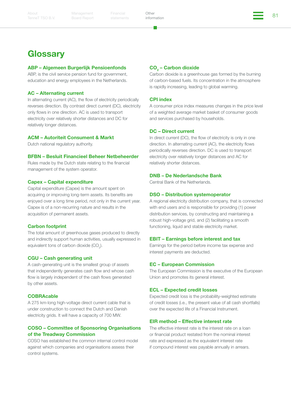Board Report

Financial Other the Other States of the States of the States of the States of the States of the States of the S<br>Address information **Other** [information](#page-72-0)

### **Glossary**

#### ABP – Algemeen Burgerlijk Pensioenfonds

ABP, is the civil service pension fund for government, education and energy employees in the Netherlands.

#### AC – Alternating current

In alternating current (AC), the flow of electricity periodically reverses direction. By contrast direct current (DC), electricity only flows in one direction. AC is used to transport electricity over relatively shorter distances and DC for relatively longer distances.

#### ACM – Autoriteit Consument & Markt

Dutch national regulatory authority.

#### BFBN – Besluit Financieel Beheer Netbeheerder

Rules made by the Dutch state relating to the financial management of the system operator.

#### Capex – Capital expenditure

Capital expenditure (Capex) is the amount spent on acquiring or improving long-term assets. Its benefits are enjoyed over a long time period, not only in the current year. Capex is of a non-recurring nature and results in the acquisition of permanent assets.

#### Carbon footprint

The total amount of greenhouse gases produced to directly and indirectly support human activities, usually expressed in equivalent tons of carbon dioxide (CO<sub>2</sub>).

#### CGU – Cash generating unit

A cash-generating unit is the smallest group of assets that independently generates cash flow and whose cash flow is largely independent of the cash flows generated by other assets.

#### **COBRAcable**

A 275 km-long high-voltage direct current cable that is under construction to connect the Dutch and Danish electricity grids. It will have a capacity of 700 MW.

#### COSO – Committee of Sponsoring Organisations of the Treadway Commission

COSO has established the common internal control model against which companies and organisations assess their control systems.

#### CO<sub>2</sub> – Carbon dioxide

Carbon dioxide is a greenhouse gas formed by the burning of carbon-based fuels. Its concentration in the atmosphere is rapidly increasing, leading to global warming.

#### CPI index

A consumer price index measures changes in the price level of a weighted average market basket of consumer goods and services purchased by households.

#### DC – Direct current

In direct current (DC), the flow of electricity is only in one direction. In alternating current (AC), the electricity flows periodically reverses direction. DC is used to transport electricity over relatively longer distances and AC for relatively shorter distances.

#### DNB – De Nederlandsche Bank

Central Bank of the Netherlands.

#### DSO – Distribution systemoperator

A regional electricity distribution company, that is connected with end users and is responsible for providing (1) power distribution services, by constructing and maintaining a robust high-voltage grid, and (2) facilitating a smooth functioning, liquid and stable electricity market.

#### EBIT – Earnings before interest and tax

Earnings for the period before income tax expense and interest payments are deducted.

#### EC – European Commission

The European Commission is the executive of the European Union and promotes its general interest.

#### ECL – Expected credit losses

Expected credit loss is the probability-weighted estimate of credit losses (i.e., the present value of all cash shortfalls) over the expected life of a Financial Instrument.

#### EIR method – Effective interest rate

The effective interest rate is the interest rate on a loan or financial product restated from the nominal interest rate and expressed as the equivalent interest rate if compound interest was payable annually in arrears.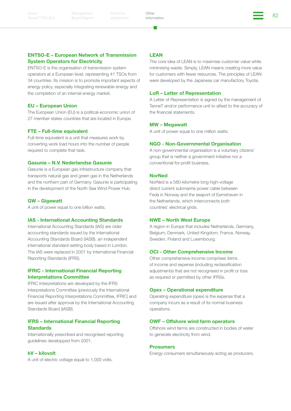Board Report

Financial Other **Contract Contract Contract Contract Contract Contract Contract Contract Contract Contract Contra<br>Contract Contract Contract Contract Contract Contract Contract Contract Contract Contract Contract Contract** 

**Other** [information](#page-72-0)

#### ENTSO-E – European Network of Transmission System Operators for Electricity

ENTSO-E is the organisation of transmission system operators at a European level, representing 41 TSOs from 34 countries. Its mission is to promote important aspects of energy policy, especially integrating renewable energy and the completion of an internal energy market.

#### EU – European Union

The European Union (EU) is a political-economic union of 27 member states countries that are located in Europe.

#### FTE – Full-time equivalent

Full-time equivalent is a unit that measures work by converting work load hours into the number of people required to complete that task.

#### Gasunie – N.V. Nederlandse Gasunie

Gasunie is a European gas infrastructure company that transports natural gas and green gas in the Netherlands and the northern part of Germany. Gasunie is participating in the development of the North Sea Wind Power Hub.

#### GW – Gigawatt

A unit of power equal to one billion watts.

#### IAS - International Accounting Standards

International Accounting Standards (IAS) are older accounting standards issued by the International Accounting Standards Board (IASB), an independent international standard-setting body based in London. The IAS were replaced in 2001 by International Financial Reporting Standards (IFRS).

#### IFRIC - International Financial Reporting Interpretations Committee

IFRIC Interpretations are developed by the IFRS Interpretations Committee (previously the International Financial Reporting Interpretations Committee, IFRIC) and are issued after approval by the International Accounting Standards Board (IASB).

#### IFRS – International Financial Reporting **Standards**

Internationally prescribed and recognised reporting guidelines developped from 2001.

#### kV – kilovolt

A unit of electric voltage equal to 1,000 volts.

#### LEAN

The core idea of LEAN is to maximise customer value while minimising waste. Simply, LEAN means creating more value for customers with fewer resources. The principles of LEAN were developed by the Japanese car manufactory Toyota.

#### LoR – Letter of Representation

A Letter of Representation is signed by the management of TenneT and/or performance unit to attest to the accuracy of the financial statements.

#### MW – Megawatt

A unit of power equal to one million watts.

#### NGO - Non-Governmental Organisation

A non-governmental organisation is a voluntary citizens' group that is neither a government initiative nor a conventional for-profit business.

#### **NorNed**

NorNed is a 580-kilometre long high-voltage direct current submarine power cable between Feda in Norway and the seaport of Eemshaven in the Netherlands, which interconnects both countries' electrical grids.

#### NWE – North West Europe

A region in Europe that includes Netherlands, Germany, Belgium, Denmark, United Kingdom, France, Norway, Sweden, Finland and Luxembourg.

#### OCI - Other Comprehensive Income

Other comprehensive income comprises items of income and expense (including reclassification adjustments) that are not recognised in profit or loss as required or permitted by other IFRSs.

#### Opex – Operational expenditure

Operating expenditure (opex) is the expense that a company incurs as a result of its normal business operations.

#### OWF – Offshore wind farm operators

Offshore wind farms are constructed in bodies of water to generate electricity from wind.

#### **Prosumers**

Energy consumers simultaneously acting as producers.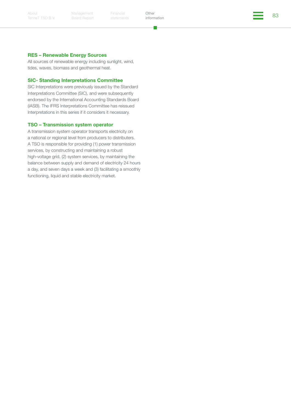About [TenneT TSO B.V.](#page-2-0) Management Board Report

Financial Other **Contract Contract Contract Contract Contract Contract Contract Contract Contract Contract Contra<br>external information** Other [information](#page-72-0)

- 1

#### RES – Renewable Energy Sources

All sources of renewable energy including sunlight, wind, tides, waves, biomass and geothermal heat.

#### SIC- Standing Interpretations Committee

SIC Interpretations were previously issued by the Standard Interpretations Committee (SIC), and were subsequently endorsed by the International Accounting Standards Board (IASB). The IFRS Interpretations Committee has reissued Interpretations in this series if it considers it necessary.

#### TSO – Transmission system operator

A transmission system operator transports electricity on a national or regional level from producers to distributers. A TSO is responsible for providing (1) power transmission services, by constructing and maintaining a robust high-voltage grid, (2) system services, by maintaining the balance between supply and demand of electricity 24 hours a day, and seven days a week and (3) facilitating a smoothly functioning, liquid and stable electricity market.